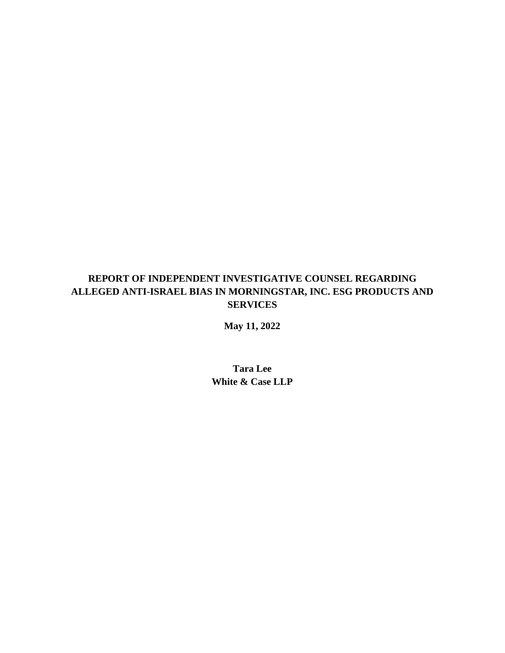# **REPORT OF INDEPENDENT INVESTIGATIVE COUNSEL REGARDING ALLEGED ANTI-ISRAEL BIAS IN MORNINGSTAR, INC. ESG PRODUCTS AND SERVICES**

**May 11, 2022**

**Tara Lee White & Case LLP**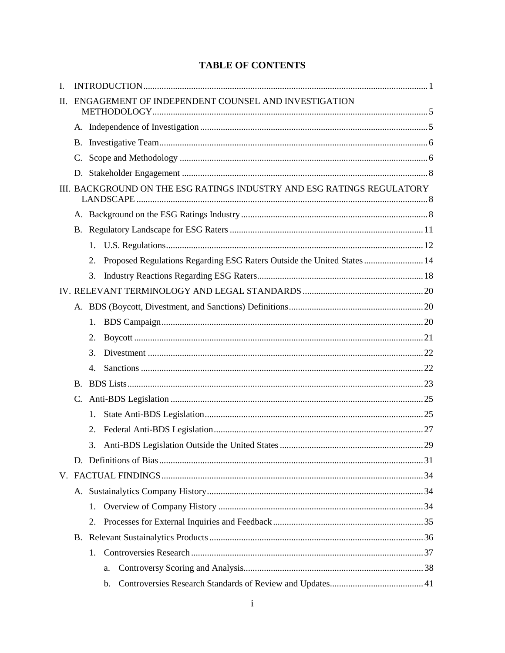# **TABLE OF CONTENTS**

| I.                                                             |                                                                        |             |                                                                         |  |
|----------------------------------------------------------------|------------------------------------------------------------------------|-------------|-------------------------------------------------------------------------|--|
| ENGAGEMENT OF INDEPENDENT COUNSEL AND INVESTIGATION<br>$\Pi$ . |                                                                        |             |                                                                         |  |
|                                                                |                                                                        |             |                                                                         |  |
|                                                                |                                                                        |             |                                                                         |  |
|                                                                |                                                                        |             |                                                                         |  |
|                                                                |                                                                        |             |                                                                         |  |
|                                                                |                                                                        |             |                                                                         |  |
|                                                                | III. BACKGROUND ON THE ESG RATINGS INDUSTRY AND ESG RATINGS REGULATORY |             |                                                                         |  |
|                                                                |                                                                        |             |                                                                         |  |
|                                                                |                                                                        |             |                                                                         |  |
|                                                                |                                                                        |             |                                                                         |  |
|                                                                |                                                                        | 2.          | Proposed Regulations Regarding ESG Raters Outside the United States  14 |  |
|                                                                |                                                                        | 3.          |                                                                         |  |
|                                                                |                                                                        |             |                                                                         |  |
|                                                                |                                                                        |             |                                                                         |  |
|                                                                |                                                                        | $1_{\cdot}$ |                                                                         |  |
|                                                                |                                                                        | 2.          |                                                                         |  |
|                                                                |                                                                        | 3.          |                                                                         |  |
|                                                                |                                                                        | 4.          |                                                                         |  |
|                                                                |                                                                        |             |                                                                         |  |
|                                                                |                                                                        |             |                                                                         |  |
|                                                                |                                                                        | $1_{\cdot}$ |                                                                         |  |
|                                                                |                                                                        | 2.          |                                                                         |  |
|                                                                |                                                                        | 3.          |                                                                         |  |
|                                                                |                                                                        |             |                                                                         |  |
|                                                                |                                                                        |             |                                                                         |  |
|                                                                |                                                                        |             |                                                                         |  |
|                                                                |                                                                        | 1.          |                                                                         |  |
|                                                                |                                                                        | 2.          |                                                                         |  |
|                                                                |                                                                        |             |                                                                         |  |
|                                                                |                                                                        | 1.          |                                                                         |  |
|                                                                |                                                                        |             | a.                                                                      |  |
|                                                                |                                                                        |             | b.                                                                      |  |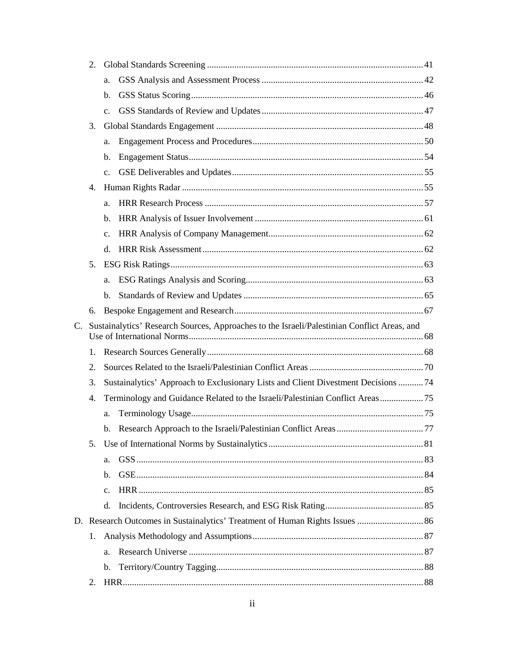| 2.                                                                                                         |    |                                                                                   |  |  |
|------------------------------------------------------------------------------------------------------------|----|-----------------------------------------------------------------------------------|--|--|
|                                                                                                            |    | a.                                                                                |  |  |
|                                                                                                            |    | b.                                                                                |  |  |
|                                                                                                            |    | C <sub>1</sub>                                                                    |  |  |
|                                                                                                            | 3. |                                                                                   |  |  |
|                                                                                                            |    | a.                                                                                |  |  |
|                                                                                                            |    | b.                                                                                |  |  |
|                                                                                                            |    | $\mathbf{c}$ .                                                                    |  |  |
|                                                                                                            | 4. |                                                                                   |  |  |
|                                                                                                            |    | a.                                                                                |  |  |
|                                                                                                            |    | b.                                                                                |  |  |
|                                                                                                            |    | $\mathbf{c}$ .                                                                    |  |  |
|                                                                                                            |    | $d_{\cdot}$                                                                       |  |  |
|                                                                                                            | 5. |                                                                                   |  |  |
|                                                                                                            |    | a.                                                                                |  |  |
|                                                                                                            |    | $\mathbf{b}$ .                                                                    |  |  |
|                                                                                                            | 6. |                                                                                   |  |  |
| Sustainalytics' Research Sources, Approaches to the Israeli/Palestinian Conflict Areas, and<br>$C_{\cdot}$ |    |                                                                                   |  |  |
|                                                                                                            |    |                                                                                   |  |  |
|                                                                                                            | 1. |                                                                                   |  |  |
|                                                                                                            | 2. |                                                                                   |  |  |
|                                                                                                            | 3. | Sustainalytics' Approach to Exclusionary Lists and Client Divestment Decisions 74 |  |  |
|                                                                                                            | 4. |                                                                                   |  |  |
|                                                                                                            |    | a.                                                                                |  |  |
|                                                                                                            |    |                                                                                   |  |  |
|                                                                                                            | 5. |                                                                                   |  |  |
|                                                                                                            |    | a.                                                                                |  |  |
|                                                                                                            |    | $\mathbf{b}$ .                                                                    |  |  |
|                                                                                                            |    | c.                                                                                |  |  |
|                                                                                                            |    | $d_{\cdot}$                                                                       |  |  |
|                                                                                                            |    |                                                                                   |  |  |
|                                                                                                            | 1. |                                                                                   |  |  |
|                                                                                                            |    | a.                                                                                |  |  |
|                                                                                                            |    | b.                                                                                |  |  |
|                                                                                                            | 2. |                                                                                   |  |  |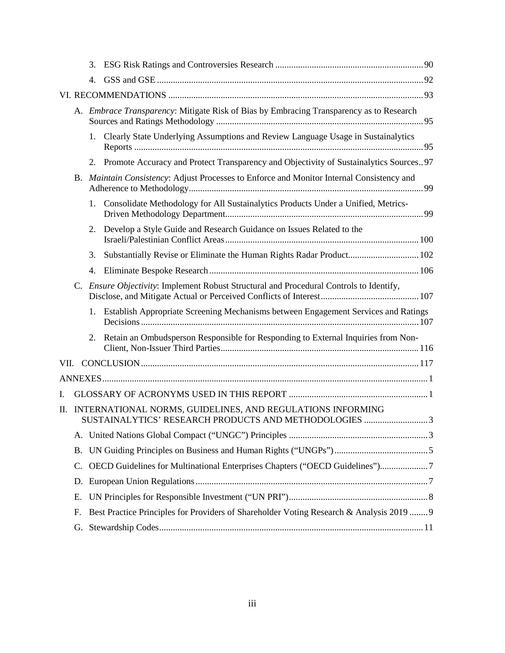|     |           | 3.                                                                                        |                                                                                                                     |  |  |
|-----|-----------|-------------------------------------------------------------------------------------------|---------------------------------------------------------------------------------------------------------------------|--|--|
|     |           | 4.                                                                                        |                                                                                                                     |  |  |
|     |           |                                                                                           |                                                                                                                     |  |  |
|     |           |                                                                                           | A. Embrace Transparency: Mitigate Risk of Bias by Embracing Transparency as to Research                             |  |  |
|     |           |                                                                                           | 1. Clearly State Underlying Assumptions and Review Language Usage in Sustainalytics                                 |  |  |
|     |           |                                                                                           | 2. Promote Accuracy and Protect Transparency and Objectivity of Sustainalytics Sources97                            |  |  |
|     |           | B. Maintain Consistency: Adjust Processes to Enforce and Monitor Internal Consistency and |                                                                                                                     |  |  |
|     |           | 1.                                                                                        | Consolidate Methodology for All Sustainalytics Products Under a Unified, Metrics-                                   |  |  |
|     |           | 2.                                                                                        | Develop a Style Guide and Research Guidance on Issues Related to the                                                |  |  |
|     |           | 3.                                                                                        | Substantially Revise or Eliminate the Human Rights Radar Product 102                                                |  |  |
|     |           |                                                                                           |                                                                                                                     |  |  |
|     |           |                                                                                           | C. Ensure Objectivity: Implement Robust Structural and Procedural Controls to Identify,                             |  |  |
|     |           |                                                                                           | 1. Establish Appropriate Screening Mechanisms between Engagement Services and Ratings                               |  |  |
|     |           |                                                                                           | 2. Retain an Ombudsperson Responsible for Responding to External Inquiries from Non-                                |  |  |
|     |           |                                                                                           |                                                                                                                     |  |  |
|     |           |                                                                                           |                                                                                                                     |  |  |
| L.  |           |                                                                                           |                                                                                                                     |  |  |
| II. |           |                                                                                           | INTERNATIONAL NORMS, GUIDELINES, AND REGULATIONS INFORMING<br>SUSTAINALYTICS' RESEARCH PRODUCTS AND METHODOLOGIES 3 |  |  |
|     | A.        |                                                                                           |                                                                                                                     |  |  |
|     | <b>B.</b> |                                                                                           |                                                                                                                     |  |  |
|     | C.        |                                                                                           | OECD Guidelines for Multinational Enterprises Chapters ("OECD Guidelines")7                                         |  |  |
|     | D.        |                                                                                           |                                                                                                                     |  |  |
|     | Ε.        |                                                                                           |                                                                                                                     |  |  |
|     | F.        |                                                                                           | Best Practice Principles for Providers of Shareholder Voting Research & Analysis 2019  9                            |  |  |
|     | G.        |                                                                                           |                                                                                                                     |  |  |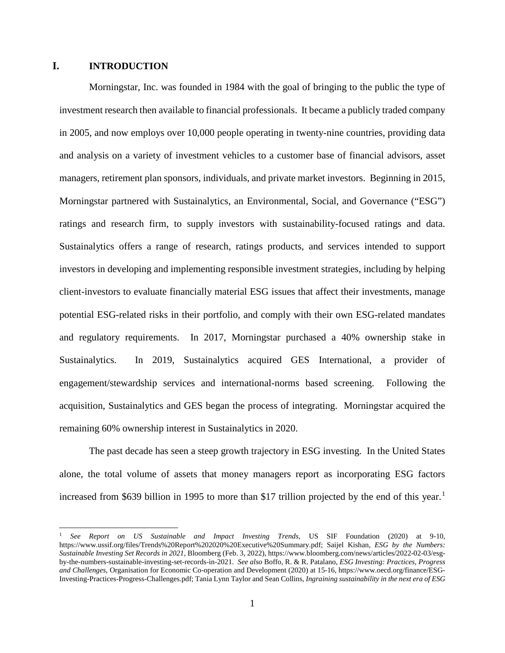# <span id="page-4-0"></span>**I. INTRODUCTION**

Morningstar, Inc. was founded in 1984 with the goal of bringing to the public the type of investment research then available to financial professionals. It became a publicly traded company in 2005, and now employs over 10,000 people operating in twenty-nine countries, providing data and analysis on a variety of investment vehicles to a customer base of financial advisors, asset managers, retirement plan sponsors, individuals, and private market investors. Beginning in 2015, Morningstar partnered with Sustainalytics, an Environmental, Social, and Governance ("ESG") ratings and research firm, to supply investors with sustainability-focused ratings and data. Sustainalytics offers a range of research, ratings products, and services intended to support investors in developing and implementing responsible investment strategies, including by helping client-investors to evaluate financially material ESG issues that affect their investments, manage potential ESG-related risks in their portfolio, and comply with their own ESG-related mandates and regulatory requirements. In 2017, Morningstar purchased a 40% ownership stake in Sustainalytics. In 2019, Sustainalytics acquired GES International, a provider of engagement/stewardship services and international-norms based screening. Following the acquisition, Sustainalytics and GES began the process of integrating. Morningstar acquired the remaining 60% ownership interest in Sustainalytics in 2020.

The past decade has seen a steep growth trajectory in ESG investing. In the United States alone, the total volume of assets that money managers report as incorporating ESG factors increased from \$639 billion in 1995 to more than \$17 trillion projected by the end of this year. [1](#page-4-1)

<span id="page-4-1"></span> <sup>1</sup> *See Report on US Sustainable and Impact Investing Trends*, US SIF Foundation (2020) at 9-10, https://www.ussif.org/files/Trends%20Report%202020%20Executive%20Summary.pdf; Saijel Kishan, *ESG by the Numbers: Sustainable Investing Set Records in 2021*, Bloomberg (Feb. 3, 2022), https://www.bloomberg.com/news/articles/2022-02-03/esgby-the-numbers-sustainable-investing-set-records-in-2021. *See also* Boffo, R. & R. Patalano, *ESG Investing: Practices, Progress and Challenges*, Organisation for Economic Co-operation and Development (2020) at 15-16, https://www.oecd.org/finance/ESG-Investing-Practices-Progress-Challenges.pdf; Tania Lynn Taylor and Sean Collins, *Ingraining sustainability in the next era of ESG*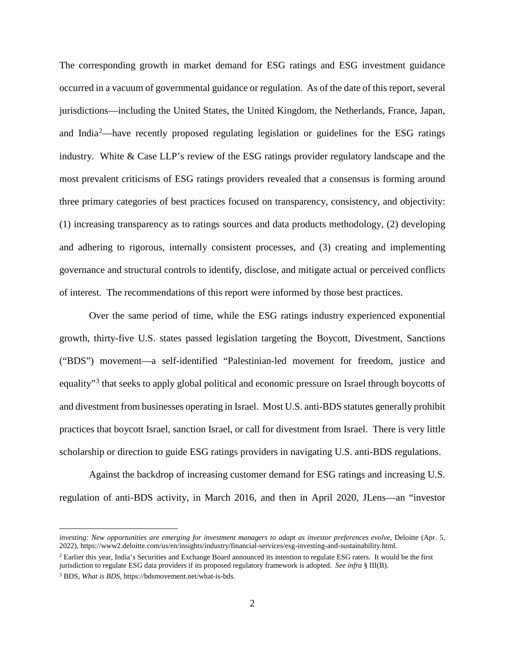The corresponding growth in market demand for ESG ratings and ESG investment guidance occurred in a vacuum of governmental guidance or regulation. As of the date of this report, several jurisdictions—including the United States, the United Kingdom, the Netherlands, France, Japan, and India<sup>[2](#page-5-0)</sup>—have recently proposed regulating legislation or guidelines for the ESG ratings industry. White & Case LLP's review of the ESG ratings provider regulatory landscape and the most prevalent criticisms of ESG ratings providers revealed that a consensus is forming around three primary categories of best practices focused on transparency, consistency, and objectivity: (1) increasing transparency as to ratings sources and data products methodology, (2) developing and adhering to rigorous, internally consistent processes, and (3) creating and implementing governance and structural controls to identify, disclose, and mitigate actual or perceived conflicts of interest. The recommendations of this report were informed by those best practices.

Over the same period of time, while the ESG ratings industry experienced exponential growth, thirty-five U.S. states passed legislation targeting the Boycott, Divestment, Sanctions ("BDS") movement—a self-identified "Palestinian-led movement for freedom, justice and equality"[3](#page-5-1) that seeks to apply global political and economic pressure on Israel through boycotts of and divestment from businesses operating in Israel. Most U.S. anti-BDS statutes generally prohibit practices that boycott Israel, sanction Israel, or call for divestment from Israel. There is very little scholarship or direction to guide ESG ratings providers in navigating U.S. anti-BDS regulations.

Against the backdrop of increasing customer demand for ESG ratings and increasing U.S. regulation of anti-BDS activity, in March 2016, and then in April 2020, JLens—an "investor

 $\overline{a}$ 

*investing: New opportunities are emerging for investment managers to adapt as investor preferences evolve*, Deloitte (Apr. 5, 2022), https://www2.deloitte.com/us/en/insights/industry/financial-services/esg-investing-and-sustainability.html.

<span id="page-5-0"></span><sup>&</sup>lt;sup>2</sup> Earlier this year, India's Securities and Exchange Board announced its intention to regulate ESG raters. It would be the first jurisdiction to regulate ESG data providers if its proposed regulatory framework is adopted. *See infra* § III(B).

<span id="page-5-1"></span><sup>3</sup> BDS, *What is BDS*, https://bdsmovement.net/what-is-bds.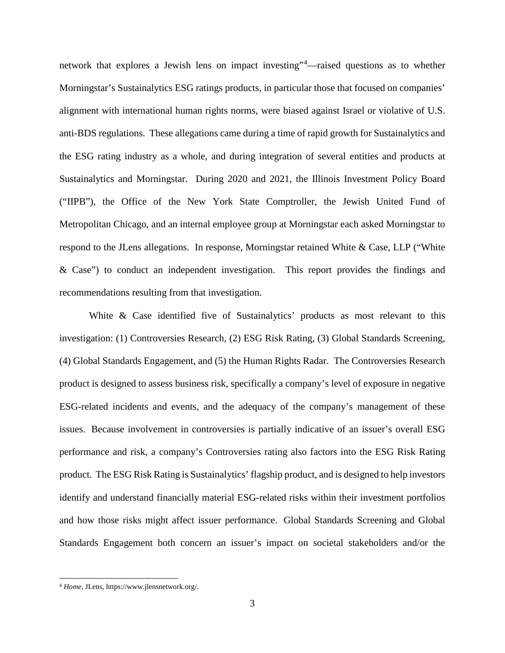network that explores a Jewish lens on impact investing"[4](#page-6-0) —raised questions as to whether Morningstar's Sustainalytics ESG ratings products, in particular those that focused on companies' alignment with international human rights norms, were biased against Israel or violative of U.S. anti-BDS regulations. These allegations came during a time of rapid growth for Sustainalytics and the ESG rating industry as a whole, and during integration of several entities and products at Sustainalytics and Morningstar. During 2020 and 2021, the Illinois Investment Policy Board ("IIPB"), the Office of the New York State Comptroller, the Jewish United Fund of Metropolitan Chicago, and an internal employee group at Morningstar each asked Morningstar to respond to the JLens allegations. In response, Morningstar retained White & Case, LLP ("White & Case") to conduct an independent investigation. This report provides the findings and recommendations resulting from that investigation.

White & Case identified five of Sustainalytics' products as most relevant to this investigation: (1) Controversies Research, (2) ESG Risk Rating, (3) Global Standards Screening, (4) Global Standards Engagement, and (5) the Human Rights Radar. The Controversies Research product is designed to assess business risk, specifically a company's level of exposure in negative ESG-related incidents and events, and the adequacy of the company's management of these issues. Because involvement in controversies is partially indicative of an issuer's overall ESG performance and risk, a company's Controversies rating also factors into the ESG Risk Rating product. The ESG Risk Rating is Sustainalytics' flagship product, and is designed to help investors identify and understand financially material ESG-related risks within their investment portfolios and how those risks might affect issuer performance. Global Standards Screening and Global Standards Engagement both concern an issuer's impact on societal stakeholders and/or the

<span id="page-6-0"></span> <sup>4</sup> *Home*, JLens, https://www.jlensnetwork.org/.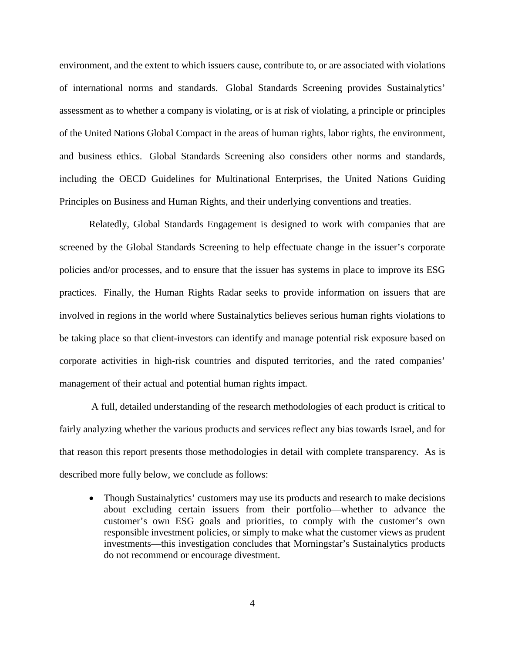environment, and the extent to which issuers cause, contribute to, or are associated with violations of international norms and standards. Global Standards Screening provides Sustainalytics' assessment as to whether a company is violating, or is at risk of violating, a principle or principles of the United Nations Global Compact in the areas of human rights, labor rights, the environment, and business ethics. Global Standards Screening also considers other norms and standards, including the OECD Guidelines for Multinational Enterprises, the United Nations Guiding Principles on Business and Human Rights, and their underlying conventions and treaties.

Relatedly, Global Standards Engagement is designed to work with companies that are screened by the Global Standards Screening to help effectuate change in the issuer's corporate policies and/or processes, and to ensure that the issuer has systems in place to improve its ESG practices. Finally, the Human Rights Radar seeks to provide information on issuers that are involved in regions in the world where Sustainalytics believes serious human rights violations to be taking place so that client-investors can identify and manage potential risk exposure based on corporate activities in high-risk countries and disputed territories, and the rated companies' management of their actual and potential human rights impact.

A full, detailed understanding of the research methodologies of each product is critical to fairly analyzing whether the various products and services reflect any bias towards Israel, and for that reason this report presents those methodologies in detail with complete transparency. As is described more fully below, we conclude as follows:

• Though Sustainalytics' customers may use its products and research to make decisions about excluding certain issuers from their portfolio—whether to advance the customer's own ESG goals and priorities, to comply with the customer's own responsible investment policies, or simply to make what the customer views as prudent investments—this investigation concludes that Morningstar's Sustainalytics products do not recommend or encourage divestment.

4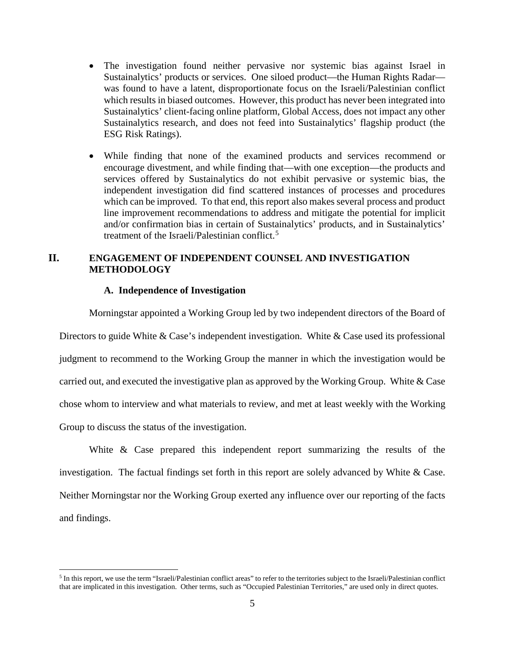- The investigation found neither pervasive nor systemic bias against Israel in Sustainalytics' products or services. One siloed product—the Human Rights Radar was found to have a latent, disproportionate focus on the Israeli/Palestinian conflict which results in biased outcomes. However, this product has never been integrated into Sustainalytics' client-facing online platform, Global Access, does not impact any other Sustainalytics research, and does not feed into Sustainalytics' flagship product (the ESG Risk Ratings).
- While finding that none of the examined products and services recommend or encourage divestment, and while finding that—with one exception—the products and services offered by Sustainalytics do not exhibit pervasive or systemic bias, the independent investigation did find scattered instances of processes and procedures which can be improved. To that end, this report also makes several process and product line improvement recommendations to address and mitigate the potential for implicit and/or confirmation bias in certain of Sustainalytics' products, and in Sustainalytics' treatment of the Israeli/Palestinian conflict.<sup>[5](#page-8-2)</sup>

# <span id="page-8-0"></span>**II. ENGAGEMENT OF INDEPENDENT COUNSEL AND INVESTIGATION METHODOLOGY**

### **A. Independence of Investigation**

<span id="page-8-1"></span>Morningstar appointed a Working Group led by two independent directors of the Board of Directors to guide White & Case's independent investigation. White & Case used its professional judgment to recommend to the Working Group the manner in which the investigation would be carried out, and executed the investigative plan as approved by the Working Group. White & Case chose whom to interview and what materials to review, and met at least weekly with the Working Group to discuss the status of the investigation.

White & Case prepared this independent report summarizing the results of the investigation. The factual findings set forth in this report are solely advanced by White & Case. Neither Morningstar nor the Working Group exerted any influence over our reporting of the facts and findings.

<span id="page-8-2"></span> <sup>5</sup> In this report, we use the term "Israeli/Palestinian conflict areas" to refer to the territories subject to the Israeli/Palestinian conflict that are implicated in this investigation. Other terms, such as "Occupied Palestinian Territories," are used only in direct quotes.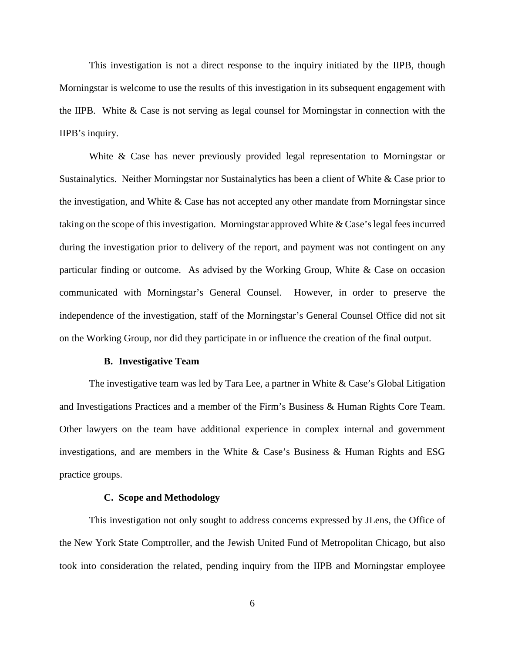This investigation is not a direct response to the inquiry initiated by the IIPB, though Morningstar is welcome to use the results of this investigation in its subsequent engagement with the IIPB. White & Case is not serving as legal counsel for Morningstar in connection with the IIPB's inquiry.

White & Case has never previously provided legal representation to Morningstar or Sustainalytics. Neither Morningstar nor Sustainalytics has been a client of White & Case prior to the investigation, and White & Case has not accepted any other mandate from Morningstar since taking on the scope of this investigation. Morningstar approved White & Case's legal fees incurred during the investigation prior to delivery of the report, and payment was not contingent on any particular finding or outcome. As advised by the Working Group, White & Case on occasion communicated with Morningstar's General Counsel. However, in order to preserve the independence of the investigation, staff of the Morningstar's General Counsel Office did not sit on the Working Group, nor did they participate in or influence the creation of the final output.

#### **B. Investigative Team**

<span id="page-9-0"></span>The investigative team was led by Tara Lee, a partner in White & Case's Global Litigation and Investigations Practices and a member of the Firm's Business & Human Rights Core Team. Other lawyers on the team have additional experience in complex internal and government investigations, and are members in the White & Case's Business & Human Rights and ESG practice groups.

#### **C. Scope and Methodology**

<span id="page-9-1"></span>This investigation not only sought to address concerns expressed by JLens, the Office of the New York State Comptroller, and the Jewish United Fund of Metropolitan Chicago, but also took into consideration the related, pending inquiry from the IIPB and Morningstar employee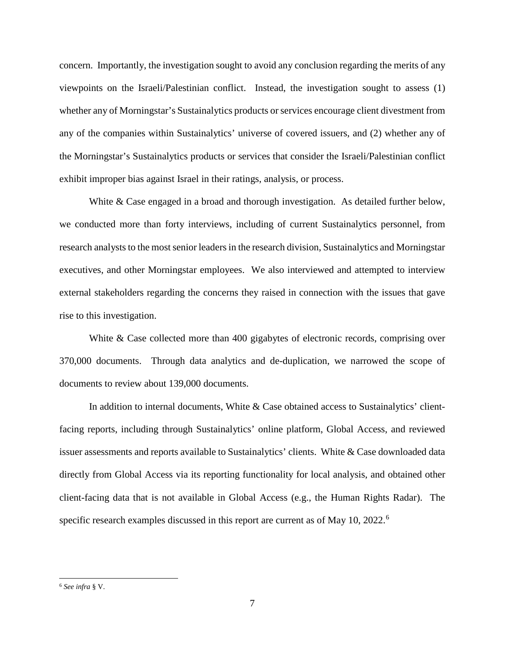concern. Importantly, the investigation sought to avoid any conclusion regarding the merits of any viewpoints on the Israeli/Palestinian conflict. Instead, the investigation sought to assess (1) whether any of Morningstar's Sustainalytics products or services encourage client divestment from any of the companies within Sustainalytics' universe of covered issuers, and (2) whether any of the Morningstar's Sustainalytics products or services that consider the Israeli/Palestinian conflict exhibit improper bias against Israel in their ratings, analysis, or process.

White & Case engaged in a broad and thorough investigation. As detailed further below, we conducted more than forty interviews, including of current Sustainalytics personnel, from research analysts to the most senior leaders in the research division, Sustainalytics and Morningstar executives, and other Morningstar employees. We also interviewed and attempted to interview external stakeholders regarding the concerns they raised in connection with the issues that gave rise to this investigation.

White & Case collected more than 400 gigabytes of electronic records, comprising over 370,000 documents. Through data analytics and de-duplication, we narrowed the scope of documents to review about 139,000 documents.

In addition to internal documents, White & Case obtained access to Sustainalytics' clientfacing reports, including through Sustainalytics' online platform, Global Access, and reviewed issuer assessments and reports available to Sustainalytics' clients. White & Case downloaded data directly from Global Access via its reporting functionality for local analysis, and obtained other client-facing data that is not available in Global Access (e.g., the Human Rights Radar). The specific research examples discussed in this report are current as of May 10, 2022.[6](#page-10-0)

<span id="page-10-0"></span> <sup>6</sup> *See infra* § V.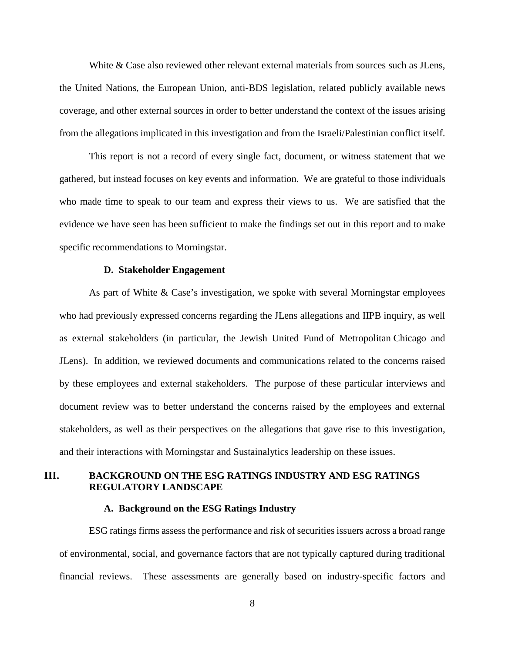White & Case also reviewed other relevant external materials from sources such as JLens, the United Nations, the European Union, anti-BDS legislation, related publicly available news coverage, and other external sources in order to better understand the context of the issues arising from the allegations implicated in this investigation and from the Israeli/Palestinian conflict itself.

This report is not a record of every single fact, document, or witness statement that we gathered, but instead focuses on key events and information. We are grateful to those individuals who made time to speak to our team and express their views to us. We are satisfied that the evidence we have seen has been sufficient to make the findings set out in this report and to make specific recommendations to Morningstar.

#### **D. Stakeholder Engagement**

<span id="page-11-0"></span>As part of White & Case's investigation, we spoke with several Morningstar employees who had previously expressed concerns regarding the JLens allegations and IIPB inquiry, as well as external stakeholders (in particular, the Jewish United Fund of Metropolitan Chicago and JLens). In addition, we reviewed documents and communications related to the concerns raised by these employees and external stakeholders. The purpose of these particular interviews and document review was to better understand the concerns raised by the employees and external stakeholders, as well as their perspectives on the allegations that gave rise to this investigation, and their interactions with Morningstar and Sustainalytics leadership on these issues.

# <span id="page-11-1"></span>**III. BACKGROUND ON THE ESG RATINGS INDUSTRY AND ESG RATINGS REGULATORY LANDSCAPE**

### **A. Background on the ESG Ratings Industry**

<span id="page-11-2"></span>ESG ratings firms assess the performance and risk of securities issuers across a broad range of environmental, social, and governance factors that are not typically captured during traditional financial reviews. These assessments are generally based on industry-specific factors and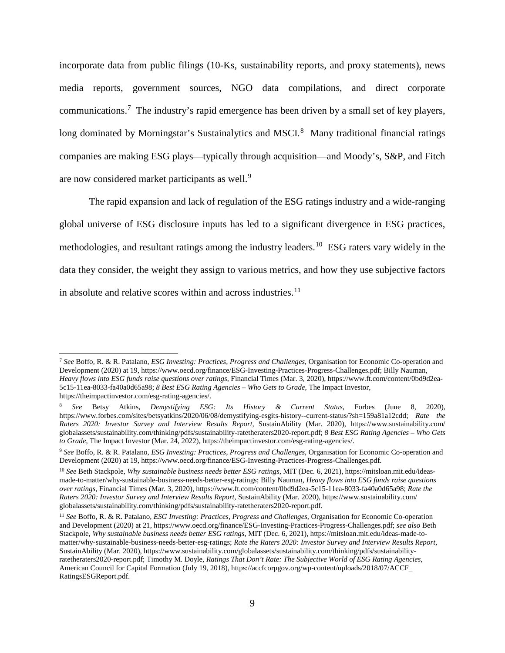incorporate data from public filings (10-Ks, sustainability reports, and proxy statements), news media reports, government sources, NGO data compilations, and direct corporate communications.<sup>[7](#page-12-0)</sup> The industry's rapid emergence has been driven by a small set of key players, long dominated by Morningstar's Sustainalytics and MSCI.<sup>[8](#page-12-1)</sup> Many traditional financial ratings companies are making ESG plays—typically through acquisition—and Moody's, S&P, and Fitch are now considered market participants as well.<sup>[9](#page-12-2)</sup>

The rapid expansion and lack of regulation of the ESG ratings industry and a wide-ranging global universe of ESG disclosure inputs has led to a significant divergence in ESG practices, methodologies, and resultant ratings among the industry leaders.<sup>[10](#page-12-3)</sup> ESG raters vary widely in the data they consider, the weight they assign to various metrics, and how they use subjective factors in absolute and relative scores within and across industries. $11$ 

<span id="page-12-0"></span> <sup>7</sup> *See* Boffo, R. & R. Patalano, *ESG Investing: Practices, Progress and Challenges*, Organisation for Economic Co-operation and Development (2020) at 19, https://www.oecd.org/finance/ESG-Investing-Practices-Progress-Challenges.pdf; Billy Nauman, *Heavy flows into ESG funds raise questions over ratings*, Financial Times (Mar. 3, 2020), https://www.ft.com/content/0bd9d2ea-5c15-11ea-8033-fa40a0d65a98; *8 Best ESG Rating Agencies – Who Gets to Grade*, The Impact Investor, https://theimpactinvestor.com/esg-rating-agencies/.

<span id="page-12-1"></span><sup>8</sup> *See* Betsy Atkins, *Demystifying ESG: Its History & Current Status*, Forbes (June 8, 2020), https://www.forbes.com/sites/betsyatkins/2020/06/08/demystifying-esgits-history--current-status/?sh=159a81a12cdd; *Rate the Raters 2020: Investor Survey and Interview Results Report,* SustainAbility (Mar. 2020), https://www.sustainability.com/ globalassets/sustainability.com/thinking/pdfs/sustainability-ratetheraters2020-report.pdf; *8 Best ESG Rating Agencies – Who Gets to Grade*, The Impact Investor (Mar. 24, 2022), https://theimpactinvestor.com/esg-rating-agencies/.

<span id="page-12-2"></span><sup>9</sup> *See* Boffo, R. & R. Patalano, *ESG Investing: Practices, Progress and Challenges*, Organisation for Economic Co-operation and Development (2020) at 19, https://www.oecd.org/finance/ESG-Investing-Practices-Progress-Challenges.pdf.

<span id="page-12-3"></span><sup>10</sup> *See* Beth Stackpole, *Why sustainable business needs better ESG ratings*, MIT (Dec. 6, 2021), https://mitsloan.mit.edu/ideasmade-to-matter/why-sustainable-business-needs-better-esg-ratings; Billy Nauman, *Heavy flows into ESG funds raise questions over ratings*, Financial Times (Mar. 3, 2020), https://www.ft.com/content/0bd9d2ea-5c15-11ea-8033-fa40a0d65a98; *Rate the Raters 2020: Investor Survey and Interview Results Report*, SustainAbility (Mar. 2020), https://www.sustainability.com/ globalassets/sustainability.com/thinking/pdfs/sustainability-ratetheraters2020-report.pdf.

<span id="page-12-4"></span><sup>11</sup> *See* Boffo, R. & R. Patalano, *ESG Investing: Practices, Progress and Challenges*, Organisation for Economic Co-operation and Development (2020) at 21, https://www.oecd.org/finance/ESG-Investing-Practices-Progress-Challenges.pdf; *see also* Beth Stackpole, *Why sustainable business needs better ESG ratings*, MIT (Dec. 6, 2021), https://mitsloan.mit.edu/ideas-made-tomatter/why-sustainable-business-needs-better-esg-ratings; *Rate the Raters 2020: Investor Survey and Interview Results Report*, SustainAbility (Mar. 2020), https://www.sustainability.com/globalassets/sustainability.com/thinking/pdfs/sustainabilityratetheraters2020-report.pdf; Timothy M. Doyle, *Ratings That Don't Rate: The Subjective World of ESG Rating Agencies*, American Council for Capital Formation (July 19, 2018), https://accfcorpgov.org/wp-content/uploads/2018/07/ACCF\_ RatingsESGReport.pdf.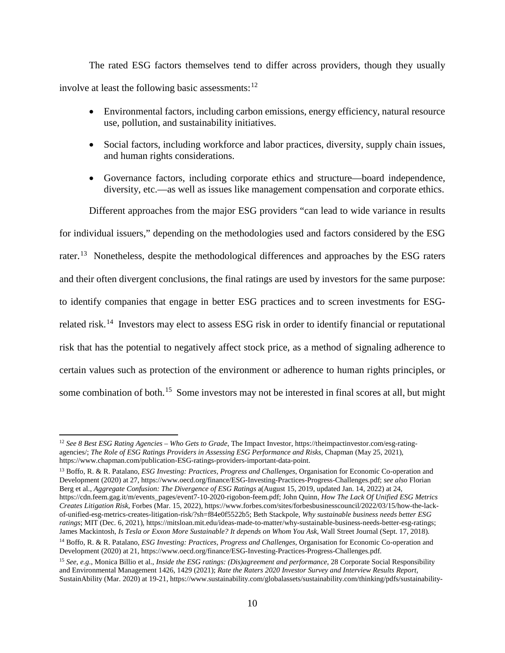The rated ESG factors themselves tend to differ across providers, though they usually involve at least the following basic assessments:<sup>[12](#page-13-0)</sup>

- Environmental factors, including carbon emissions, energy efficiency, natural resource use, pollution, and sustainability initiatives.
- Social factors, including workforce and labor practices, diversity, supply chain issues, and human rights considerations.
- Governance factors, including corporate ethics and structure—board independence, diversity, etc.—as well as issues like management compensation and corporate ethics.

Different approaches from the major ESG providers "can lead to wide variance in results for individual issuers," depending on the methodologies used and factors considered by the ESG rater.[13](#page-13-1) Nonetheless, despite the methodological differences and approaches by the ESG raters and their often divergent conclusions, the final ratings are used by investors for the same purpose: to identify companies that engage in better ESG practices and to screen investments for ESGrelated risk.[14](#page-13-2) Investors may elect to assess ESG risk in order to identify financial or reputational risk that has the potential to negatively affect stock price, as a method of signaling adherence to certain values such as protection of the environment or adherence to human rights principles, or some combination of both.<sup>15</sup> Some investors may not be interested in final scores at all, but might

<span id="page-13-0"></span> <sup>12</sup> *See 8 Best ESG Rating Agencies – Who Gets to Grade*, The Impact Investor, https://theimpactinvestor.com/esg-ratingagencies/; *The Role of ESG Ratings Providers in Assessing ESG Performance and Risks*, Chapman (May 25, 2021), https://www.chapman.com/publication-ESG-ratings-providers-important-data-point.

<span id="page-13-1"></span><sup>13</sup> Boffo, R. & R. Patalano, *ESG Investing: Practices, Progress and Challenges*, Organisation for Economic Co-operation and Development (2020) at 27, https://www.oecd.org/finance/ESG-Investing-Practices-Progress-Challenges.pdf; *see also* Florian Berg et al., *Aggregate Confusion: The Divergence of ESG Ratings* a(August 15, 2019, updated Jan. 14, 2022) at 24, https://cdn.feem.gag.it/m/events\_pages/event7-10-2020-rigobon-feem.pdf; John Quinn, *How The Lack Of Unified ESG Metrics Creates Litigation Risk*, Forbes (Mar. 15, 2022), https://www.forbes.com/sites/forbesbusinesscouncil/2022/03/15/how-the-lackof-unified-esg-metrics-creates-litigation-risk/?sh=f84e0f5522b5; Beth Stackpole, *Why sustainable business needs better ESG ratings*; MIT (Dec. 6, 2021), https://mitsloan.mit.edu/ideas-made-to-matter/why-sustainable-business-needs-better-esg-ratings; James Mackintosh, *Is Tesla or Exxon More Sustainable? It depends on Whom You Ask*, Wall Street Journal (Sept. 17, 2018).

<span id="page-13-2"></span><sup>14</sup> Boffo, R. & R. Patalano, *ESG Investing: Practices, Progress and Challenges*, Organisation for Economic Co-operation and Development (2020) at 21, https://www.oecd.org/finance/ESG-Investing-Practices-Progress-Challenges.pdf.

<span id="page-13-3"></span><sup>15</sup> *See, e.g.*, Monica Billio et al., *Inside the ESG ratings: (Dis)agreement and performance*, 28 Corporate Social Responsibility and Environmental Management 1426, 1429 (2021); *Rate the Raters 2020 Investor Survey and Interview Results Report*, SustainAbility (Mar. 2020) at 19-21, https://www.sustainability.com/globalassets/sustainability.com/thinking/pdfs/sustainability-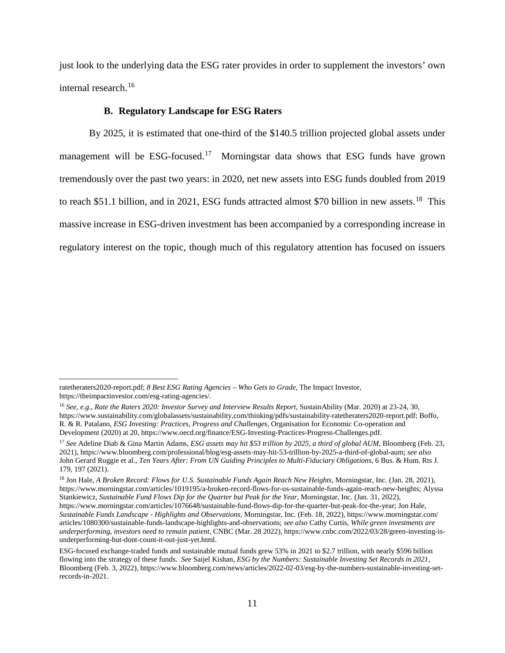just look to the underlying data the ESG rater provides in order to supplement the investors' own internal research.[16](#page-14-1)

### **B. Regulatory Landscape for ESG Raters**

<span id="page-14-0"></span>By 2025, it is estimated that one-third of the \$140.5 trillion projected global assets under management will be  $ESG$ -focused.<sup>17</sup> Morningstar data shows that ESG funds have grown tremendously over the past two years: in 2020, net new assets into ESG funds doubled from 2019 to reach \$51.1 billion, and in 2021, ESG funds attracted almost \$70 billion in new assets.<sup>[18](#page-14-3)</sup> This massive increase in ESG-driven investment has been accompanied by a corresponding increase in regulatory interest on the topic, though much of this regulatory attention has focused on issuers

ratetheraters2020-report.pdf; *8 Best ESG Rating Agencies – Who Gets to Grade*, The Impact Investor, https://theimpactinvestor.com/esg-rating-agencies/.

<span id="page-14-1"></span><sup>16</sup> *See, e.g.*, *Rate the Raters 2020: Investor Survey and Interview Results Report,* SustainAbility (Mar. 2020) at 23-24, 30, https://www.sustainability.com/globalassets/sustainability.com/thinking/pdfs/sustainability-ratetheraters2020-report.pdf; Boffo, R. & R. Patalano, *ESG Investing: Practices, Progress and Challenges*, Organisation for Economic Co-operation and Development (2020) at 20, https://www.oecd.org/finance/ESG-Investing-Practices-Progress-Challenges.pdf.

<span id="page-14-2"></span><sup>&</sup>lt;sup>17</sup> See Adeline Diab & Gina Martin Adams, *ESG assets may hit \$53 trillion by 2025, a third of global AUM*, Bloomberg (Feb. 23, 2021), https://www.bloomberg.com/professional/blog/esg-assets-may-hit-53-trillion-by-2025-a-third-of-global-aum; *see also*  John Gerard Ruggie et al., *Ten Years After: From UN Guiding Principles to Multi-Fiduciary Obligations*, 6 Bus. & Hum. Rts J. 179, 197 (2021).

<span id="page-14-3"></span><sup>&</sup>lt;sup>18</sup> Jon Hale, *A Broken Record: Flows for U.S. Sustainable Funds Again Reach New Heights*, Morningstar, Inc. (Jan. 28, 2021), https://www.morningstar.com/articles/1019195/a-broken-record-flows-for-us-sustainable-funds-again-reach-new-heights; Alyssa Stankiewicz, *Sustainable Fund Flows Dip for the Quarter but Peak for the Year*, Morningstar, Inc. (Jan. 31, 2022), https://www.morningstar.com/articles/1076648/sustainable-fund-flows-dip-for-the-quarter-but-peak-for-the-year; Jon Hale, *Sustainable Funds Landscape - Highlights and Observations*, Morningstar, Inc. (Feb. 18, 2022), https://www.morningstar.com/ articles/1080300/sustainable-funds-landscape-highlights-and-observations; *see also* Cathy Curtis, *While green investments are underperforming, investors need to remain patient*, CNBC (Mar. 28 2022), https://www.cnbc.com/2022/03/28/green-investing-isunderperforming-but-dont-count-it-out-just-yet.html.

ESG-focused exchange-traded funds and sustainable mutual funds grew 53% in 2021 to \$2.7 trillion, with nearly \$596 billion flowing into the strategy of these funds. *See* Saijel Kishan, *ESG by the Numbers: Sustainable Investing Set Records in 2021*, Bloomberg (Feb. 3, 2022), https://www.bloomberg.com/news/articles/2022-02-03/esg-by-the-numbers-sustainable-investing-setrecords-in-2021.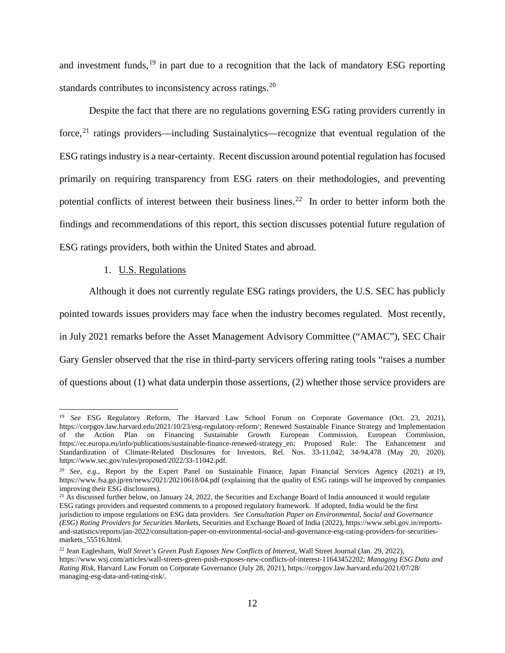and investment funds,<sup>[19](#page-15-1)</sup> in part due to a recognition that the lack of mandatory ESG reporting standards contributes to inconsistency across ratings.<sup>[20](#page-15-2)</sup>

Despite the fact that there are no regulations governing ESG rating providers currently in force, $21$  ratings providers—including Sustainalytics—recognize that eventual regulation of the ESG ratings industry is a near-certainty. Recent discussion around potential regulation has focused primarily on requiring transparency from ESG raters on their methodologies, and preventing potential conflicts of interest between their business lines.<sup>[22](#page-15-4)</sup> In order to better inform both the findings and recommendations of this report, this section discusses potential future regulation of ESG ratings providers, both within the United States and abroad.

#### 1. U.S. Regulations

<span id="page-15-0"></span>Although it does not currently regulate ESG ratings providers, the U.S. SEC has publicly pointed towards issues providers may face when the industry becomes regulated. Most recently, in July 2021 remarks before the Asset Management Advisory Committee ("AMAC"), SEC Chair Gary Gensler observed that the rise in third-party servicers offering rating tools "raises a number of questions about (1) what data underpin those assertions, (2) whether those service providers are

<span id="page-15-1"></span> <sup>19</sup> *See* ESG Regulatory Reform, The Harvard Law School Forum on Corporate Governance (Oct. 23, 2021), https://corpgov.law.harvard.edu/2021/10/23/esg-regulatory-reform/; Renewed Sustainable Finance Strategy and Implementation of the Action Plan on Financing Sustainable Growth European Commission, European Commission, https://ec.europa.eu/info/publications/sustainable-finance-renewed-strategy\_en; Proposed Rule: The Enhancement and Standardization of Climate-Related Disclosures for Investors, Rel. Nos. 33-11,042; 34-94,478 (May 20, 2020), https://www.sec.gov/rules/proposed/2022/33-11042.pdf.

<span id="page-15-2"></span><sup>20</sup> *See, e.g.*, Report by the Expert Panel on Sustainable Finance, Japan Financial Services Agency (2021) at 19, https://www.fsa.go.jp/en/news/2021/20210618/04.pdf (explaining that the quality of ESG ratings will be improved by companies improving their ESG disclosures).

<span id="page-15-3"></span> $21$  As discussed further below, on January 24, 2022, the Securities and Exchange Board of India announced it would regulate ESG ratings providers and requested comments to a proposed regulatory framework. If adopted, India would be the first jurisdiction to impose regulations on ESG data providers. *See Consultation Paper on Environmental, Social and Governance (ESG) Rating Providers for Securities Markets*, Securities and Exchange Board of India (2022), https://www.sebi.gov.in/reportsand-statistics/reports/jan-2022/consultation-paper-on-environmental-social-and-governance-esg-rating-providers-for-securitiesmarkets\_55516.html.

<span id="page-15-4"></span><sup>22</sup> Jean Eaglesham, *Wall Street's Green Push Exposes New Conflicts of Interest*, Wall Street Journal (Jan. 29, 2022), https://www.wsj.com/articles/wall-streets-green-push-exposes-new-conflicts-of-interest-11643452202; *Managing ESG Data and Rating Risk*, Harvard Law Forum on Corporate Governance (July 28, 2021), https://corpgov.law.harvard.edu/2021/07/28/ managing-esg-data-and-rating-risk/.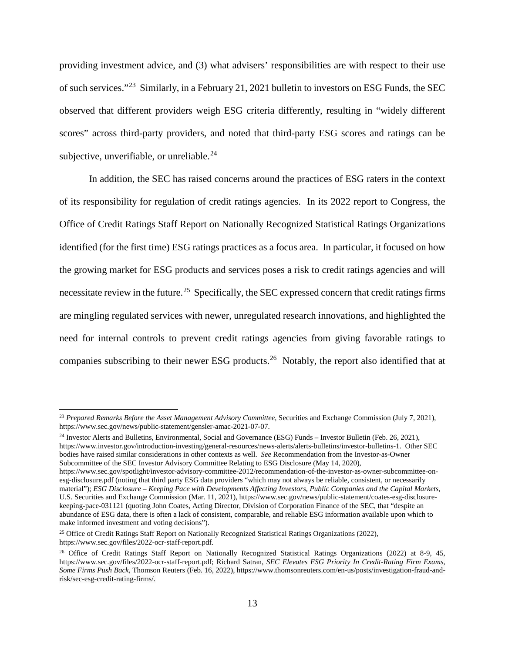providing investment advice, and (3) what advisers' responsibilities are with respect to their use of such services."[23](#page-16-0) Similarly, in a February 21, 2021 bulletin to investors on ESG Funds, the SEC observed that different providers weigh ESG criteria differently, resulting in "widely different scores" across third-party providers, and noted that third-party ESG scores and ratings can be subjective, unverifiable, or unreliable. $^{24}$  $^{24}$  $^{24}$ 

In addition, the SEC has raised concerns around the practices of ESG raters in the context of its responsibility for regulation of credit ratings agencies. In its 2022 report to Congress, the Office of Credit Ratings Staff Report on Nationally Recognized Statistical Ratings Organizations identified (for the first time) ESG ratings practices as a focus area. In particular, it focused on how the growing market for ESG products and services poses a risk to credit ratings agencies and will necessitate review in the future.<sup>25</sup> Specifically, the SEC expressed concern that credit ratings firms are mingling regulated services with newer, unregulated research innovations, and highlighted the need for internal controls to prevent credit ratings agencies from giving favorable ratings to companies subscribing to their newer ESG products.<sup>26</sup> Notably, the report also identified that at

<span id="page-16-1"></span><sup>24</sup> Investor Alerts and Bulletins, Environmental, Social and Governance (ESG) Funds – Investor Bulletin (Feb. 26, 2021), https://www.investor.gov/introduction-investing/general-resources/news-alerts/alerts-bulletins/investor-bulletins-1. Other SEC bodies have raised similar considerations in other contexts as well. *See* Recommendation from the Investor-as-Owner Subcommittee of the SEC Investor Advisory Committee Relating to ESG Disclosure (May 14, 2020),

<span id="page-16-0"></span><sup>&</sup>lt;sup>23</sup> Prepared Remarks Before the Asset Management Advisory Committee, Securities and Exchange Commission (July 7, 2021), https://www.sec.gov/news/public-statement/gensler-amac-2021-07-07.

https://www.sec.gov/spotlight/investor-advisory-committee-2012/recommendation-of-the-investor-as-owner-subcommittee-onesg-disclosure.pdf (noting that third party ESG data providers "which may not always be reliable, consistent, or necessarily material"); *ESG Disclosure – Keeping Pace with Developments Affecting Investors, Public Companies and the Capital Markets*, U.S. Securities and Exchange Commission (Mar. 11, 2021), https://www.sec.gov/news/public-statement/coates-esg-disclosurekeeping-pace-031121 (quoting John Coates, Acting Director, Division of Corporation Finance of the SEC, that "despite an abundance of ESG data, there is often a lack of consistent, comparable, and reliable ESG information available upon which to make informed investment and voting decisions").

<span id="page-16-2"></span><sup>&</sup>lt;sup>25</sup> Office of Credit Ratings Staff Report on Nationally Recognized Statistical Ratings Organizations (2022), https://www.sec.gov/files/2022-ocr-staff-report.pdf.

<span id="page-16-3"></span><sup>&</sup>lt;sup>26</sup> Office of Credit Ratings Staff Report on Nationally Recognized Statistical Ratings Organizations (2022) at 8-9, 45, https://www.sec.gov/files/2022-ocr-staff-report.pdf; Richard Satran, *SEC Elevates ESG Priority In Credit-Rating Firm Exams, Some Firms Push Back*, Thomson Reuters (Feb. 16, 2022), https://www.thomsonreuters.com/en-us/posts/investigation-fraud-andrisk/sec-esg-credit-rating-firms/.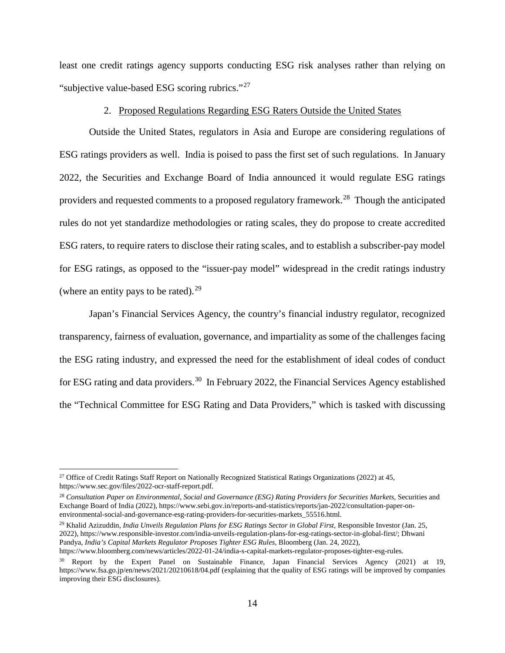least one credit ratings agency supports conducting ESG risk analyses rather than relying on "subjective value-based ESG scoring rubrics."<sup>[27](#page-17-1)</sup>

### 2. Proposed Regulations Regarding ESG Raters Outside the United States

<span id="page-17-0"></span>Outside the United States, regulators in Asia and Europe are considering regulations of ESG ratings providers as well. India is poised to pass the first set of such regulations. In January 2022, the Securities and Exchange Board of India announced it would regulate ESG ratings providers and requested comments to a proposed regulatory framework.[28](#page-17-2) Though the anticipated rules do not yet standardize methodologies or rating scales, they do propose to create accredited ESG raters, to require raters to disclose their rating scales, and to establish a subscriber-pay model for ESG ratings, as opposed to the "issuer-pay model" widespread in the credit ratings industry (where an entity pays to be rated). $^{29}$  $^{29}$  $^{29}$ 

Japan's Financial Services Agency, the country's financial industry regulator, recognized transparency, fairness of evaluation, governance, and impartiality as some of the challenges facing the ESG rating industry, and expressed the need for the establishment of ideal codes of conduct for ESG rating and data providers.<sup>30</sup> In February 2022, the Financial Services Agency established the "Technical Committee for ESG Rating and Data Providers," which is tasked with discussing

<span id="page-17-3"></span><sup>29</sup> Khalid Azizuddin, *India Unveils Regulation Plans for ESG Ratings Sector in Global First*, Responsible Investor (Jan. 25, 2022), https://www.responsible-investor.com/india-unveils-regulation-plans-for-esg-ratings-sector-in-global-first/; Dhwani Pandya, *India's Capital Markets Regulator Proposes Tighter ESG Rules*, Bloomberg (Jan. 24, 2022), https://www.bloomberg.com/news/articles/2022-01-24/india-s-capital-markets-regulator-proposes-tighter-esg-rules.

<span id="page-17-1"></span><sup>&</sup>lt;sup>27</sup> Office of Credit Ratings Staff Report on Nationally Recognized Statistical Ratings Organizations (2022) at 45, https://www.sec.gov/files/2022-ocr-staff-report.pdf.

<span id="page-17-2"></span><sup>&</sup>lt;sup>28</sup> Consultation Paper on Environmental, Social and Governance (ESG) Rating Providers for Securities Markets, Securities and Exchange Board of India (2022), https://www.sebi.gov.in/reports-and-statistics/reports/jan-2022/consultation-paper-onenvironmental-social-and-governance-esg-rating-providers-for-securities-markets\_55516.html.

<span id="page-17-4"></span><sup>30</sup> Report by the Expert Panel on Sustainable Finance, Japan Financial Services Agency (2021) at 19, https://www.fsa.go.jp/en/news/2021/20210618/04.pdf (explaining that the quality of ESG ratings will be improved by companies improving their ESG disclosures).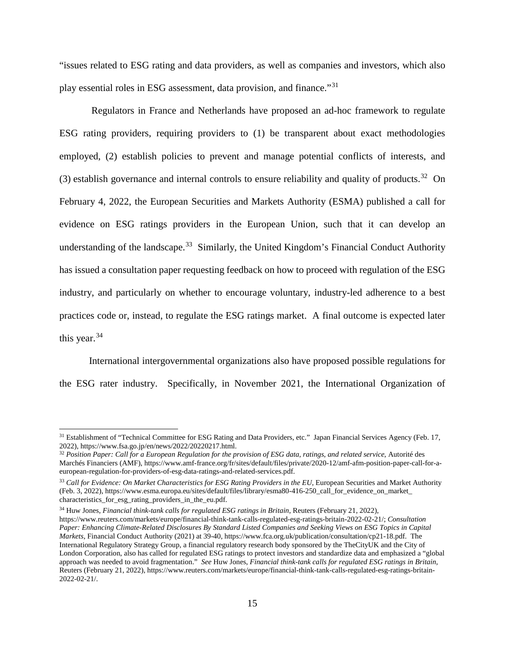"issues related to ESG rating and data providers, as well as companies and investors, which also play essential roles in ESG assessment, data provision, and finance."[31](#page-18-0)

Regulators in France and Netherlands have proposed an ad-hoc framework to regulate ESG rating providers, requiring providers to (1) be transparent about exact methodologies employed, (2) establish policies to prevent and manage potential conflicts of interests, and (3) establish governance and internal controls to ensure reliability and quality of products.<sup>32</sup> On February 4, 2022, the European Securities and Markets Authority (ESMA) published a call for evidence on ESG ratings providers in the European Union, such that it can develop an understanding of the landscape.<sup>[33](#page-18-2)</sup> Similarly, the United Kingdom's Financial Conduct Authority has issued a consultation paper requesting feedback on how to proceed with regulation of the ESG industry, and particularly on whether to encourage voluntary, industry-led adherence to a best practices code or, instead, to regulate the ESG ratings market. A final outcome is expected later this year.  $34$ 

International intergovernmental organizations also have proposed possible regulations for the ESG rater industry. Specifically, in November 2021, the International Organization of

<span id="page-18-0"></span><sup>&</sup>lt;sup>31</sup> Establishment of "Technical Committee for ESG Rating and Data Providers, etc." Japan Financial Services Agency (Feb. 17, 2022), https://www.fsa.go.jp/en/news/2022/20220217.html.

<span id="page-18-1"></span><sup>32</sup> *Position Paper: Call for a European Regulation for the provision of ESG data, ratings, and related service*, Autorité des Marchés Financiers (AMF), https://www.amf-france.org/fr/sites/default/files/private/2020-12/amf-afm-position-paper-call-for-aeuropean-regulation-for-providers-of-esg-data-ratings-and-related-services.pdf.

<span id="page-18-2"></span><sup>33</sup> *Call for Evidence: On Market Characteristics for ESG Rating Providers in the EU*, European Securities and Market Authority (Feb. 3, 2022), https://www.esma.europa.eu/sites/default/files/library/esma80-416-250\_call\_for\_evidence\_on\_market\_ characteristics\_for\_esg\_rating\_providers\_in\_the\_eu.pdf.

<span id="page-18-3"></span><sup>34</sup> Huw Jones, *Financial think-tank calls for regulated ESG ratings in Britain*, Reuters (February 21, 2022), https://www.reuters.com/markets/europe/financial-think-tank-calls-regulated-esg-ratings-britain-2022-02-21/; *Consultation Paper: Enhancing Climate-Related Disclosures By Standard Listed Companies and Seeking Views on ESG Topics in Capital Markets*, Financial Conduct Authority (2021) at 39-40[, https://www.fca.org.uk/publication/consultation/cp21-18.pdf.](https://www.fca.org.uk/publication/consultation/cp21-18.pdf) The International Regulatory Strategy Group, a financial regulatory research body sponsored by the TheCityUK and the City of London Corporation, also has called for regulated ESG ratings to protect investors and standardize data and emphasized a "global approach was needed to avoid fragmentation." *See* Huw Jones, *Financial think-tank calls for regulated ESG ratings in Britain*, Reuters (February 21, 2022), https://www.reuters.com/markets/europe/financial-think-tank-calls-regulated-esg-ratings-britain-2022-02-21/.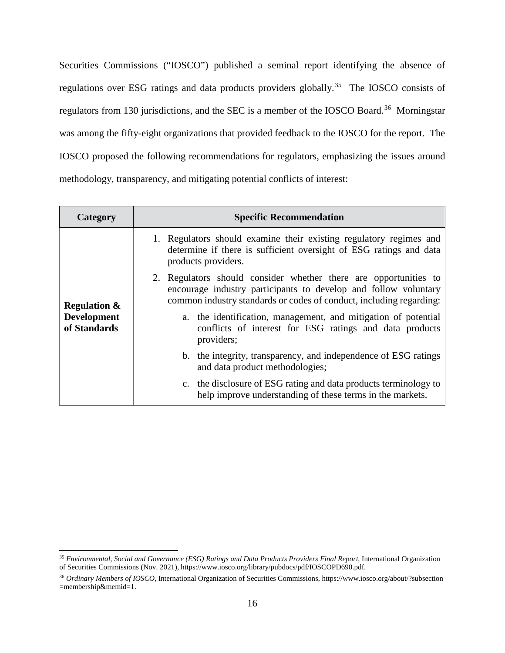Securities Commissions ("IOSCO") published a seminal report identifying the absence of regulations over ESG ratings and data products providers globally.<sup>[35](#page-19-0)</sup> The IOSCO consists of regulators from 130 jurisdictions, and the SEC is a member of the IOSCO Board.<sup>[36](#page-19-1)</sup> Morningstar was among the fifty-eight organizations that provided feedback to the IOSCO for the report. The IOSCO proposed the following recommendations for regulators, emphasizing the issues around methodology, transparency, and mitigating potential conflicts of interest:

| Category                           | <b>Specific Recommendation</b>                                                                                                                                                                             |
|------------------------------------|------------------------------------------------------------------------------------------------------------------------------------------------------------------------------------------------------------|
|                                    | 1. Regulators should examine their existing regulatory regimes and<br>determine if there is sufficient oversight of ESG ratings and data<br>products providers.                                            |
| <b>Regulation &amp;</b>            | 2. Regulators should consider whether there are opportunities to<br>encourage industry participants to develop and follow voluntary<br>common industry standards or codes of conduct, including regarding: |
| <b>Development</b><br>of Standards | a. the identification, management, and mitigation of potential<br>conflicts of interest for ESG ratings and data products<br>providers;                                                                    |
|                                    | b. the integrity, transparency, and independence of ESG ratings<br>and data product methodologies;                                                                                                         |
|                                    | c. the disclosure of ESG rating and data products terminology to<br>help improve understanding of these terms in the markets.                                                                              |

<span id="page-19-0"></span> <sup>35</sup> *Environmental, Social and Governance (ESG) Ratings and Data Products Providers Final Report*, International Organization of Securities Commissions (Nov. 2021), https://www.iosco.org/library/pubdocs/pdf/IOSCOPD690.pdf.

<span id="page-19-1"></span><sup>36</sup> *Ordinary Members of IOSCO*, International Organization of Securities Commissions, https://www.iosco.org/about/?subsection =membership&memid=1.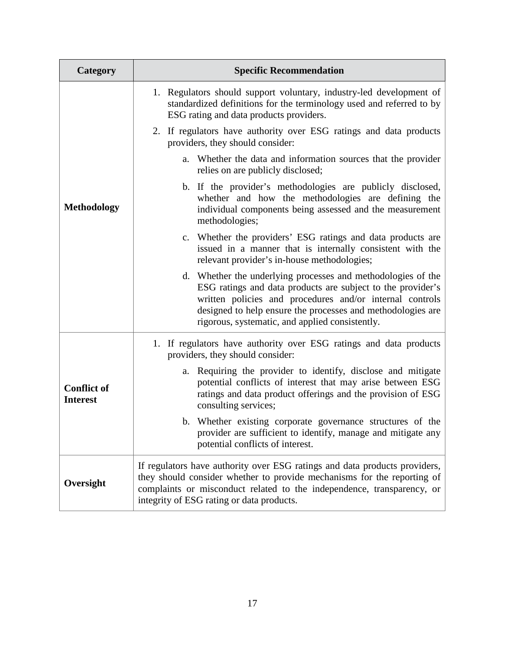| <b>Category</b>                       | <b>Specific Recommendation</b>                                                                                                                                                                                                                                                                            |
|---------------------------------------|-----------------------------------------------------------------------------------------------------------------------------------------------------------------------------------------------------------------------------------------------------------------------------------------------------------|
|                                       | 1. Regulators should support voluntary, industry-led development of<br>standardized definitions for the terminology used and referred to by<br>ESG rating and data products providers.                                                                                                                    |
|                                       | 2. If regulators have authority over ESG ratings and data products<br>providers, they should consider:                                                                                                                                                                                                    |
|                                       | Whether the data and information sources that the provider<br>a.<br>relies on are publicly disclosed;                                                                                                                                                                                                     |
| <b>Methodology</b>                    | b. If the provider's methodologies are publicly disclosed,<br>whether and how the methodologies are defining the<br>individual components being assessed and the measurement<br>methodologies;                                                                                                            |
|                                       | c. Whether the providers' ESG ratings and data products are<br>issued in a manner that is internally consistent with the<br>relevant provider's in-house methodologies;                                                                                                                                   |
|                                       | d. Whether the underlying processes and methodologies of the<br>ESG ratings and data products are subject to the provider's<br>written policies and procedures and/or internal controls<br>designed to help ensure the processes and methodologies are<br>rigorous, systematic, and applied consistently. |
|                                       | 1. If regulators have authority over ESG ratings and data products<br>providers, they should consider:                                                                                                                                                                                                    |
| <b>Conflict of</b><br><b>Interest</b> | Requiring the provider to identify, disclose and mitigate<br>a.<br>potential conflicts of interest that may arise between ESG<br>ratings and data product offerings and the provision of ESG<br>consulting services;                                                                                      |
|                                       | b. Whether existing corporate governance structures of the<br>provider are sufficient to identify, manage and mitigate any<br>potential conflicts of interest.                                                                                                                                            |
| Oversight                             | If regulators have authority over ESG ratings and data products providers,<br>they should consider whether to provide mechanisms for the reporting of<br>complaints or misconduct related to the independence, transparency, or<br>integrity of ESG rating or data products.                              |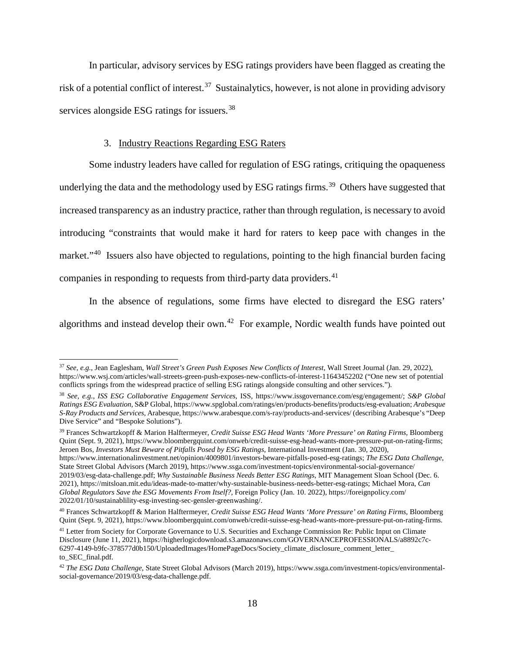In particular, advisory services by ESG ratings providers have been flagged as creating the risk of a potential conflict of interest.<sup>[37](#page-21-1)</sup> Sustainalytics, however, is not alone in providing advisory services alongside ESG ratings for issuers.<sup>[38](#page-21-2)</sup>

### 3. Industry Reactions Regarding ESG Raters

<span id="page-21-0"></span>Some industry leaders have called for regulation of ESG ratings, critiquing the opaqueness underlying the data and the methodology used by ESG ratings firms.<sup>39</sup> Others have suggested that increased transparency as an industry practice, rather than through regulation, is necessary to avoid introducing "constraints that would make it hard for raters to keep pace with changes in the market."<sup>[40](#page-21-4)</sup> Issuers also have objected to regulations, pointing to the high financial burden facing companies in responding to requests from third-party data providers.<sup>[41](#page-21-5)</sup>

In the absence of regulations, some firms have elected to disregard the ESG raters' algorithms and instead develop their own.<sup>[42](#page-21-6)</sup> For example, Nordic wealth funds have pointed out

<span id="page-21-3"></span><sup>39</sup> Frances Schwartzkopff & Marion Halftermeyer, *Credit Suisse ESG Head Wants 'More Pressure' on Rating Firms*, Bloomberg Quint (Sept. 9, 2021), https://www.bloombergquint.com/onweb/credit-suisse-esg-head-wants-more-pressure-put-on-rating-firms; Jeroen Bos, *Investors Must Beware of Pitfalls Posed by ESG Ratings*, International Investment (Jan. 30, 2020),

https://www.internationalinvestment.net/opinion/4009801/investors-beware-pitfalls-posed-esg-ratings; *The ESG Data Challenge*, State Street Global Advisors (March 2019), https://www.ssga.com/investment-topics/environmental-social-governance/ 2019/03/esg-data-challenge.pdf; *Why Sustainable Business Needs Better ESG Ratings*, MIT Management Sloan School (Dec. 6. 2021), https://mitsloan.mit.edu/ideas-made-to-matter/why-sustainable-business-needs-better-esg-ratings; Michael Mora, *Can Global Regulators Save the ESG Movements From Itself?,* Foreign Policy (Jan. 10. 2022), https://foreignpolicy.com/ 2022/01/10/sustainablility-esg-investing-sec-gensler-greenwashing/.

<span id="page-21-1"></span> <sup>37</sup> *See, e.g.*, Jean Eaglesham, *Wall Street's Green Push Exposes New Conflicts of Interest*, Wall Street Journal (Jan. 29, 2022), https://www.wsj.com/articles/wall-streets-green-push-exposes-new-conflicts-of-interest-11643452202 ("One new set of potential conflicts springs from the widespread practice of selling ESG ratings alongside consulting and other services.").

<span id="page-21-2"></span><sup>38</sup> *See, e.g.*, *ISS ESG Collaborative Engagement Services*, ISS, https://www.issgovernance.com/esg/engagement/; *S&P Global Ratings ESG Evaluation*, S&P Global, https://www.spglobal.com/ratings/en/products-benefits/products/esg-evaluation; *Arabesque S-Ray Products and Services*, Arabesque, https://www.arabesque.com/s-ray/products-and-services/ (describing Arabesque's "Deep Dive Service" and "Bespoke Solutions").

<span id="page-21-4"></span><sup>40</sup> Frances Schwartzkopff & Marion Halftermeyer, *Credit Suisse ESG Head Wants 'More Pressure' on Rating Firms*, Bloomberg Quint (Sept. 9, 2021), https://www.bloombergquint.com/onweb/credit-suisse-esg-head-wants-more-pressure-put-on-rating-firms.

<span id="page-21-5"></span><sup>&</sup>lt;sup>41</sup> Letter from Society for Corporate Governance to U.S. Securities and Exchange Commission Re: Public Input on Climate Disclosure (June 11, 2021), https://higherlogicdownload.s3.amazonaws.com/GOVERNANCEPROFESSIONALS/a8892c7c-6297-4149-b9fc-378577d0b150/UploadedImages/HomePageDocs/Society\_climate\_disclosure\_comment\_letter\_ to\_SEC\_final.pdf.

<span id="page-21-6"></span><sup>42</sup> *The ESG Data Challenge*, State Street Global Advisors (March 2019), https://www.ssga.com/investment-topics/environmentalsocial-governance/2019/03/esg-data-challenge.pdf.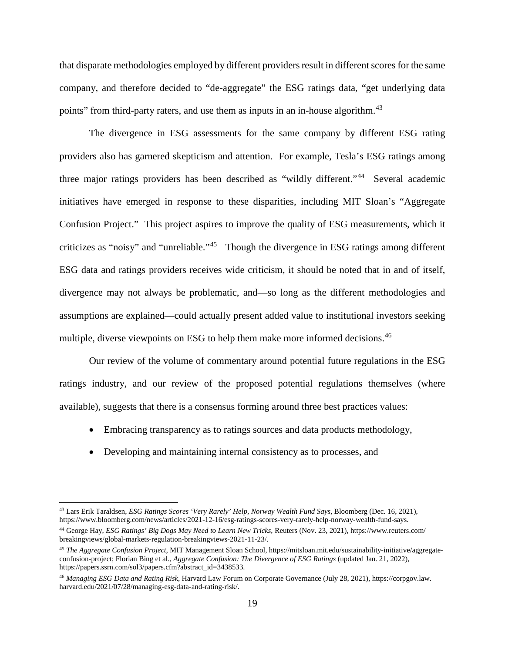that disparate methodologies employed by different providers result in different scores for the same company, and therefore decided to "de-aggregate" the ESG ratings data, "get underlying data points" from third-party raters, and use them as inputs in an in-house algorithm.<sup>[43](#page-22-0)</sup>

The divergence in ESG assessments for the same company by different ESG rating providers also has garnered skepticism and attention. For example, Tesla's ESG ratings among three major ratings providers has been described as "wildly different."[44](#page-22-1) Several academic initiatives have emerged in response to these disparities, including MIT Sloan's "Aggregate Confusion Project." This project aspires to improve the quality of ESG measurements, which it criticizes as "noisy" and "unreliable."[45](#page-22-2) Though the divergence in ESG ratings among different ESG data and ratings providers receives wide criticism, it should be noted that in and of itself, divergence may not always be problematic, and—so long as the different methodologies and assumptions are explained—could actually present added value to institutional investors seeking multiple, diverse viewpoints on ESG to help them make more informed decisions.<sup>[46](#page-22-3)</sup>

Our review of the volume of commentary around potential future regulations in the ESG ratings industry, and our review of the proposed potential regulations themselves (where available), suggests that there is a consensus forming around three best practices values:

- Embracing transparency as to ratings sources and data products methodology,
- Developing and maintaining internal consistency as to processes, and

<span id="page-22-0"></span> <sup>43</sup> Lars Erik Taraldsen, *ESG Ratings Scores 'Very Rarely' Help, Norway Wealth Fund Says*, Bloomberg (Dec. 16, 2021), https://www.bloomberg.com/news/articles/2021-12-16/esg-ratings-scores-very-rarely-help-norway-wealth-fund-says.

<span id="page-22-1"></span><sup>44</sup> George Hay, *ESG Ratings' Big Dogs May Need to Learn New Tricks*, Reuters (Nov. 23, 2021), https://www.reuters.com/ breakingviews/global-markets-regulation-breakingviews-2021-11-23/.

<span id="page-22-2"></span><sup>45</sup> *The Aggregate Confusion Project*, MIT Management Sloan School, https://mitsloan.mit.edu/sustainability-initiative/aggregateconfusion-project; Florian Bing et al., *Aggregate Confusion: The Divergence of ESG Ratings* (updated Jan. 21, 2022), https://papers.ssrn.com/sol3/papers.cfm?abstract\_id=3438533.

<span id="page-22-3"></span><sup>46</sup> *Managing ESG Data and Rating Risk*, Harvard Law Forum on Corporate Governance (July 28, 2021), https://corpgov.law. harvard.edu/2021/07/28/managing-esg-data-and-rating-risk/.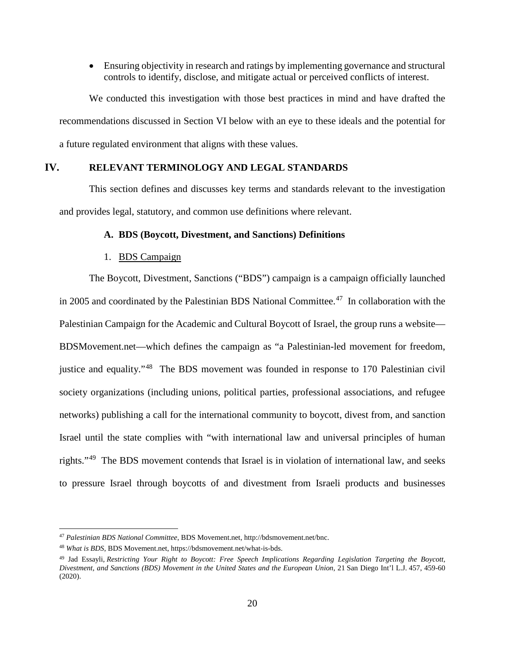• Ensuring objectivity in research and ratings by implementing governance and structural controls to identify, disclose, and mitigate actual or perceived conflicts of interest.

We conducted this investigation with those best practices in mind and have drafted the recommendations discussed in Section VI below with an eye to these ideals and the potential for a future regulated environment that aligns with these values.

# <span id="page-23-0"></span>**IV. RELEVANT TERMINOLOGY AND LEGAL STANDARDS**

<span id="page-23-1"></span>This section defines and discusses key terms and standards relevant to the investigation and provides legal, statutory, and common use definitions where relevant.

#### **A. BDS (Boycott, Divestment, and Sanctions) Definitions**

#### 1. BDS Campaign

<span id="page-23-2"></span>The Boycott, Divestment, Sanctions ("BDS") campaign is a campaign officially launched in 2005 and coordinated by the Palestinian BDS National Committee.<sup>47</sup> In collaboration with the Palestinian Campaign for the Academic and Cultural Boycott of Israel, the group runs a website— BDSMovement.net—which defines the campaign as "a Palestinian-led movement for freedom, justice and equality."[48](#page-23-4) The BDS movement was founded in response to 170 Palestinian civil society organizations (including unions, political parties, professional associations, and refugee networks) publishing a call for the international community to boycott, divest from, and sanction Israel until the state complies with "with international law and universal principles of human rights."[49](#page-23-5) The BDS movement contends that Israel is in violation of international law, and seeks to pressure Israel through boycotts of and divestment from Israeli products and businesses

<span id="page-23-3"></span> <sup>47</sup> *Palestinian BDS National Committee*, BDS Movement.net, http://bdsmovement.net/bnc.

<span id="page-23-4"></span><sup>48</sup> *What is BDS*, BDS Movement.net, https://bdsmovement.net/what-is-bds.

<span id="page-23-5"></span><sup>49</sup> Jad Essayli, *Restricting Your Right to Boycott: Free Speech Implications Regarding Legislation Targeting the Boycott, Divestment, and Sanctions (BDS) Movement in the United States and the European Union*, 21 San Diego Int'l L.J. 457, 459-60 (2020).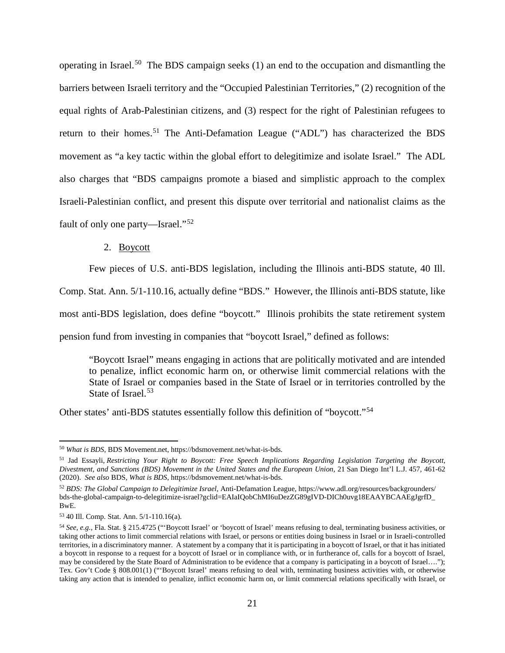operating in Israel.<sup>50</sup> The BDS campaign seeks (1) an end to the occupation and dismantling the barriers between Israeli territory and the "Occupied Palestinian Territories," (2) recognition of the equal rights of Arab-Palestinian citizens, and (3) respect for the right of Palestinian refugees to return to their homes.<sup>[51](#page-24-2)</sup> The Anti-Defamation League ("ADL") has characterized the BDS movement as "a key tactic within the global effort to delegitimize and isolate Israel." The ADL also charges that "BDS campaigns promote a biased and simplistic approach to the complex Israeli-Palestinian conflict, and present this dispute over territorial and nationalist claims as the fault of only one party—Israel."[52](#page-24-3) 

### 2. Boycott

<span id="page-24-0"></span>Few pieces of U.S. anti-BDS legislation, including the Illinois anti-BDS statute, 40 Ill.

Comp. Stat. Ann. 5/1-110.16, actually define "BDS." However, the Illinois anti-BDS statute, like

most anti-BDS legislation, does define "boycott." Illinois prohibits the state retirement system

pension fund from investing in companies that "boycott Israel," defined as follows:

"Boycott Israel" means engaging in actions that are politically motivated and are intended to penalize, inflict economic harm on, or otherwise limit commercial relations with the State of Israel or companies based in the State of Israel or in territories controlled by the State of Israel.<sup>[53](#page-24-4)</sup>

Other states' anti-BDS statutes essentially follow this definition of "boycott."[54](#page-24-5)

<span id="page-24-1"></span> <sup>50</sup> *What is BDS*, BDS Movement.net, https://bdsmovement.net/what-is-bds.

<span id="page-24-2"></span><sup>51</sup> Jad Essayli, *Restricting Your Right to Boycott: Free Speech Implications Regarding Legislation Targeting the Boycott, Divestment, and Sanctions (BDS) Movement in the United States and the European Union*, 21 San Diego Int'l L.J. 457, 461-62 (2020). *See also* BDS, *What is BDS*, https://bdsmovement.net/what-is-bds.

<span id="page-24-3"></span><sup>52</sup> *BDS: The Global Campaign to Delegitimize Israel*, Anti-Defamation League, https://www.adl.org/resources/backgrounders/ bds-the-global-campaign-to-delegitimize-israel?gclid=EAIaIQobChMI6uDezZG89gIVD-DICh0uvg18EAAYBCAAEgJgrfD\_ BwE.

<span id="page-24-4"></span><sup>53</sup> 40 Ill. Comp. Stat. Ann. 5/1-110.16(a).

<span id="page-24-5"></span><sup>54</sup> *See, e.g.*, Fla. Stat. § 215.4725 ("'Boycott Israel' or 'boycott of Israel' means refusing to deal, terminating business activities, or taking other actions to limit commercial relations with Israel, or persons or entities doing business in Israel or in Israeli-controlled territories, in a discriminatory manner. A statement by a company that it is participating in a boycott of Israel, or that it has initiated a boycott in response to a request for a boycott of Israel or in compliance with, or in furtherance of, calls for a boycott of Israel, may be considered by the State Board of Administration to be evidence that a company is participating in a boycott of Israel…."); Tex. Gov't Code § 808.001(1) ("'Boycott Israel' means refusing to deal with, terminating business activities with, or otherwise taking any action that is intended to penalize, inflict economic harm on, or limit commercial relations specifically with Israel, or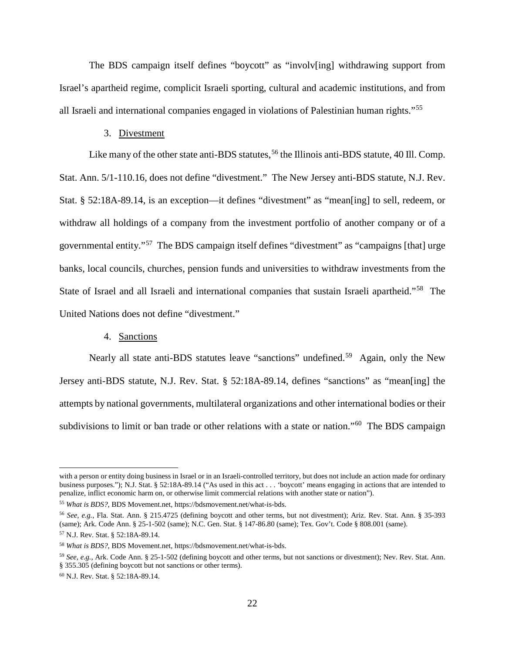The BDS campaign itself defines "boycott" as "involv[ing] withdrawing support from Israel's apartheid regime, complicit Israeli sporting, cultural and academic institutions, and from all Israeli and international companies engaged in violations of Palestinian human rights."[55](#page-25-2) 

#### 3. Divestment

<span id="page-25-0"></span>Like many of the other state anti-BDS statutes,  $56$  the Illinois anti-BDS statute, 40 Ill. Comp. Stat. Ann. 5/1-110.16, does not define "divestment." The New Jersey anti-BDS statute, N.J. Rev. Stat. § 52:18A-89.14, is an exception—it defines "divestment" as "mean[ing] to sell, redeem, or withdraw all holdings of a company from the investment portfolio of another company or of a governmental entity."[57](#page-25-4) The BDS campaign itself defines "divestment" as "campaigns [that] urge banks, local councils, churches, pension funds and universities to withdraw investments from the State of Israel and all Israeli and international companies that sustain Israeli apartheid."<sup>[58](#page-25-5)</sup> The United Nations does not define "divestment."

### 4. Sanctions

<span id="page-25-1"></span>Nearly all state anti-BDS statutes leave "sanctions" undefined.<sup>[59](#page-25-6)</sup> Again, only the New Jersey anti-BDS statute, N.J. Rev. Stat. § 52:18A-89.14, defines "sanctions" as "mean[ing] the attempts by national governments, multilateral organizations and other international bodies or their subdivisions to limit or ban trade or other relations with a state or nation."<sup>60</sup> The BDS campaign

with a person or entity doing business in Israel or in an Israeli-controlled territory, but does not include an action made for ordinary business purposes."); N.J. Stat. § 52:18A-89.14 ("As used in this act . . . 'boycott' means engaging in actions that are intended to penalize, inflict economic harm on, or otherwise limit commercial relations with another state or nation").

<span id="page-25-2"></span><sup>55</sup> *What is BDS?*, BDS Movement.net, https://bdsmovement.net/what-is-bds.

<span id="page-25-3"></span><sup>56</sup> *See, e.g.*, Fla. Stat. Ann. § 215.4725 (defining boycott and other terms, but not divestment); Ariz. Rev. Stat. Ann. § 35-393 (same); Ark. Code Ann. § 25-1-502 (same); N.C. Gen. Stat. § 147-86.80 (same); Tex. Gov't. Code § 808.001 (same).

<span id="page-25-4"></span><sup>57</sup> N.J. Rev. Stat. § 52:18A-89.14.

<span id="page-25-5"></span><sup>58</sup> *What is BDS?*, BDS Movement.net, https://bdsmovement.net/what-is-bds.

<span id="page-25-6"></span><sup>59</sup> *See, e.g.*, Ark. Code Ann. § 25-1-502 (defining boycott and other terms, but not sanctions or divestment); Nev. Rev. Stat. Ann. § 355.305 (defining boycott but not sanctions or other terms).

<span id="page-25-7"></span><sup>60</sup> N.J. Rev. Stat. § 52:18A-89.14.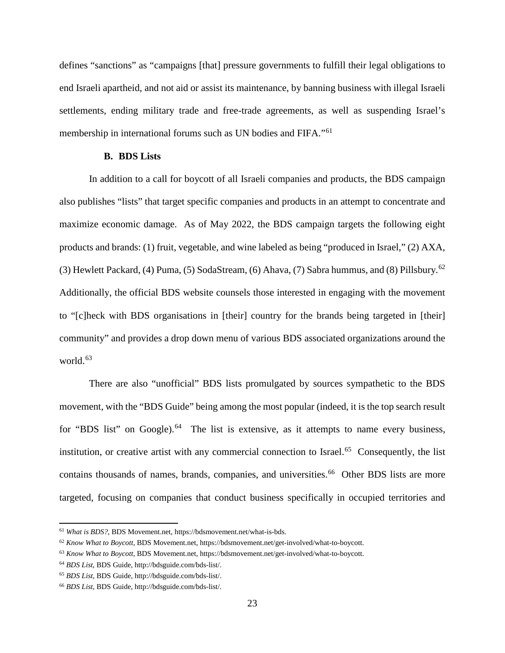defines "sanctions" as "campaigns [that] pressure governments to fulfill their legal obligations to end Israeli apartheid, and not aid or assist its maintenance, by banning business with illegal Israeli settlements, ending military trade and free-trade agreements, as well as suspending Israel's membership in international forums such as UN bodies and FIFA."[61](#page-26-1)

# **B. BDS Lists**

<span id="page-26-0"></span>In addition to a call for boycott of all Israeli companies and products, the BDS campaign also publishes "lists" that target specific companies and products in an attempt to concentrate and maximize economic damage. As of May 2022, the BDS campaign targets the following eight products and brands: (1) fruit, vegetable, and wine labeled as being "produced in Israel," (2) AXA, (3) Hewlett Packard, (4) Puma, (5) SodaStream, (6) Ahava, (7) Sabra hummus, and (8) Pillsbury.[62](#page-26-2) Additionally, the official BDS website counsels those interested in engaging with the movement to "[c]heck with BDS organisations in [their] country for the brands being targeted in [their] community" and provides a drop down menu of various BDS associated organizations around the world.<sup>[63](#page-26-3)</sup>

There are also "unofficial" BDS lists promulgated by sources sympathetic to the BDS movement, with the "BDS Guide" being among the most popular (indeed, it is the top search result for "BDS list" on Google).<sup>[64](#page-26-4)</sup> The list is extensive, as it attempts to name every business, institution, or creative artist with any commercial connection to Israel.<sup>[65](#page-26-5)</sup> Consequently, the list contains thousands of names, brands, companies, and universities.<sup>[66](#page-26-6)</sup> Other BDS lists are more targeted, focusing on companies that conduct business specifically in occupied territories and

<span id="page-26-1"></span> <sup>61</sup> *What is BDS?*, BDS Movement.net, https://bdsmovement.net/what-is-bds.

<span id="page-26-2"></span><sup>62</sup> *Know What to Boycott*, BDS Movement.net, https://bdsmovement.net/get-involved/what-to-boycott.

<span id="page-26-3"></span><sup>63</sup> *Know What to Boycott*, BDS Movement.net, https://bdsmovement.net/get-involved/what-to-boycott.

<span id="page-26-4"></span><sup>64</sup> *BDS List*, BDS Guide, http://bdsguide.com/bds-list/.

<span id="page-26-5"></span><sup>65</sup> *BDS List*, BDS Guide, http://bdsguide.com/bds-list/.

<span id="page-26-6"></span><sup>66</sup> *BDS List*, BDS Guide, http://bdsguide.com/bds-list/.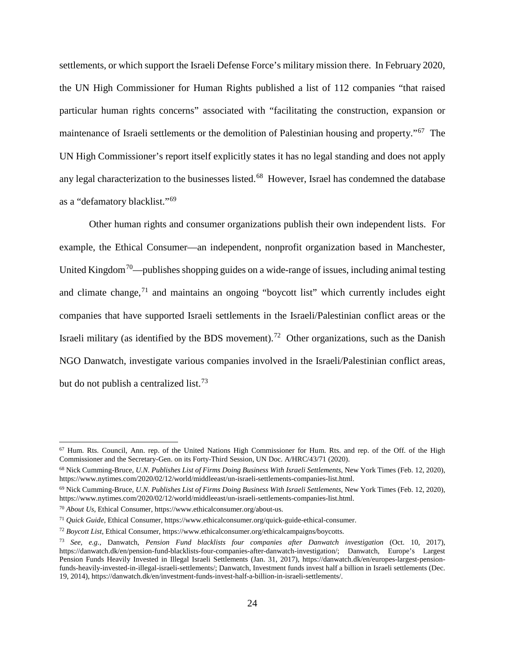settlements, or which support the Israeli Defense Force's military mission there. In February 2020, the UN High Commissioner for Human Rights published a list of 112 companies "that raised particular human rights concerns" associated with "facilitating the construction, expansion or maintenance of Israeli settlements or the demolition of Palestinian housing and property."[67](#page-27-0) The UN High Commissioner's report itself explicitly states it has no legal standing and does not apply any legal characterization to the businesses listed.<sup>[68](#page-27-1)</sup> However, Israel has condemned the database as a "defamatory blacklist."[69](#page-27-2)

Other human rights and consumer organizations publish their own independent lists. For example, the Ethical Consumer—an independent, nonprofit organization based in Manchester, United Kingdom<sup>[70](#page-27-3)</sup>—publishes shopping guides on a wide-range of issues, including animal testing and climate change,  $71$  and maintains an ongoing "boycott list" which currently includes eight companies that have supported Israeli settlements in the Israeli/Palestinian conflict areas or the Israeli military (as identified by the BDS movement).<sup>[72](#page-27-5)</sup> Other organizations, such as the Danish NGO Danwatch, investigate various companies involved in the Israeli/Palestinian conflict areas, but do not publish a centralized list.<sup>[73](#page-27-6)</sup>

<span id="page-27-0"></span> $67$  Hum. Rts. Council, Ann. rep. of the United Nations High Commissioner for Hum. Rts. and rep. of the Off. of the High Commissioner and the Secretary-Gen. on its Forty-Third Session, UN Doc. A/HRC/43/71 (2020).

<span id="page-27-1"></span><sup>68</sup> Nick Cumming-Bruce, *U.N. Publishes List of Firms Doing Business With Israeli Settlements*, New York Times (Feb. 12, 2020), https://www.nytimes.com/2020/02/12/world/middleeast/un-israeli-settlements-companies-list.html.

<span id="page-27-2"></span><sup>69</sup> Nick Cumming-Bruce, *U.N. Publishes List of Firms Doing Business With Israeli Settlements*, New York Times (Feb. 12, 2020), https://www.nytimes.com/2020/02/12/world/middleeast/un-israeli-settlements-companies-list.html.

<span id="page-27-3"></span><sup>70</sup> *About Us*, Ethical Consumer, https://www.ethicalconsumer.org/about-us.

<span id="page-27-4"></span><sup>71</sup> *Quick Guide*, Ethical Consumer, https://www.ethicalconsumer.org/quick-guide-ethical-consumer.

<span id="page-27-5"></span><sup>72</sup> *Boycott List*, Ethical Consumer, https://www.ethicalconsumer.org/ethicalcampaigns/boycotts.

<span id="page-27-6"></span><sup>73</sup> *See, e.g.*, Danwatch, *Pension Fund blacklists four companies after Danwatch investigation* (Oct. 10, 2017), https://danwatch.dk/en/pension-fund-blacklists-four-companies-after-danwatch-investigation/; Danwatch, Europe's Largest Pension Funds Heavily Invested in Illegal Israeli Settlements (Jan. 31, 2017), https://danwatch.dk/en/europes-largest-pensionfunds-heavily-invested-in-illegal-israeli-settlements/; Danwatch, Investment funds invest half a billion in Israeli settlements (Dec. 19, 2014), https://danwatch.dk/en/investment-funds-invest-half-a-billion-in-israeli-settlements/.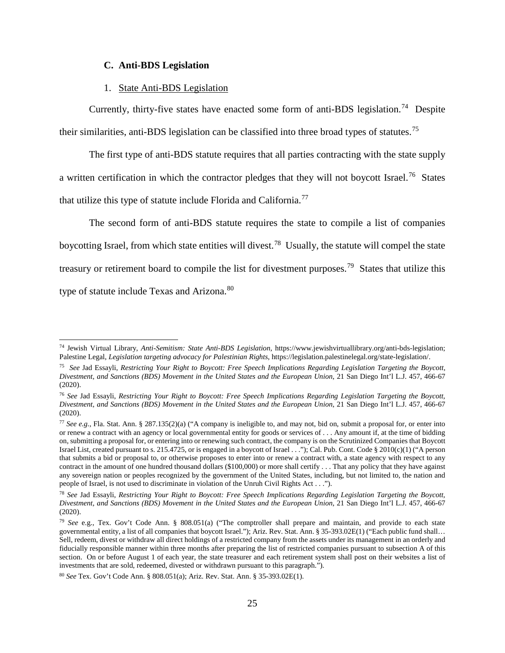## **C. Anti-BDS Legislation**

#### 1. State Anti-BDS Legislation

<span id="page-28-1"></span><span id="page-28-0"></span>Currently, thirty-five states have enacted some form of anti-BDS legislation.<sup>[74](#page-28-2)</sup> Despite their similarities, anti-BDS legislation can be classified into three broad types of statutes.[75](#page-28-3) 

The first type of anti-BDS statute requires that all parties contracting with the state supply a written certification in which the contractor pledges that they will not boycott Israel.<sup>76</sup> States that utilize this type of statute include Florida and California.<sup>[77](#page-28-5)</sup>

The second form of anti-BDS statute requires the state to compile a list of companies boycotting Israel, from which state entities will divest.[78](#page-28-6) Usually, the statute will compel the state treasury or retirement board to compile the list for divestment purposes.<sup>[79](#page-28-7)</sup> States that utilize this type of statute include Texas and Arizona.<sup>[80](#page-28-8)</sup>

<span id="page-28-2"></span> <sup>74</sup> Jewish Virtual Library, *Anti-Semitism: State Anti-BDS Legislation,* https://www.jewishvirtuallibrary.org/anti-bds-legislation; Palestine Legal, *Legislation targeting advocacy for Palestinian Rights*, https://legislation.palestinelegal.org/state-legislation/.

<span id="page-28-3"></span><sup>75</sup> *See* Jad Essayli, *Restricting Your Right to Boycott: Free Speech Implications Regarding Legislation Targeting the Boycott, Divestment, and Sanctions (BDS) Movement in the United States and the European Union*, 21 San Diego Int'l L.J. 457, 466-67 (2020).

<span id="page-28-4"></span><sup>76</sup> *See* Jad Essayli, *Restricting Your Right to Boycott: Free Speech Implications Regarding Legislation Targeting the Boycott, Divestment, and Sanctions (BDS) Movement in the United States and the European Union*, 21 San Diego Int'l L.J. 457, 466-67 (2020).

<span id="page-28-5"></span><sup>77</sup> *See e.g.*, Fla. Stat. Ann. § 287.135(2)(a) ("A company is ineligible to, and may not, bid on, submit a proposal for, or enter into or renew a contract with an agency or local governmental entity for goods or services of . . . Any amount if, at the time of bidding on, submitting a proposal for, or entering into or renewing such contract, the company is on the Scrutinized Companies that Boycott Israel List, created pursuant to s. 215.4725, or is engaged in a boycott of Israel . . ."); Cal. Pub. Cont. Code § 2010(c)(1) ("A person that submits a bid or proposal to, or otherwise proposes to enter into or renew a contract with, a state agency with respect to any contract in the amount of one hundred thousand dollars (\$100,000) or more shall certify . . . That any policy that they have against any sovereign nation or peoples recognized by the government of the United States, including, but not limited to, the nation and people of Israel, is not used to discriminate in violation of the Unruh Civil Rights Act . . .").

<span id="page-28-6"></span><sup>78</sup> *See* Jad Essayli, *Restricting Your Right to Boycott: Free Speech Implications Regarding Legislation Targeting the Boycott, Divestment, and Sanctions (BDS) Movement in the United States and the European Union*, 21 San Diego Int'l L.J. 457, 466-67 (2020).

<span id="page-28-7"></span><sup>79</sup> *See* e.g., Tex. Gov't Code Ann. § 808.051(a) ("The comptroller shall prepare and maintain, and provide to each state governmental entity, a list of all companies that boycott Israel."); Ariz. Rev. Stat. Ann. § 35-393.02E(1) ("Each public fund shall… Sell, redeem, divest or withdraw all direct holdings of a restricted company from the assets under its management in an orderly and fiducially responsible manner within three months after preparing the list of restricted companies pursuant to subsection A of this section. On or before August 1 of each year, the state treasurer and each retirement system shall post on their websites a list of investments that are sold, redeemed, divested or withdrawn pursuant to this paragraph.").

<span id="page-28-8"></span><sup>80</sup> *See* Tex. Gov't Code Ann. § 808.051(a); Ariz. Rev. Stat. Ann. § 35-393.02E(1).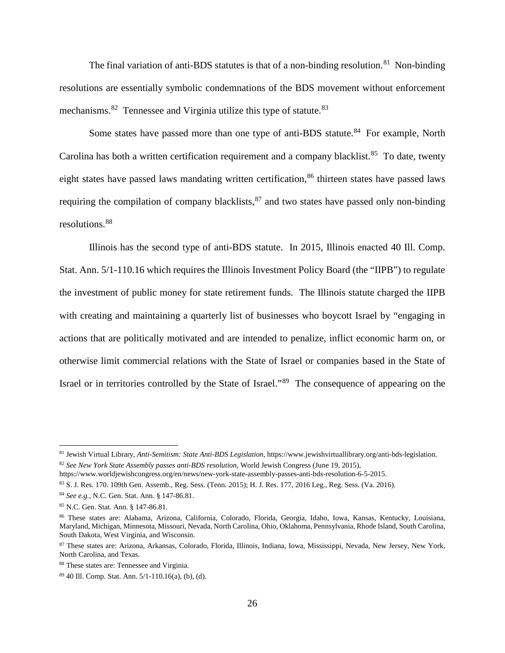The final variation of anti-BDS statutes is that of a non-binding resolution.<sup>[81](#page-29-0)</sup> Non-binding resolutions are essentially symbolic condemnations of the BDS movement without enforcement mechanisms.<sup>[82](#page-29-1)</sup> Tennessee and Virginia utilize this type of statute.<sup>[83](#page-29-2)</sup>

Some states have passed more than one type of anti-BDS statute.<sup>[84](#page-29-3)</sup> For example, North Carolina has both a written certification requirement and a company blacklist. $85$  To date, twenty eight states have passed laws mandating written certification,<sup>[86](#page-29-5)</sup> thirteen states have passed laws requiring the compilation of company blacklists,  $87$  and two states have passed only non-binding resolutions.[88](#page-29-7)

Illinois has the second type of anti-BDS statute. In 2015, Illinois enacted 40 Ill. Comp. Stat. Ann. 5/1-110.16 which requires the Illinois Investment Policy Board (the "IIPB") to regulate the investment of public money for state retirement funds. The Illinois statute charged the IIPB with creating and maintaining a quarterly list of businesses who boycott Israel by "engaging in actions that are politically motivated and are intended to penalize, inflict economic harm on, or otherwise limit commercial relations with the State of Israel or companies based in the State of Israel or in territories controlled by the State of Israel."[89](#page-29-8) The consequence of appearing on the

<span id="page-29-0"></span> <sup>81</sup> Jewish Virtual Library, *Anti-Semitism: State Anti-BDS Legislation,* https://www.jewishvirtuallibrary.org/anti-bds-legislation. <sup>82</sup> *See New York State Assembly passes anti-BDS resolution*, World Jewish Congress (June 19, 2015),

<span id="page-29-1"></span>https://www.worldjewishcongress.org/en/news/new-york-state-assembly-passes-anti-bds-resolution-6-5-2015.

<span id="page-29-2"></span><sup>83</sup> S. J. Res. 170. 109th Gen. Assemb., Reg. Sess. (Tenn. 2015); H. J. Res. 177, 2016 Leg., Reg. Sess. (Va. 2016).

<span id="page-29-3"></span><sup>84</sup> *See e.g.*, N.C. Gen. Stat. Ann. § 147-86.81.

<span id="page-29-4"></span><sup>85</sup> N.C. Gen. Stat. Ann. § 147-86.81.

<span id="page-29-5"></span><sup>86</sup> These states are: Alabama, Arizona, California, Colorado, Florida, Georgia, Idaho, Iowa, Kansas, Kentucky, Louisiana, Maryland, Michigan, Minnesota, Missouri, Nevada, North Carolina, Ohio, Oklahoma, Pennsylvania, Rhode Island, South Carolina, South Dakota, West Virginia, and Wisconsin.

<span id="page-29-6"></span><sup>87</sup> These states are: Arizona, Arkansas, Colorado, Florida, Illinois, Indiana, Iowa, Mississippi, Nevada, New Jersey, New York, North Carolina, and Texas.

<span id="page-29-7"></span><sup>88</sup> These states are: Tennessee and Virginia.

<span id="page-29-8"></span><sup>89</sup> 40 Ill. Comp. Stat. Ann. 5/1-110.16(a), (b), (d).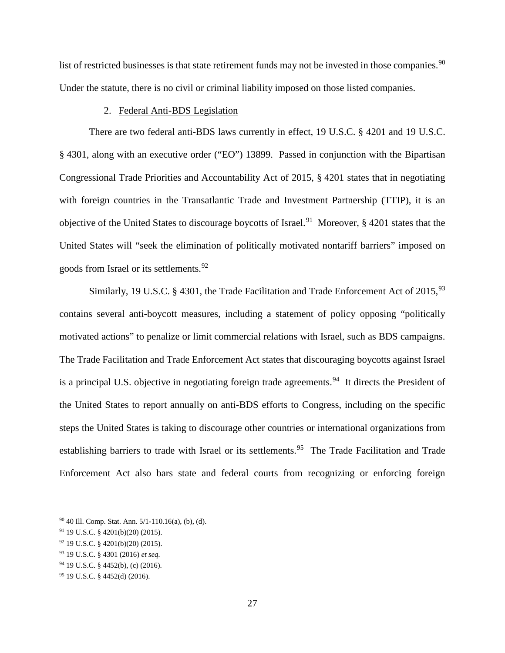list of restricted businesses is that state retirement funds may not be invested in those companies.<sup>[90](#page-30-1)</sup> Under the statute, there is no civil or criminal liability imposed on those listed companies.

### 2. Federal Anti-BDS Legislation

<span id="page-30-0"></span>There are two federal anti-BDS laws currently in effect, 19 U.S.C. § 4201 and 19 U.S.C. § 4301, along with an executive order ("EO") 13899. Passed in conjunction with the Bipartisan Congressional Trade Priorities and Accountability Act of 2015, § 4201 states that in negotiating with foreign countries in the Transatlantic Trade and Investment Partnership (TTIP), it is an objective of the United States to discourage boycotts of Israel.<sup>[91](#page-30-2)</sup> Moreover,  $\S$  4201 states that the United States will "seek the elimination of politically motivated nontariff barriers" imposed on goods from Israel or its settlements.<sup>92</sup>

Similarly, 19 U.S.C. § 4301, the Trade Facilitation and Trade Enforcement Act of  $2015$ , <sup>[93](#page-30-4)</sup> contains several anti-boycott measures, including a statement of policy opposing "politically motivated actions" to penalize or limit commercial relations with Israel, such as BDS campaigns. The Trade Facilitation and Trade Enforcement Act states that discouraging boycotts against Israel is a principal U.S. objective in negotiating foreign trade agreements.<sup>94</sup> It directs the President of the United States to report annually on anti-BDS efforts to Congress, including on the specific steps the United States is taking to discourage other countries or international organizations from establishing barriers to trade with Israel or its settlements.<sup>[95](#page-30-6)</sup> The Trade Facilitation and Trade Enforcement Act also bars state and federal courts from recognizing or enforcing foreign

<span id="page-30-1"></span> <sup>90</sup> 40 Ill. Comp. Stat. Ann. 5/1-110.16(a), (b), (d).

<span id="page-30-2"></span><sup>91</sup> 19 U.S.C. § 4201(b)(20) (2015).

<span id="page-30-3"></span><sup>92</sup> 19 U.S.C. § 4201(b)(20) (2015).

<span id="page-30-4"></span><sup>93</sup> 19 U.S.C. § 4301 (2016) *et seq.*

<span id="page-30-5"></span><sup>94</sup> 19 U.S.C. § 4452(b), (c) (2016).

<span id="page-30-6"></span><sup>95</sup> 19 U.S.C. § 4452(d) (2016).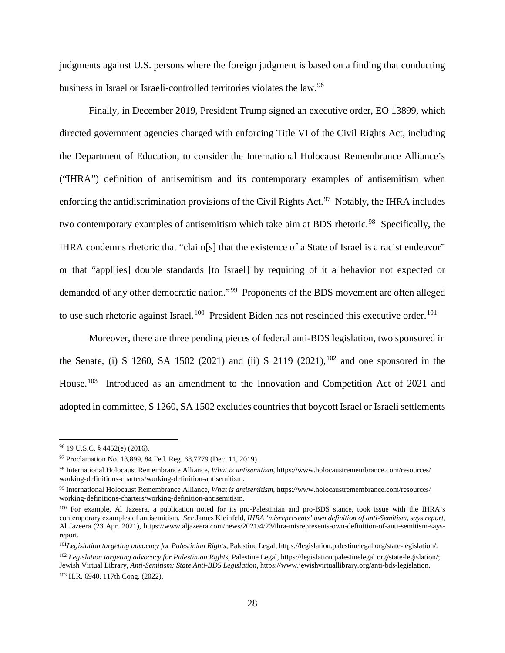judgments against U.S. persons where the foreign judgment is based on a finding that conducting business in Israel or Israeli-controlled territories violates the law.[96](#page-31-0) 

Finally, in December 2019, President Trump signed an executive order, EO 13899, which directed government agencies charged with enforcing Title VI of the Civil Rights Act, including the Department of Education, to consider the International Holocaust Remembrance Alliance's ("IHRA") definition of antisemitism and its contemporary examples of antisemitism when enforcing the antidiscrimination provisions of the Civil Rights Act.<sup>97</sup> Notably, the IHRA includes two contemporary examples of antisemitism which take aim at BDS rhetoric.<sup>[98](#page-31-2)</sup> Specifically, the IHRA condemns rhetoric that "claim[s] that the existence of a State of Israel is a racist endeavor" or that "appl[ies] double standards [to Israel] by requiring of it a behavior not expected or demanded of any other democratic nation."[99](#page-31-3) Proponents of the BDS movement are often alleged to use such rhetoric against Israel.<sup>[100](#page-31-4)</sup> President Biden has not rescinded this executive order.<sup>[101](#page-31-5)</sup>

Moreover, there are three pending pieces of federal anti-BDS legislation, two sponsored in the Senate, (i) S 1260, SA 1502 (2021) and (ii) S 2119 (2021),  $102$  and one sponsored in the House.<sup>[103](#page-31-7)</sup> Introduced as an amendment to the Innovation and Competition Act of 2021 and adopted in committee, S 1260, SA 1502 excludes countries that boycott Israel or Israeli settlements

<span id="page-31-0"></span> <sup>96</sup> 19 U.S.C. § 4452(e) (2016).

<span id="page-31-1"></span><sup>97</sup> Proclamation No. 13,899, 84 Fed. Reg. 68,7779 (Dec. 11, 2019).

<span id="page-31-2"></span><sup>98</sup> International Holocaust Remembrance Alliance, *What is antisemitism*, https://www.holocaustremembrance.com/resources/ working-definitions-charters/working-definition-antisemitism.

<span id="page-31-3"></span><sup>99</sup> International Holocaust Remembrance Alliance, *What is antisemitism*, https://www.holocaustremembrance.com/resources/ working-definitions-charters/working-definition-antisemitism.

<span id="page-31-4"></span><sup>100</sup> For example, Al Jazeera, a publication noted for its pro-Palestinian and pro-BDS stance, took issue with the IHRA's contemporary examples of antisemitism. *See* James Kleinfeld, *IHRA 'misrepresents' own definition of anti-Semitism, says report*, Al Jazeera (23 Apr. 2021), https://www.aljazeera.com/news/2021/4/23/ihra-misrepresents-own-definition-of-anti-semitism-saysreport.

<span id="page-31-5"></span><sup>101</sup>*Legislation targeting advocacy for Palestinian Rights*, Palestine Legal, https://legislation.palestinelegal.org/state-legislation/.

<span id="page-31-7"></span><span id="page-31-6"></span><sup>102</sup> *Legislation targeting advocacy for Palestinian Rights*, Palestine Legal, https://legislation.palestinelegal.org/state-legislation/; Jewish Virtual Library, *Anti-Semitism: State Anti-BDS Legislation,* https://www.jewishvirtuallibrary.org/anti-bds-legislation. <sup>103</sup> H.R. 6940, 117th Cong. (2022).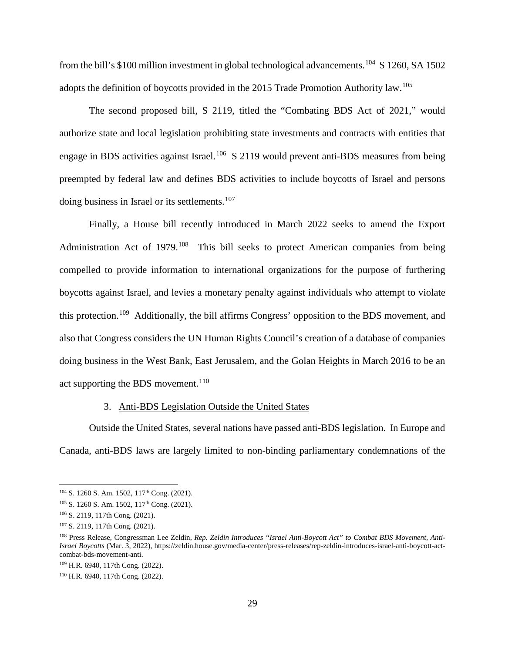from the bill's \$100 million investment in global technological advancements.<sup>[104](#page-32-1)</sup> S 1260, SA 1502 adopts the definition of boycotts provided in the 2015 Trade Promotion Authority law.<sup>[105](#page-32-2)</sup>

The second proposed bill, S 2119, titled the "Combating BDS Act of 2021," would authorize state and local legislation prohibiting state investments and contracts with entities that engage in BDS activities against Israel.<sup>[106](#page-32-3)</sup> S 2119 would prevent anti-BDS measures from being preempted by federal law and defines BDS activities to include boycotts of Israel and persons doing business in Israel or its settlements.<sup>[107](#page-32-4)</sup>

Finally, a House bill recently introduced in March 2022 seeks to amend the Export Administration Act of 1979.<sup>108</sup> This bill seeks to protect American companies from being compelled to provide information to international organizations for the purpose of furthering boycotts against Israel, and levies a monetary penalty against individuals who attempt to violate this protection.[109](#page-32-6) Additionally, the bill affirms Congress' opposition to the BDS movement, and also that Congress considers the UN Human Rights Council's creation of a database of companies doing business in the West Bank, East Jerusalem, and the Golan Heights in March 2016 to be an act supporting the BDS movement.<sup>[110](#page-32-7)</sup>

### 3. Anti-BDS Legislation Outside the United States

<span id="page-32-0"></span>Outside the United States, several nations have passed anti-BDS legislation. In Europe and Canada, anti-BDS laws are largely limited to non-binding parliamentary condemnations of the

<span id="page-32-1"></span><sup>&</sup>lt;sup>104</sup> S. 1260 S. Am. 1502, 117<sup>th</sup> Cong. (2021).

<span id="page-32-2"></span><sup>&</sup>lt;sup>105</sup> S. 1260 S. Am. 1502, 117<sup>th</sup> Cong. (2021).

<span id="page-32-3"></span><sup>106</sup> S. 2119, 117th Cong. (2021).

<span id="page-32-4"></span><sup>107</sup> S. 2119, 117th Cong. (2021).

<span id="page-32-5"></span><sup>108</sup> Press Release, Congressman Lee Zeldin, *Rep. Zeldin Introduces "Israel Anti-Boycott Act" to Combat BDS Movement, Anti-Israel Boycotts* (Mar. 3, 2022), https://zeldin.house.gov/media-center/press-releases/rep-zeldin-introduces-israel-anti-boycott-actcombat-bds-movement-anti.

<span id="page-32-6"></span><sup>109</sup> H.R. 6940, 117th Cong. (2022).

<span id="page-32-7"></span><sup>110</sup> H.R. 6940, 117th Cong. (2022).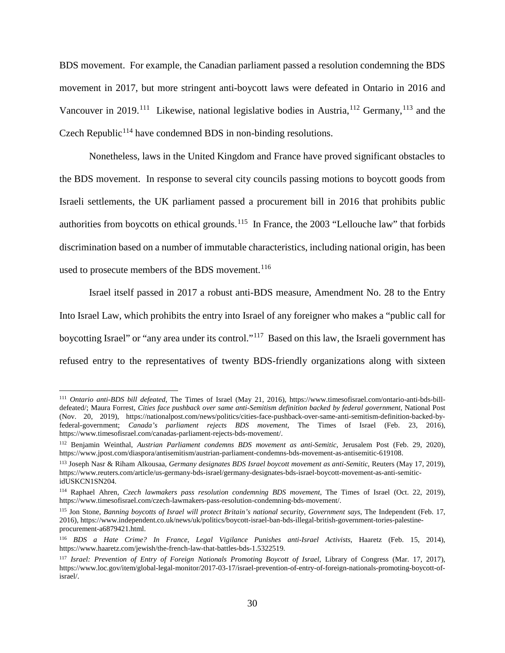BDS movement. For example, the Canadian parliament passed a resolution condemning the BDS movement in 2017, but more stringent anti-boycott laws were defeated in Ontario in 2016 and Vancouver in 2019.<sup>111</sup> Likewise, national legislative bodies in Austria,<sup>[112](#page-33-1)</sup> Germany,<sup>[113](#page-33-2)</sup> and the Czech Republic<sup> $114$ </sup> have condemned BDS in non-binding resolutions.

Nonetheless, laws in the United Kingdom and France have proved significant obstacles to the BDS movement. In response to several city councils passing motions to boycott goods from Israeli settlements, the UK parliament passed a procurement bill in 2016 that prohibits public authorities from boycotts on ethical grounds.<sup>[115](#page-33-4)</sup> In France, the 2003 "Lellouche law" that forbids discrimination based on a number of immutable characteristics, including national origin, has been used to prosecute members of the BDS movement.<sup>[116](#page-33-5)</sup>

Israel itself passed in 2017 a robust anti-BDS measure, Amendment No. 28 to the Entry Into Israel Law, which prohibits the entry into Israel of any foreigner who makes a "public call for boycotting Israel" or "any area under its control."[117](#page-33-6) Based on this law, the Israeli government has refused entry to the representatives of twenty BDS-friendly organizations along with sixteen

<span id="page-33-0"></span> <sup>111</sup> *Ontario anti-BDS bill defeated*, The Times of Israel (May 21, 2016), https://www.timesofisrael.com/ontario-anti-bds-billdefeated/; Maura Forrest, *Cities face pushback over same anti-Semitism definition backed by federal government*, National Post (Nov. 20, 2019), https://nationalpost.com/news/politics/cities-face-pushback-over-same-anti-semitism-definition-backed-byfederal-government; *Canada's parliament rejects BDS movement*, The Times of Israel (Feb. 23, 2016), https://www.timesofisrael.com/canadas-parliament-rejects-bds-movement/.

<span id="page-33-1"></span><sup>112</sup> Benjamin Weinthal, *Austrian Parliament condemns BDS movement as anti-Semitic*, Jerusalem Post (Feb. 29, 2020), https://www.jpost.com/diaspora/antisemitism/austrian-parliament-condemns-bds-movement-as-antisemitic-619108.

<span id="page-33-2"></span><sup>113</sup> Joseph Nasr & Riham Alkousaa, *Germany designates BDS Israel boycott movement as anti-Semitic*, Reuters (May 17, 2019), https://www.reuters.com/article/us-germany-bds-israel/germany-designates-bds-israel-boycott-movement-as-anti-semiticidUSKCN1SN204.

<span id="page-33-3"></span><sup>114</sup> Raphael Ahren, *Czech lawmakers pass resolution condemning BDS movement*, The Times of Israel (Oct. 22, 2019), https://www.timesofisrael.com/czech-lawmakers-pass-resolution-condemning-bds-movement/.

<span id="page-33-4"></span><sup>115</sup> Jon Stone, *Banning boycotts of Israel will protect Britain's national security, Government says*, The Independent (Feb. 17, 2016), https://www.independent.co.uk/news/uk/politics/boycott-israel-ban-bds-illegal-british-government-tories-palestineprocurement-a6879421.html.

<span id="page-33-5"></span><sup>116</sup> *BDS a Hate Crime? In France, Legal Vigilance Punishes anti-Israel Activists*, Haaretz (Feb. 15, 2014), https://www.haaretz.com/jewish/the-french-law-that-battles-bds-1.5322519.

<span id="page-33-6"></span><sup>117</sup> *Israel: Prevention of Entry of Foreign Nationals Promoting Boycott of Israel*, Library of Congress (Mar. 17, 2017), https://www.loc.gov/item/global-legal-monitor/2017-03-17/israel-prevention-of-entry-of-foreign-nationals-promoting-boycott-ofisrael/.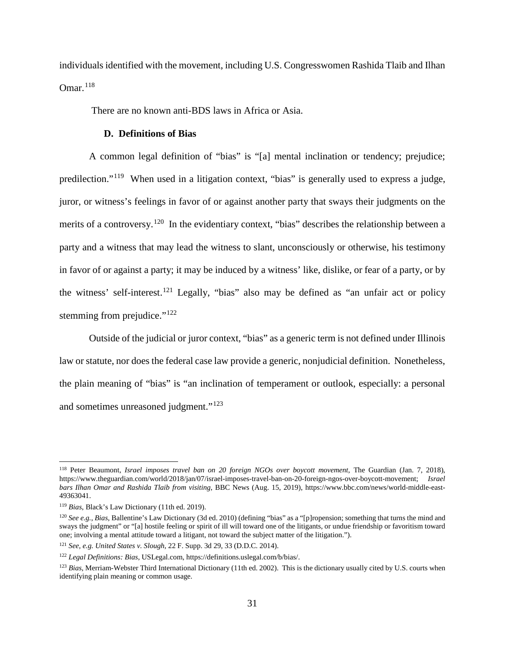individuals identified with the movement, including U.S. Congresswomen Rashida Tlaib and Ilhan Omar.[118](#page-34-1)

There are no known anti-BDS laws in Africa or Asia.

### **D. Definitions of Bias**

<span id="page-34-0"></span>A common legal definition of "bias" is "[a] mental inclination or tendency; prejudice; predilection."[119](#page-34-2) When used in a litigation context, "bias" is generally used to express a judge, juror, or witness's feelings in favor of or against another party that sways their judgments on the merits of a controversy.<sup>120</sup> In the evidentiary context, "bias" describes the relationship between a party and a witness that may lead the witness to slant, unconsciously or otherwise, his testimony in favor of or against a party; it may be induced by a witness' like, dislike, or fear of a party, or by the witness' self-interest.[121](#page-34-4) Legally, "bias" also may be defined as "an unfair act or policy stemming from prejudice." $122$ 

Outside of the judicial or juror context, "bias" as a generic term is not defined under Illinois law or statute, nor does the federal case law provide a generic, nonjudicial definition. Nonetheless, the plain meaning of "bias" is "an inclination of temperament or outlook, especially: a personal and sometimes unreasoned judgment."<sup>123</sup>

<span id="page-34-1"></span> <sup>118</sup> Peter Beaumont, *Israel imposes travel ban on 20 foreign NGOs over boycott movement*, The Guardian (Jan. 7, 2018), https://www.theguardian.com/world/2018/jan/07/israel-imposes-travel-ban-on-20-foreign-ngos-over-boycott-movement; *Israel bars Ilhan Omar and Rashida Tlaib from visiting*, BBC News (Aug. 15, 2019), https://www.bbc.com/news/world-middle-east-49363041.

<span id="page-34-2"></span><sup>119</sup> *Bias*, Black's Law Dictionary (11th ed. 2019).

<span id="page-34-3"></span><sup>120</sup> *See e.g.*, *Bias*, Ballentine's Law Dictionary (3d ed. 2010) (defining "bias" as a "[p]ropension; something that turns the mind and sways the judgment" or "[a] hostile feeling or spirit of ill will toward one of the litigants, or undue friendship or favoritism toward one; involving a mental attitude toward a litigant, not toward the subject matter of the litigation.").

<span id="page-34-4"></span><sup>121</sup> *See, e.g. United States v. Slough*, 22 F. Supp. 3d 29, 33 (D.D.C. 2014).

<span id="page-34-5"></span><sup>122</sup> *Legal Definitions: Bias*, USLegal.com, https://definitions.uslegal.com/b/bias/.

<span id="page-34-6"></span><sup>123</sup> *Bias*, Merriam-Webster Third International Dictionary (11th ed. 2002). This is the dictionary usually cited by U.S. courts when identifying plain meaning or common usage.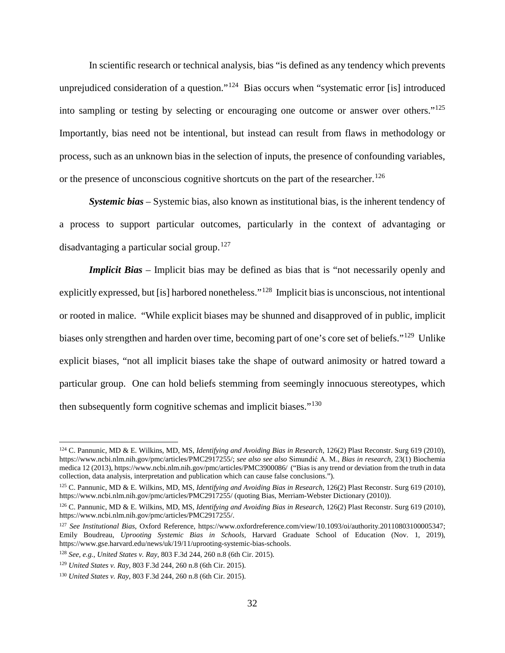In scientific research or technical analysis, bias "is defined as any tendency which prevents unprejudiced consideration of a question."<sup>[124](#page-35-0)</sup> Bias occurs when "systematic error [is] introduced into sampling or testing by selecting or encouraging one outcome or answer over others."[125](#page-35-1) Importantly, bias need not be intentional, but instead can result from flaws in methodology or process, such as an unknown bias in the selection of inputs, the presence of confounding variables, or the presence of unconscious cognitive shortcuts on the part of the researcher.<sup>[126](#page-35-2)</sup>

*Systemic bias –* Systemic bias, also known as institutional bias, is the inherent tendency of a process to support particular outcomes, particularly in the context of advantaging or disadvantaging a particular social group.<sup>[127](#page-35-3)</sup>

*Implicit Bias* – Implicit bias may be defined as bias that is "not necessarily openly and explicitly expressed, but [is] harbored nonetheless."[128](#page-35-4) Implicit bias is unconscious, not intentional or rooted in malice. "While explicit biases may be shunned and disapproved of in public, implicit biases only strengthen and harden over time, becoming part of one's core set of beliefs."[129](#page-35-5) Unlike explicit biases, "not all implicit biases take the shape of outward animosity or hatred toward a particular group. One can hold beliefs stemming from seemingly innocuous stereotypes, which then subsequently form cognitive schemas and implicit biases."[130](#page-35-6)

<span id="page-35-0"></span> <sup>124</sup> C. Pannunic, MD & E. Wilkins, MD, MS, *Identifying and Avoiding Bias in Research*, 126(2) Plast Reconstr. Surg 619 (2010), https://www.ncbi.nlm.nih.gov/pmc/articles/PMC2917255/; *see also see also* Simundić A. M., *Bias in research*, 23(1) Biochemia medica 12 (2013), https://www.ncbi.nlm.nih.gov/pmc/articles/PMC3900086/ ("Bias is any trend or deviation from the truth in data collection, data analysis, interpretation and publication which can cause false conclusions.").

<span id="page-35-1"></span><sup>125</sup> C. Pannunic, MD & E. Wilkins, MD, MS, *Identifying and Avoiding Bias in Research*, 126(2) Plast Reconstr. Surg 619 (2010), https://www.ncbi.nlm.nih.gov/pmc/articles/PMC2917255/ (quoting Bias, Merriam-Webster Dictionary (2010)).

<span id="page-35-2"></span><sup>126</sup> C. Pannunic, MD & E. Wilkins, MD, MS, *Identifying and Avoiding Bias in Research*, 126(2) Plast Reconstr. Surg 619 (2010), https://www.ncbi.nlm.nih.gov/pmc/articles/PMC2917255/.

<span id="page-35-3"></span><sup>127</sup> *See Institutional Bias*, Oxford Reference, https://www.oxfordreference.com/view/10.1093/oi/authority.20110803100005347; Emily Boudreau, *Uprooting Systemic Bias in Schools,* Harvard Graduate School of Education (Nov. 1, 2019), https://www.gse.harvard.edu/news/uk/19/11/uprooting-systemic-bias-schools.

<span id="page-35-4"></span><sup>128</sup> *See, e.g., United States v. Ray*, 803 F.3d 244, 260 n.8 (6th Cir. 2015).

<span id="page-35-5"></span><sup>129</sup> *United States v. Ray*, 803 F.3d 244, 260 n.8 (6th Cir. 2015).

<span id="page-35-6"></span><sup>130</sup> *United States v. Ray*, 803 F.3d 244, 260 n.8 (6th Cir. 2015).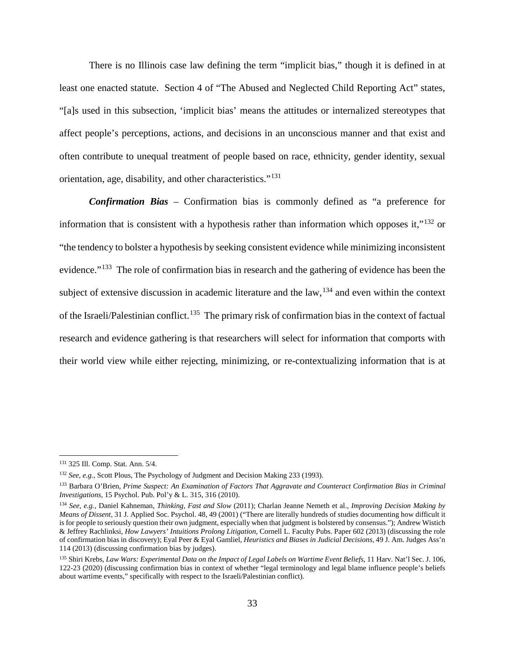There is no Illinois case law defining the term "implicit bias," though it is defined in at least one enacted statute. Section 4 of "The Abused and Neglected Child Reporting Act" states, "[a]s used in this subsection, 'implicit bias' means the attitudes or internalized stereotypes that affect people's perceptions, actions, and decisions in an unconscious manner and that exist and often contribute to unequal treatment of people based on race, ethnicity, gender identity, sexual orientation, age, disability, and other characteristics."[131](#page-36-0)

*Confirmation Bias* – Confirmation bias is commonly defined as "a preference for information that is consistent with a hypothesis rather than information which opposes it,"<sup>[132](#page-36-1)</sup> or "the tendency to bolster a hypothesis by seeking consistent evidence while minimizing inconsistent evidence."<sup>133</sup> The role of confirmation bias in research and the gathering of evidence has been the subject of extensive discussion in academic literature and the  $law<sub>134</sub>$  $law<sub>134</sub>$  $law<sub>134</sub>$  and even within the context of the Israeli/Palestinian conflict.<sup>135</sup> The primary risk of confirmation bias in the context of factual research and evidence gathering is that researchers will select for information that comports with their world view while either rejecting, minimizing, or re-contextualizing information that is at

<span id="page-36-0"></span> <sup>131</sup> 325 Ill. Comp. Stat. Ann. 5/4.

<span id="page-36-1"></span><sup>132</sup> *See, e.g.*, Scott Plous, The Psychology of Judgment and Decision Making 233 (1993).

<span id="page-36-2"></span><sup>133</sup> Barbara O'Brien, *Prime Suspect: An Examination of Factors That Aggravate and Counteract Confirmation Bias in Criminal Investigations*, 15 Psychol. Pub. Pol'y & L. 315, 316 (2010).

<span id="page-36-3"></span><sup>134</sup> *See, e.g.,* Daniel Kahneman, *Thinking, Fast and Slow* (2011); Charlan Jeanne Nemeth et al., *Improving Decision Making by Means of Dissent*, 31 J. Applied Soc. Psychol. 48, 49 (2001) ("There are literally hundreds of studies documenting how difficult it is for people to seriously question their own judgment, especially when that judgment is bolstered by consensus."); Andrew Wistich & Jeffrey Rachlinksi, *How Lawyers' Intuitions Prolong Litigation*, Cornell L. Faculty Pubs. Paper 602 (2013) (discussing the role of confirmation bias in discovery); Eyal Peer & Eyal Gamliel, *Heuristics and Biases in Judicial Decisions*, 49 J. Am. Judges Ass'n 114 (2013) (discussing confirmation bias by judges).

<span id="page-36-4"></span><sup>135</sup> Shiri Krebs, *Law Wars: Experimental Data on the Impact of Legal Labels on Wartime Event Beliefs*, 11 Harv. Nat'l Sec. J. 106, 122-23 (2020) (discussing confirmation bias in context of whether "legal terminology and legal blame influence people's beliefs about wartime events," specifically with respect to the Israeli/Palestinian conflict).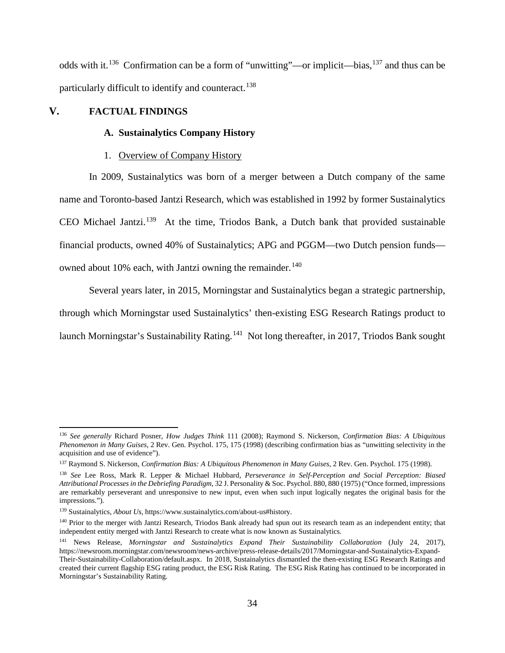odds with it.[136](#page-37-0) Confirmation can be a form of "unwitting"—or implicit—bias,[137](#page-37-1) and thus can be particularly difficult to identify and counteract.<sup>[138](#page-37-2)</sup>

# **V. FACTUAL FINDINGS**

## **A. Sustainalytics Company History**

## 1. Overview of Company History

In 2009, Sustainalytics was born of a merger between a Dutch company of the same name and Toronto-based Jantzi Research, which was established in 1992 by former Sustainalytics CEO Michael Jantzi.<sup>[139](#page-37-3)</sup> At the time, Triodos Bank, a Dutch bank that provided sustainable financial products, owned 40% of Sustainalytics; APG and PGGM—two Dutch pension funds— owned about 10% each, with Jantzi owning the remainder.<sup>[140](#page-37-4)</sup>

Several years later, in 2015, Morningstar and Sustainalytics began a strategic partnership, through which Morningstar used Sustainalytics' then-existing ESG Research Ratings product to launch Morningstar's Sustainability Rating.<sup>141</sup> Not long thereafter, in 2017, Triodos Bank sought

<span id="page-37-0"></span> <sup>136</sup> *See generally* Richard Posner, *How Judges Think* 111 (2008); Raymond S. Nickerson, *Confirmation Bias: A Ubiquitous Phenomenon in Many Guises*, 2 Rev. Gen. Psychol. 175, 175 (1998) (describing confirmation bias as "unwitting selectivity in the acquisition and use of evidence").

<span id="page-37-1"></span><sup>137</sup> Raymond S. Nickerson, *Confirmation Bias: A Ubiquitous Phenomenon in Many Guises*, 2 Rev. Gen. Psychol. 175 (1998).

<span id="page-37-2"></span><sup>138</sup> *See* Lee Ross, Mark R. Lepper & Michael Hubbard, *Perseverance in Self-Perception and Social Perception: Biased Attributional Processes in the Debriefing Paradigm*, 32 J. Personality & Soc. Psychol. 880, 880 (1975) ("Once formed, impressions are remarkably perseverant and unresponsive to new input, even when such input logically negates the original basis for the impressions.").

<span id="page-37-3"></span><sup>139</sup> Sustainalytics, *About Us*, https://www.sustainalytics.com/about-us#history.

<span id="page-37-4"></span><sup>&</sup>lt;sup>140</sup> Prior to the merger with Jantzi Research, Triodos Bank already had spun out its research team as an independent entity; that independent entity merged with Jantzi Research to create what is now known as Sustainalytics.

<span id="page-37-5"></span><sup>141</sup> News Release, *Morningstar and Sustainalytics Expand Their Sustainability Collaboration* (July 24, 2017), https://newsroom.morningstar.com/newsroom/news-archive/press-release-details/2017/Morningstar-and-Sustainalytics-Expand-Their-Sustainability-Collaboration/default.aspx. In 2018, Sustainalytics dismantled the then-existing ESG Research Ratings and created their current flagship ESG rating product, the ESG Risk Rating. The ESG Risk Rating has continued to be incorporated in Morningstar's Sustainability Rating.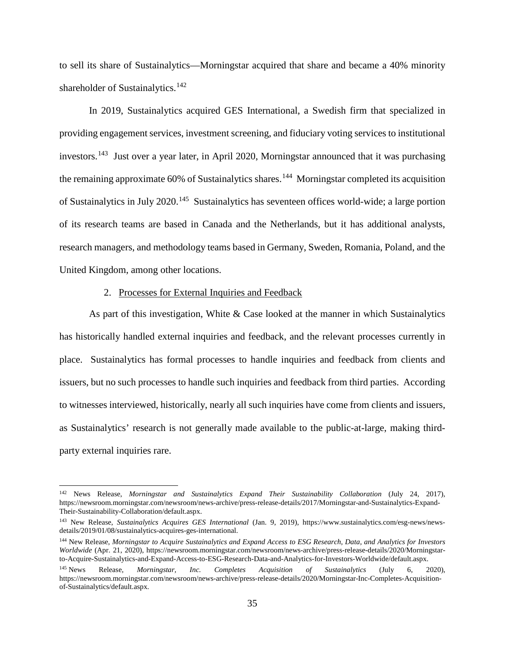to sell its share of Sustainalytics—Morningstar acquired that share and became a 40% minority shareholder of Sustainalytics.<sup>[142](#page-38-0)</sup>

In 2019, Sustainalytics acquired GES International, a Swedish firm that specialized in providing engagement services, investment screening, and fiduciary voting services to institutional investors.<sup>[143](#page-38-1)</sup> Just over a year later, in April 2020, Morningstar announced that it was purchasing the remaining approximate  $60\%$  of Sustainalytics shares.<sup>144</sup> Morningstar completed its acquisition of Sustainalytics in July 2020.[145](#page-38-3) Sustainalytics has seventeen offices world-wide; a large portion of its research teams are based in Canada and the Netherlands, but it has additional analysts, research managers, and methodology teams based in Germany, Sweden, Romania, Poland, and the United Kingdom, among other locations.

## 2. Processes for External Inquiries and Feedback

As part of this investigation, White & Case looked at the manner in which Sustainalytics has historically handled external inquiries and feedback, and the relevant processes currently in place. Sustainalytics has formal processes to handle inquiries and feedback from clients and issuers, but no such processes to handle such inquiries and feedback from third parties. According to witnesses interviewed, historically, nearly all such inquiries have come from clients and issuers, as Sustainalytics' research is not generally made available to the public-at-large, making thirdparty external inquiries rare.

<span id="page-38-0"></span> <sup>142</sup> News Release, *Morningstar and Sustainalytics Expand Their Sustainability Collaboration* (July 24, 2017), https://newsroom.morningstar.com/newsroom/news-archive/press-release-details/2017/Morningstar-and-Sustainalytics-Expand-Their-Sustainability-Collaboration/default.aspx.

<span id="page-38-1"></span><sup>143</sup> New Release, *Sustainalytics Acquires GES International* (Jan. 9, 2019), https://www.sustainalytics.com/esg-news/newsdetails/2019/01/08/sustainalytics-acquires-ges-international.

<span id="page-38-2"></span><sup>144</sup> New Release, *Morningstar to Acquire Sustainalytics and Expand Access to ESG Research, Data, and Analytics for Investors Worldwide* (Apr. 21, 2020), https://newsroom.morningstar.com/newsroom/news-archive/press-release-details/2020/Morningstarto-Acquire-Sustainalytics-and-Expand-Access-to-ESG-Research-Data-and-Analytics-for-Investors-Worldwide/default.aspx.

<span id="page-38-3"></span><sup>145</sup> News Release, *Morningstar, Inc. Completes Acquisition of Sustainalytics* (July 6, 2020), https://newsroom.morningstar.com/newsroom/news-archive/press-release-details/2020/Morningstar-Inc-Completes-Acquisitionof-Sustainalytics/default.aspx.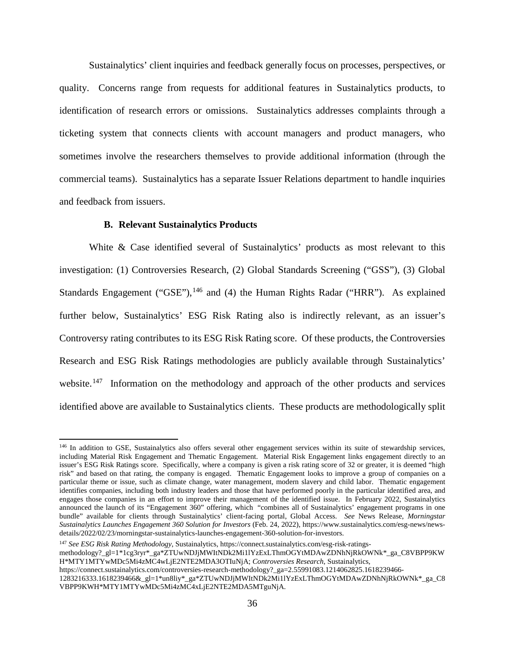Sustainalytics' client inquiries and feedback generally focus on processes, perspectives, or quality. Concerns range from requests for additional features in Sustainalytics products, to identification of research errors or omissions. Sustainalytics addresses complaints through a ticketing system that connects clients with account managers and product managers, who sometimes involve the researchers themselves to provide additional information (through the commercial teams). Sustainalytics has a separate Issuer Relations department to handle inquiries and feedback from issuers.

## **B. Relevant Sustainalytics Products**

White & Case identified several of Sustainalytics' products as most relevant to this investigation: (1) Controversies Research, (2) Global Standards Screening ("GSS"), (3) Global Standards Engagement ("GSE"), $^{146}$  $^{146}$  $^{146}$  and (4) the Human Rights Radar ("HRR"). As explained further below, Sustainalytics' ESG Risk Rating also is indirectly relevant, as an issuer's Controversy rating contributes to its ESG Risk Rating score. Of these products, the Controversies Research and ESG Risk Ratings methodologies are publicly available through Sustainalytics' website.<sup>[147](#page-39-1)</sup> Information on the methodology and approach of the other products and services identified above are available to Sustainalytics clients. These products are methodologically split

<span id="page-39-1"></span><sup>147</sup> *See ESG Risk Rating Methodology*, Sustainalytics, https://connect.sustainalytics.com/esg-risk-ratingsmethodology?\_gl=1\*1cg3ryr\*\_ga\*ZTUwNDJjMWItNDk2Mi1lYzExLThmOGYtMDAwZDNhNjRkOWNk\*\_ga\_C8VBPP9KW H\*MTY1MTYwMDc5Mi4zMC4wLjE2NTE2MDA3OTIuNjA; *Controversies Research*, Sustainalytics, https://connect.sustainalytics.com/controversies-research-methodology?\_ga=2.55991083.1214062825.1618239466- 1283216333.1618239466&\_gl=1\*un8liy\*\_ga\*ZTUwNDJjMWItNDk2Mi1lYzExLThmOGYtMDAwZDNhNjRkOWNk\*\_ga\_C8 VBPP9KWH\*MTY1MTYwMDc5Mi4zMC4xLjE2NTE2MDA5MTguNjA.

<span id="page-39-0"></span><sup>&</sup>lt;sup>146</sup> In addition to GSE, Sustainalytics also offers several other engagement services within its suite of stewardship services, including Material Risk Engagement and Thematic Engagement. Material Risk Engagement links engagement directly to an issuer's ESG Risk Ratings score. Specifically, where a company is given a risk rating score of 32 or greater, it is deemed "high risk" and based on that rating, the company is engaged. Thematic Engagement looks to improve a group of companies on a particular theme or issue, such as climate change, water management, modern slavery and child labor. Thematic engagement identifies companies, including both industry leaders and those that have performed poorly in the particular identified area, and engages those companies in an effort to improve their management of the identified issue. In February 2022, Sustainalytics announced the launch of its "Engagement 360" offering, which "combines all of Sustainalytics' engagement programs in one bundle" available for clients through Sustainalytics' client-facing portal, Global Access. *See* News Release, *Morningstar Sustainalytics Launches Engagement 360 Solution for Investors* (Feb. 24, 2022), https://www.sustainalytics.com/esg-news/newsdetails/2022/02/23/morningstar-sustainalytics-launches-engagement-360-solution-for-investors.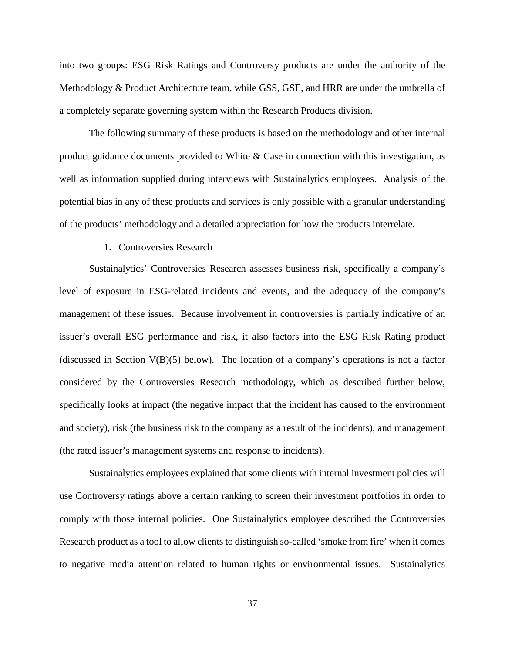into two groups: ESG Risk Ratings and Controversy products are under the authority of the Methodology & Product Architecture team, while GSS, GSE, and HRR are under the umbrella of a completely separate governing system within the Research Products division.

The following summary of these products is based on the methodology and other internal product guidance documents provided to White & Case in connection with this investigation, as well as information supplied during interviews with Sustainalytics employees. Analysis of the potential bias in any of these products and services is only possible with a granular understanding of the products' methodology and a detailed appreciation for how the products interrelate.

## 1. Controversies Research

Sustainalytics' Controversies Research assesses business risk, specifically a company's level of exposure in ESG-related incidents and events, and the adequacy of the company's management of these issues. Because involvement in controversies is partially indicative of an issuer's overall ESG performance and risk, it also factors into the ESG Risk Rating product (discussed in Section  $V(B)(5)$  below). The location of a company's operations is not a factor considered by the Controversies Research methodology, which as described further below, specifically looks at impact (the negative impact that the incident has caused to the environment and society), risk (the business risk to the company as a result of the incidents), and management (the rated issuer's management systems and response to incidents).

Sustainalytics employees explained that some clients with internal investment policies will use Controversy ratings above a certain ranking to screen their investment portfolios in order to comply with those internal policies. One Sustainalytics employee described the Controversies Research product as a tool to allow clients to distinguish so-called 'smoke from fire' when it comes to negative media attention related to human rights or environmental issues. Sustainalytics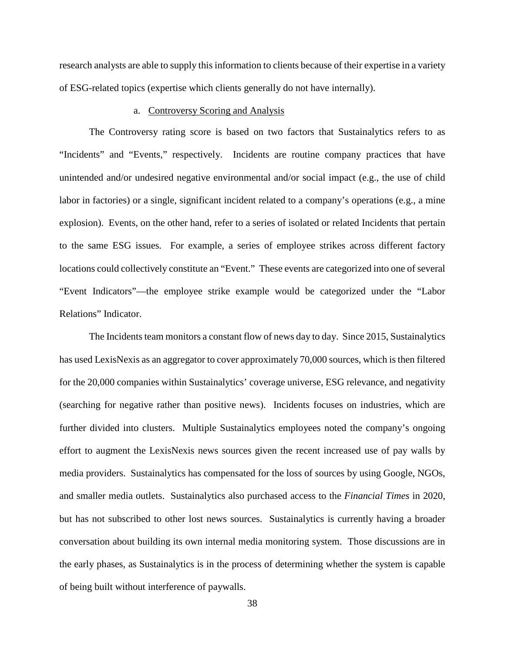research analysts are able to supply this information to clients because of their expertise in a variety of ESG-related topics (expertise which clients generally do not have internally).

### a. Controversy Scoring and Analysis

The Controversy rating score is based on two factors that Sustainalytics refers to as "Incidents" and "Events," respectively. Incidents are routine company practices that have unintended and/or undesired negative environmental and/or social impact (e.g., the use of child labor in factories) or a single, significant incident related to a company's operations (e.g., a mine explosion). Events, on the other hand, refer to a series of isolated or related Incidents that pertain to the same ESG issues. For example, a series of employee strikes across different factory locations could collectively constitute an "Event." These events are categorized into one of several "Event Indicators"—the employee strike example would be categorized under the "Labor Relations" Indicator.

The Incidents team monitors a constant flow of news day to day. Since 2015, Sustainalytics has used LexisNexis as an aggregator to cover approximately 70,000 sources, which is then filtered for the 20,000 companies within Sustainalytics' coverage universe, ESG relevance, and negativity (searching for negative rather than positive news). Incidents focuses on industries, which are further divided into clusters. Multiple Sustainalytics employees noted the company's ongoing effort to augment the LexisNexis news sources given the recent increased use of pay walls by media providers. Sustainalytics has compensated for the loss of sources by using Google, NGOs, and smaller media outlets. Sustainalytics also purchased access to the *Financial Times* in 2020, but has not subscribed to other lost news sources. Sustainalytics is currently having a broader conversation about building its own internal media monitoring system. Those discussions are in the early phases, as Sustainalytics is in the process of determining whether the system is capable of being built without interference of paywalls.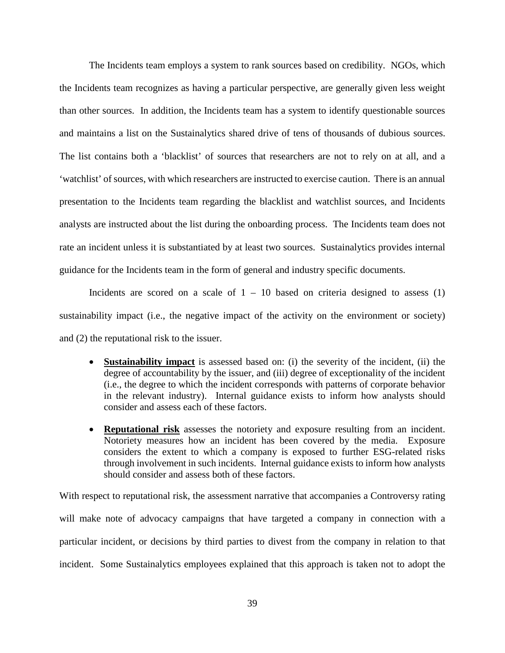The Incidents team employs a system to rank sources based on credibility. NGOs, which the Incidents team recognizes as having a particular perspective, are generally given less weight than other sources. In addition, the Incidents team has a system to identify questionable sources and maintains a list on the Sustainalytics shared drive of tens of thousands of dubious sources. The list contains both a 'blacklist' of sources that researchers are not to rely on at all, and a 'watchlist' of sources, with which researchers are instructed to exercise caution. There is an annual presentation to the Incidents team regarding the blacklist and watchlist sources, and Incidents analysts are instructed about the list during the onboarding process. The Incidents team does not rate an incident unless it is substantiated by at least two sources. Sustainalytics provides internal guidance for the Incidents team in the form of general and industry specific documents.

Incidents are scored on a scale of  $1 - 10$  based on criteria designed to assess (1) sustainability impact (i.e., the negative impact of the activity on the environment or society) and (2) the reputational risk to the issuer.

- **Sustainability impact** is assessed based on: (i) the severity of the incident, (ii) the degree of accountability by the issuer, and (iii) degree of exceptionality of the incident (i.e., the degree to which the incident corresponds with patterns of corporate behavior in the relevant industry). Internal guidance exists to inform how analysts should consider and assess each of these factors.
- **Reputational risk** assesses the notoriety and exposure resulting from an incident. Notoriety measures how an incident has been covered by the media. Exposure considers the extent to which a company is exposed to further ESG-related risks through involvement in such incidents. Internal guidance exists to inform how analysts should consider and assess both of these factors.

With respect to reputational risk, the assessment narrative that accompanies a Controversy rating will make note of advocacy campaigns that have targeted a company in connection with a particular incident, or decisions by third parties to divest from the company in relation to that incident. Some Sustainalytics employees explained that this approach is taken not to adopt the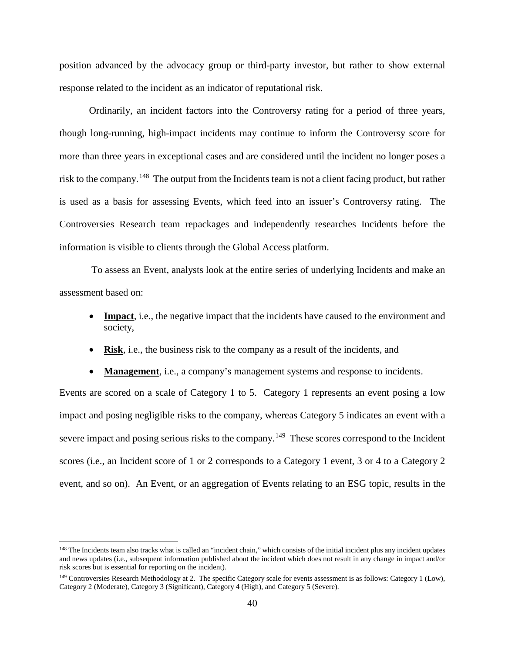position advanced by the advocacy group or third-party investor, but rather to show external response related to the incident as an indicator of reputational risk.

Ordinarily, an incident factors into the Controversy rating for a period of three years, though long-running, high-impact incidents may continue to inform the Controversy score for more than three years in exceptional cases and are considered until the incident no longer poses a risk to the company.<sup>148</sup> The output from the Incidents team is not a client facing product, but rather is used as a basis for assessing Events, which feed into an issuer's Controversy rating. The Controversies Research team repackages and independently researches Incidents before the information is visible to clients through the Global Access platform.

To assess an Event, analysts look at the entire series of underlying Incidents and make an assessment based on:

- **Impact**, i.e., the negative impact that the incidents have caused to the environment and society,
- **Risk**, i.e., the business risk to the company as a result of the incidents, and

• **Management**, i.e., a company's management systems and response to incidents.

Events are scored on a scale of Category 1 to 5. Category 1 represents an event posing a low impact and posing negligible risks to the company, whereas Category 5 indicates an event with a severe impact and posing serious risks to the company.<sup>[149](#page-43-1)</sup> These scores correspond to the Incident scores (i.e., an Incident score of 1 or 2 corresponds to a Category 1 event, 3 or 4 to a Category 2 event, and so on). An Event, or an aggregation of Events relating to an ESG topic, results in the

<span id="page-43-0"></span><sup>&</sup>lt;sup>148</sup> The Incidents team also tracks what is called an "incident chain," which consists of the initial incident plus any incident updates and news updates (i.e*.*, subsequent information published about the incident which does not result in any change in impact and/or risk scores but is essential for reporting on the incident).

<span id="page-43-1"></span> $149$  Controversies Research Methodology at 2. The specific Category scale for events assessment is as follows: Category 1 (Low), Category 2 (Moderate), Category 3 (Significant), Category 4 (High), and Category 5 (Severe).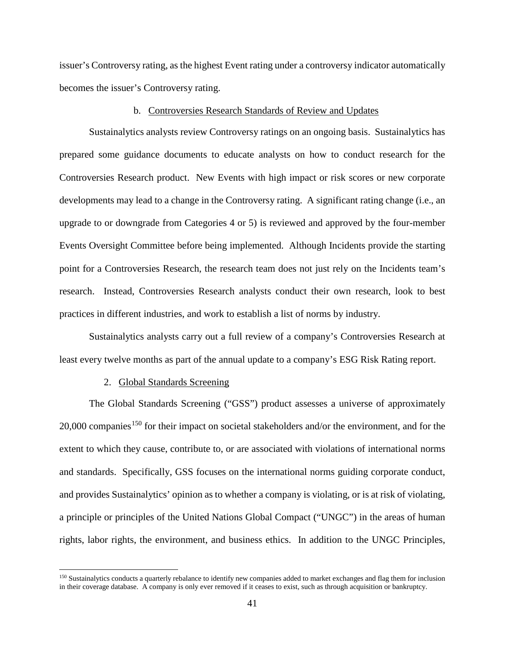issuer's Controversy rating, as the highest Event rating under a controversy indicator automatically becomes the issuer's Controversy rating.

## b. Controversies Research Standards of Review and Updates

Sustainalytics analysts review Controversy ratings on an ongoing basis. Sustainalytics has prepared some guidance documents to educate analysts on how to conduct research for the Controversies Research product. New Events with high impact or risk scores or new corporate developments may lead to a change in the Controversy rating. A significant rating change (i.e., an upgrade to or downgrade from Categories 4 or 5) is reviewed and approved by the four-member Events Oversight Committee before being implemented. Although Incidents provide the starting point for a Controversies Research, the research team does not just rely on the Incidents team's research. Instead, Controversies Research analysts conduct their own research, look to best practices in different industries, and work to establish a list of norms by industry.

Sustainalytics analysts carry out a full review of a company's Controversies Research at least every twelve months as part of the annual update to a company's ESG Risk Rating report.

#### 2. Global Standards Screening

The Global Standards Screening ("GSS") product assesses a universe of approximately  $20,000$  companies<sup>[150](#page-44-0)</sup> for their impact on societal stakeholders and/or the environment, and for the extent to which they cause, contribute to, or are associated with violations of international norms and standards. Specifically, GSS focuses on the international norms guiding corporate conduct, and provides Sustainalytics' opinion as to whether a company is violating, or is at risk of violating, a principle or principles of the United Nations Global Compact ("UNGC") in the areas of human rights, labor rights, the environment, and business ethics. In addition to the UNGC Principles,

<span id="page-44-0"></span><sup>&</sup>lt;sup>150</sup> Sustainalytics conducts a quarterly rebalance to identify new companies added to market exchanges and flag them for inclusion in their coverage database. A company is only ever removed if it ceases to exist, such as through acquisition or bankruptcy.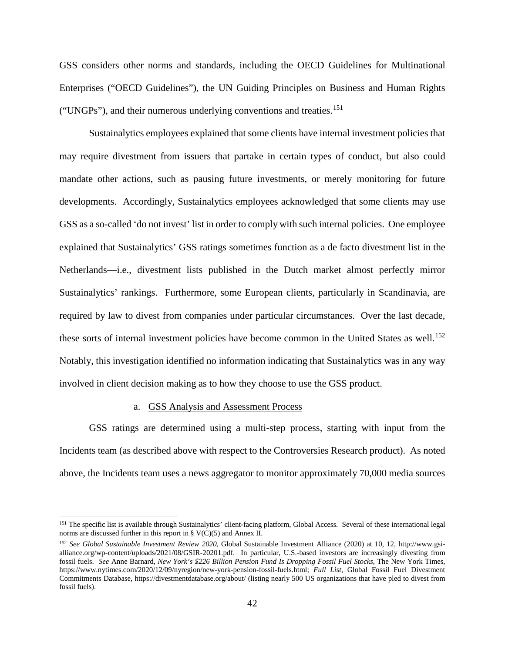GSS considers other norms and standards, including the OECD Guidelines for Multinational Enterprises ("OECD Guidelines"), the UN Guiding Principles on Business and Human Rights ("UNGPs"), and their numerous underlying conventions and treaties.[151](#page-45-0)

Sustainalytics employees explained that some clients have internal investment policies that may require divestment from issuers that partake in certain types of conduct, but also could mandate other actions, such as pausing future investments, or merely monitoring for future developments. Accordingly, Sustainalytics employees acknowledged that some clients may use GSS as a so-called 'do not invest' list in order to comply with such internal policies. One employee explained that Sustainalytics' GSS ratings sometimes function as a de facto divestment list in the Netherlands—i.e., divestment lists published in the Dutch market almost perfectly mirror Sustainalytics' rankings. Furthermore, some European clients, particularly in Scandinavia, are required by law to divest from companies under particular circumstances. Over the last decade, these sorts of internal investment policies have become common in the United States as well.<sup>[152](#page-45-1)</sup> Notably, this investigation identified no information indicating that Sustainalytics was in any way involved in client decision making as to how they choose to use the GSS product.

## a. GSS Analysis and Assessment Process

GSS ratings are determined using a multi-step process, starting with input from the Incidents team (as described above with respect to the Controversies Research product). As noted above, the Incidents team uses a news aggregator to monitor approximately 70,000 media sources

<span id="page-45-0"></span><sup>&</sup>lt;sup>151</sup> The specific list is available through Sustainalytics' client-facing platform, Global Access. Several of these international legal norms are discussed further in this report in  $\S V(C)(5)$  and Annex II.

<span id="page-45-1"></span><sup>152</sup> *See Global Sustainable Investment Review 2020*, Global Sustainable Investment Alliance (2020) at 10, 12, http://www.gsialliance.org/wp-content/uploads/2021/08/GSIR-20201.pdf. In particular, U.S.-based investors are increasingly divesting from fossil fuels. *See* Anne Barnard, *New York's \$226 Billion Pension Fund Is Dropping Fossil Fuel Stocks*, The New York Times, https://www.nytimes.com/2020/12/09/nyregion/new-york-pension-fossil-fuels.html; *Full List*, Global Fossil Fuel Divestment Commitments Database, https://divestmentdatabase.org/about/ (listing nearly 500 US organizations that have pled to divest from fossil fuels).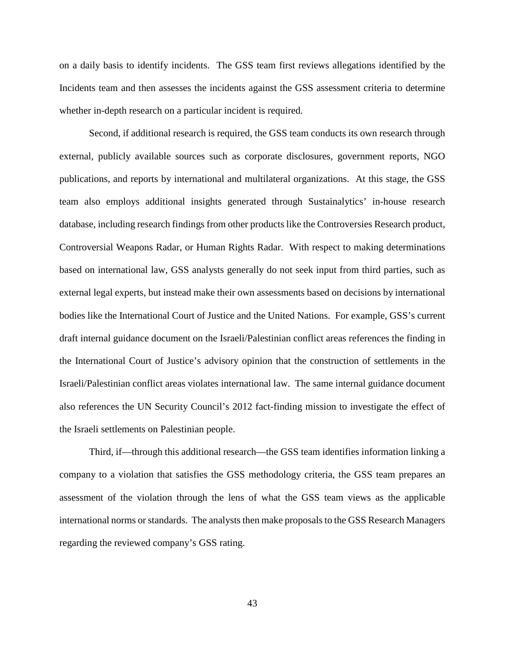on a daily basis to identify incidents. The GSS team first reviews allegations identified by the Incidents team and then assesses the incidents against the GSS assessment criteria to determine whether in-depth research on a particular incident is required.

Second, if additional research is required, the GSS team conducts its own research through external, publicly available sources such as corporate disclosures, government reports, NGO publications, and reports by international and multilateral organizations. At this stage, the GSS team also employs additional insights generated through Sustainalytics' in-house research database, including research findings from other products like the Controversies Research product, Controversial Weapons Radar, or Human Rights Radar. With respect to making determinations based on international law, GSS analysts generally do not seek input from third parties, such as external legal experts, but instead make their own assessments based on decisions by international bodies like the International Court of Justice and the United Nations. For example, GSS's current draft internal guidance document on the Israeli/Palestinian conflict areas references the finding in the International Court of Justice's advisory opinion that the construction of settlements in the Israeli/Palestinian conflict areas violates international law. The same internal guidance document also references the UN Security Council's 2012 fact-finding mission to investigate the effect of the Israeli settlements on Palestinian people.

Third, if—through this additional research—the GSS team identifies information linking a company to a violation that satisfies the GSS methodology criteria, the GSS team prepares an assessment of the violation through the lens of what the GSS team views as the applicable international norms or standards. The analysts then make proposals to the GSS Research Managers regarding the reviewed company's GSS rating.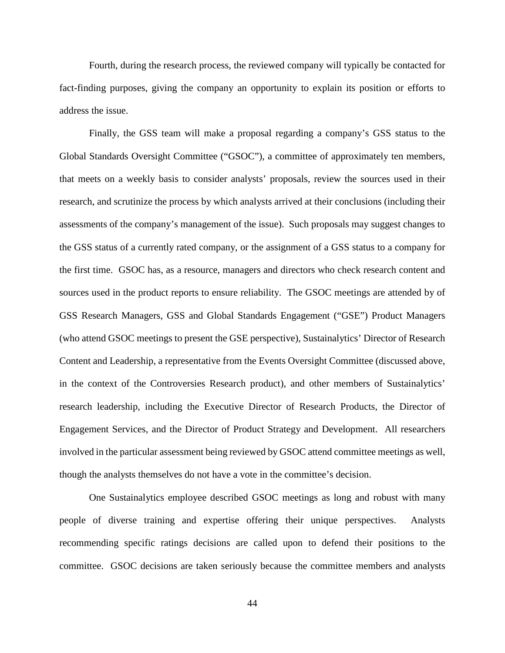Fourth, during the research process, the reviewed company will typically be contacted for fact-finding purposes, giving the company an opportunity to explain its position or efforts to address the issue.

Finally, the GSS team will make a proposal regarding a company's GSS status to the Global Standards Oversight Committee ("GSOC"), a committee of approximately ten members, that meets on a weekly basis to consider analysts' proposals, review the sources used in their research, and scrutinize the process by which analysts arrived at their conclusions (including their assessments of the company's management of the issue). Such proposals may suggest changes to the GSS status of a currently rated company, or the assignment of a GSS status to a company for the first time. GSOC has, as a resource, managers and directors who check research content and sources used in the product reports to ensure reliability. The GSOC meetings are attended by of GSS Research Managers, GSS and Global Standards Engagement ("GSE") Product Managers (who attend GSOC meetings to present the GSE perspective), Sustainalytics' Director of Research Content and Leadership, a representative from the Events Oversight Committee (discussed above, in the context of the Controversies Research product), and other members of Sustainalytics' research leadership, including the Executive Director of Research Products, the Director of Engagement Services, and the Director of Product Strategy and Development. All researchers involved in the particular assessment being reviewed by GSOC attend committee meetings as well, though the analysts themselves do not have a vote in the committee's decision.

One Sustainalytics employee described GSOC meetings as long and robust with many people of diverse training and expertise offering their unique perspectives. Analysts recommending specific ratings decisions are called upon to defend their positions to the committee. GSOC decisions are taken seriously because the committee members and analysts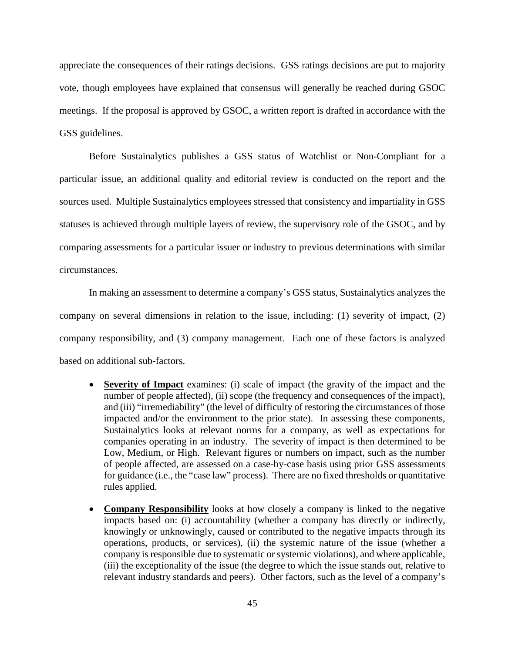appreciate the consequences of their ratings decisions. GSS ratings decisions are put to majority vote, though employees have explained that consensus will generally be reached during GSOC meetings. If the proposal is approved by GSOC, a written report is drafted in accordance with the GSS guidelines.

Before Sustainalytics publishes a GSS status of Watchlist or Non-Compliant for a particular issue, an additional quality and editorial review is conducted on the report and the sources used. Multiple Sustainalytics employees stressed that consistency and impartiality in GSS statuses is achieved through multiple layers of review, the supervisory role of the GSOC, and by comparing assessments for a particular issuer or industry to previous determinations with similar circumstances.

In making an assessment to determine a company's GSS status, Sustainalytics analyzes the company on several dimensions in relation to the issue, including: (1) severity of impact, (2) company responsibility, and (3) company management. Each one of these factors is analyzed based on additional sub-factors.

- **Severity of Impact** examines: (i) scale of impact (the gravity of the impact and the number of people affected), (ii) scope (the frequency and consequences of the impact), and (iii) "irremediability" (the level of difficulty of restoring the circumstances of those impacted and/or the environment to the prior state). In assessing these components, Sustainalytics looks at relevant norms for a company, as well as expectations for companies operating in an industry. The severity of impact is then determined to be Low, Medium, or High. Relevant figures or numbers on impact, such as the number of people affected, are assessed on a case-by-case basis using prior GSS assessments for guidance (i.e., the "case law" process). There are no fixed thresholds or quantitative rules applied.
- **Company Responsibility** looks at how closely a company is linked to the negative impacts based on: (i) accountability (whether a company has directly or indirectly, knowingly or unknowingly, caused or contributed to the negative impacts through its operations, products, or services), (ii) the systemic nature of the issue (whether a company is responsible due to systematic or systemic violations), and where applicable, (iii) the exceptionality of the issue (the degree to which the issue stands out, relative to relevant industry standards and peers). Other factors, such as the level of a company's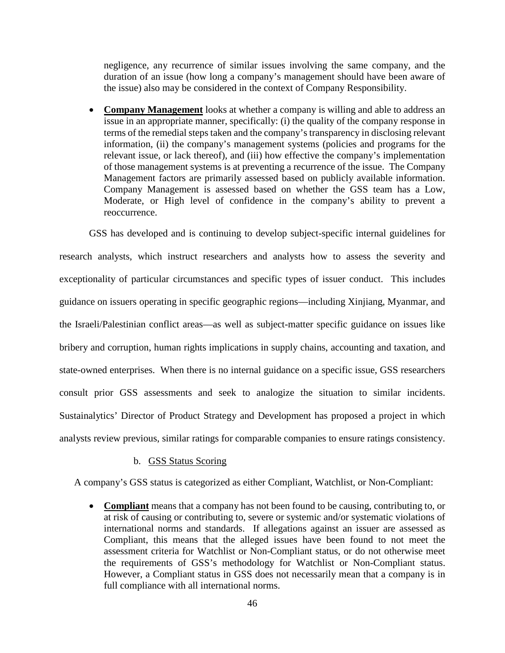negligence, any recurrence of similar issues involving the same company, and the duration of an issue (how long a company's management should have been aware of the issue) also may be considered in the context of Company Responsibility.

• **Company Management** looks at whether a company is willing and able to address an issue in an appropriate manner, specifically: (i) the quality of the company response in terms of the remedial steps taken and the company's transparency in disclosing relevant information, (ii) the company's management systems (policies and programs for the relevant issue, or lack thereof), and (iii) how effective the company's implementation of those management systems is at preventing a recurrence of the issue. The Company Management factors are primarily assessed based on publicly available information. Company Management is assessed based on whether the GSS team has a Low, Moderate, or High level of confidence in the company's ability to prevent a reoccurrence.

GSS has developed and is continuing to develop subject-specific internal guidelines for research analysts, which instruct researchers and analysts how to assess the severity and exceptionality of particular circumstances and specific types of issuer conduct. This includes guidance on issuers operating in specific geographic regions—including Xinjiang, Myanmar, and the Israeli/Palestinian conflict areas—as well as subject-matter specific guidance on issues like bribery and corruption, human rights implications in supply chains, accounting and taxation, and state-owned enterprises. When there is no internal guidance on a specific issue, GSS researchers consult prior GSS assessments and seek to analogize the situation to similar incidents. Sustainalytics' Director of Product Strategy and Development has proposed a project in which analysts review previous, similar ratings for comparable companies to ensure ratings consistency.

#### b. GSS Status Scoring

A company's GSS status is categorized as either Compliant, Watchlist, or Non-Compliant:

• **Compliant** means that a company has not been found to be causing, contributing to, or at risk of causing or contributing to, severe or systemic and/or systematic violations of international norms and standards. If allegations against an issuer are assessed as Compliant, this means that the alleged issues have been found to not meet the assessment criteria for Watchlist or Non-Compliant status, or do not otherwise meet the requirements of GSS's methodology for Watchlist or Non-Compliant status. However, a Compliant status in GSS does not necessarily mean that a company is in full compliance with all international norms.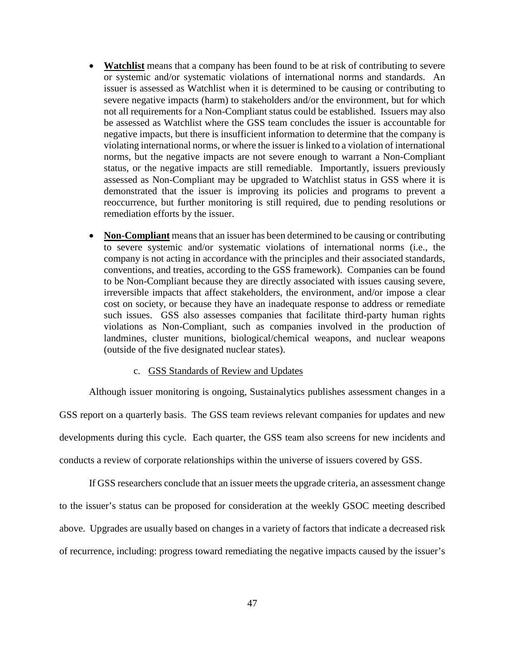- **Watchlist** means that a company has been found to be at risk of contributing to severe or systemic and/or systematic violations of international norms and standards. An issuer is assessed as Watchlist when it is determined to be causing or contributing to severe negative impacts (harm) to stakeholders and/or the environment, but for which not all requirements for a Non-Compliant status could be established. Issuers may also be assessed as Watchlist where the GSS team concludes the issuer is accountable for negative impacts, but there is insufficient information to determine that the company is violating international norms, or where the issuer is linked to a violation of international norms, but the negative impacts are not severe enough to warrant a Non-Compliant status, or the negative impacts are still remediable. Importantly, issuers previously assessed as Non-Compliant may be upgraded to Watchlist status in GSS where it is demonstrated that the issuer is improving its policies and programs to prevent a reoccurrence, but further monitoring is still required, due to pending resolutions or remediation efforts by the issuer.
- **Non-Compliant** means that an issuer has been determined to be causing or contributing to severe systemic and/or systematic violations of international norms (i.e., the company is not acting in accordance with the principles and their associated standards, conventions, and treaties, according to the GSS framework). Companies can be found to be Non-Compliant because they are directly associated with issues causing severe, irreversible impacts that affect stakeholders, the environment, and/or impose a clear cost on society, or because they have an inadequate response to address or remediate such issues. GSS also assesses companies that facilitate third-party human rights violations as Non-Compliant, such as companies involved in the production of landmines, cluster munitions, biological/chemical weapons, and nuclear weapons (outside of the five designated nuclear states).

## c. GSS Standards of Review and Updates

Although issuer monitoring is ongoing, Sustainalytics publishes assessment changes in a

GSS report on a quarterly basis. The GSS team reviews relevant companies for updates and new developments during this cycle. Each quarter, the GSS team also screens for new incidents and conducts a review of corporate relationships within the universe of issuers covered by GSS.

If GSS researchers conclude that an issuer meets the upgrade criteria, an assessment change to the issuer's status can be proposed for consideration at the weekly GSOC meeting described above. Upgrades are usually based on changes in a variety of factors that indicate a decreased risk of recurrence, including: progress toward remediating the negative impacts caused by the issuer's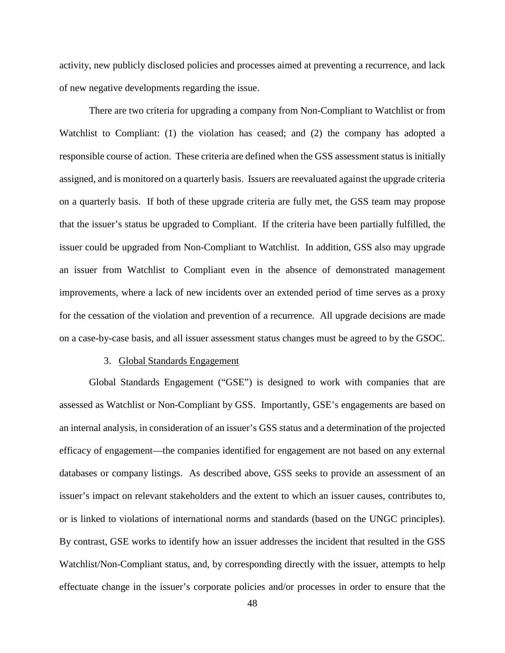activity, new publicly disclosed policies and processes aimed at preventing a recurrence, and lack of new negative developments regarding the issue.

There are two criteria for upgrading a company from Non-Compliant to Watchlist or from Watchlist to Compliant: (1) the violation has ceased; and (2) the company has adopted a responsible course of action. These criteria are defined when the GSS assessment status is initially assigned, and is monitored on a quarterly basis. Issuers are reevaluated against the upgrade criteria on a quarterly basis. If both of these upgrade criteria are fully met, the GSS team may propose that the issuer's status be upgraded to Compliant. If the criteria have been partially fulfilled, the issuer could be upgraded from Non-Compliant to Watchlist. In addition, GSS also may upgrade an issuer from Watchlist to Compliant even in the absence of demonstrated management improvements, where a lack of new incidents over an extended period of time serves as a proxy for the cessation of the violation and prevention of a recurrence. All upgrade decisions are made on a case-by-case basis, and all issuer assessment status changes must be agreed to by the GSOC.

#### 3. Global Standards Engagement

Global Standards Engagement ("GSE") is designed to work with companies that are assessed as Watchlist or Non-Compliant by GSS. Importantly, GSE's engagements are based on an internal analysis, in consideration of an issuer's GSS status and a determination of the projected efficacy of engagement—the companies identified for engagement are not based on any external databases or company listings. As described above, GSS seeks to provide an assessment of an issuer's impact on relevant stakeholders and the extent to which an issuer causes, contributes to, or is linked to violations of international norms and standards (based on the UNGC principles). By contrast, GSE works to identify how an issuer addresses the incident that resulted in the GSS Watchlist/Non-Compliant status, and, by corresponding directly with the issuer, attempts to help effectuate change in the issuer's corporate policies and/or processes in order to ensure that the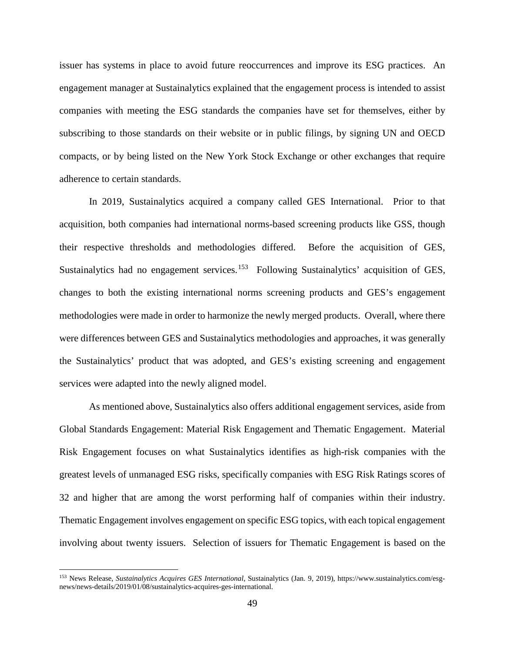issuer has systems in place to avoid future reoccurrences and improve its ESG practices. An engagement manager at Sustainalytics explained that the engagement process is intended to assist companies with meeting the ESG standards the companies have set for themselves, either by subscribing to those standards on their website or in public filings, by signing UN and OECD compacts, or by being listed on the New York Stock Exchange or other exchanges that require adherence to certain standards.

In 2019, Sustainalytics acquired a company called GES International. Prior to that acquisition, both companies had international norms-based screening products like GSS, though their respective thresholds and methodologies differed. Before the acquisition of GES, Sustainalytics had no engagement services.<sup>[153](#page-52-0)</sup> Following Sustainalytics' acquisition of GES, changes to both the existing international norms screening products and GES's engagement methodologies were made in order to harmonize the newly merged products. Overall, where there were differences between GES and Sustainalytics methodologies and approaches, it was generally the Sustainalytics' product that was adopted, and GES's existing screening and engagement services were adapted into the newly aligned model.

As mentioned above, Sustainalytics also offers additional engagement services, aside from Global Standards Engagement: Material Risk Engagement and Thematic Engagement. Material Risk Engagement focuses on what Sustainalytics identifies as high-risk companies with the greatest levels of unmanaged ESG risks, specifically companies with ESG Risk Ratings scores of 32 and higher that are among the worst performing half of companies within their industry. Thematic Engagement involves engagement on specific ESG topics, with each topical engagement involving about twenty issuers. Selection of issuers for Thematic Engagement is based on the

<span id="page-52-0"></span> <sup>153</sup> News Release, *Sustainalytics Acquires GES International*, Sustainalytics (Jan. 9, 2019), https://www.sustainalytics.com/esgnews/news-details/2019/01/08/sustainalytics-acquires-ges-international.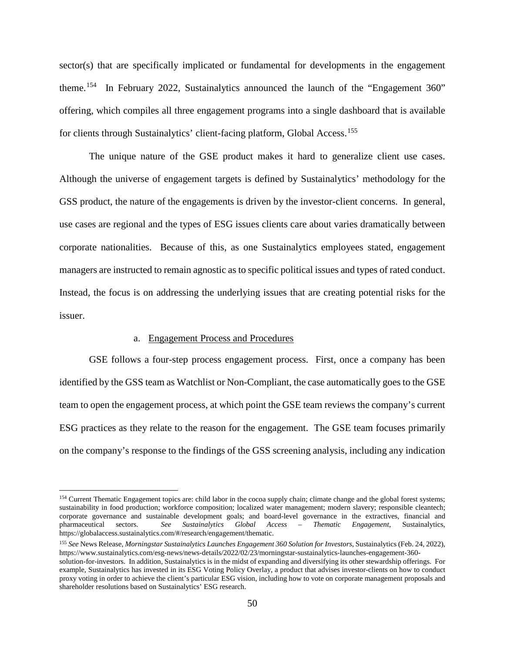sector(s) that are specifically implicated or fundamental for developments in the engagement theme.<sup>[154](#page-53-0)</sup> In February 2022, Sustainalytics announced the launch of the "Engagement 360" offering, which compiles all three engagement programs into a single dashboard that is available for clients through Sustainalytics' client-facing platform, Global Access.<sup>155</sup>

The unique nature of the GSE product makes it hard to generalize client use cases. Although the universe of engagement targets is defined by Sustainalytics' methodology for the GSS product, the nature of the engagements is driven by the investor-client concerns. In general, use cases are regional and the types of ESG issues clients care about varies dramatically between corporate nationalities. Because of this, as one Sustainalytics employees stated, engagement managers are instructed to remain agnostic as to specific political issues and types of rated conduct. Instead, the focus is on addressing the underlying issues that are creating potential risks for the issuer.

#### a. Engagement Process and Procedures

GSE follows a four-step process engagement process. First, once a company has been identified by the GSS team as Watchlist or Non-Compliant, the case automatically goes to the GSE team to open the engagement process, at which point the GSE team reviews the company's current ESG practices as they relate to the reason for the engagement. The GSE team focuses primarily on the company's response to the findings of the GSS screening analysis, including any indication

<span id="page-53-0"></span><sup>&</sup>lt;sup>154</sup> Current Thematic Engagement topics are: child labor in the cocoa supply chain; climate change and the global forest systems; sustainability in food production; workforce composition; localized water management; modern slavery; responsible cleantech; corporate governance and sustainable development goals; and board-level governance in the extractives, financial and pharmaceutical sectors. *See Sustainalytics Global Access – Thematic Engagement*, Sustainalytics, https://globalaccess.sustainalytics.com/#/research/engagement/thematic.

<span id="page-53-1"></span><sup>155</sup> *See* News Release, *Morningstar Sustainalytics Launches Engagement 360 Solution for Investors*, Sustainalytics (Feb. 24, 2022), https://www.sustainalytics.com/esg-news/news-details/2022/02/23/morningstar-sustainalytics-launches-engagement-360-

solution-for-investors. In addition, Sustainalytics is in the midst of expanding and diversifying its other stewardship offerings. For example, Sustainalytics has invested in its ESG Voting Policy Overlay, a product that advises investor-clients on how to conduct proxy voting in order to achieve the client's particular ESG vision, including how to vote on corporate management proposals and shareholder resolutions based on Sustainalytics' ESG research.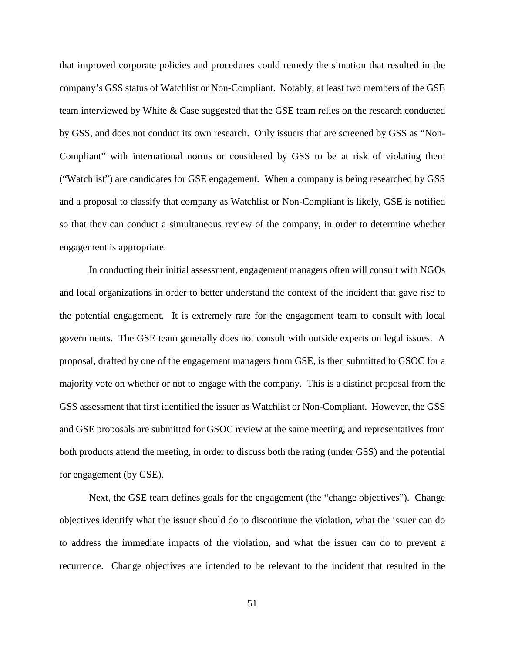that improved corporate policies and procedures could remedy the situation that resulted in the company's GSS status of Watchlist or Non-Compliant. Notably, at least two members of the GSE team interviewed by White & Case suggested that the GSE team relies on the research conducted by GSS, and does not conduct its own research. Only issuers that are screened by GSS as "Non-Compliant" with international norms or considered by GSS to be at risk of violating them ("Watchlist") are candidates for GSE engagement. When a company is being researched by GSS and a proposal to classify that company as Watchlist or Non-Compliant is likely, GSE is notified so that they can conduct a simultaneous review of the company, in order to determine whether engagement is appropriate.

In conducting their initial assessment, engagement managers often will consult with NGOs and local organizations in order to better understand the context of the incident that gave rise to the potential engagement. It is extremely rare for the engagement team to consult with local governments. The GSE team generally does not consult with outside experts on legal issues. A proposal, drafted by one of the engagement managers from GSE, is then submitted to GSOC for a majority vote on whether or not to engage with the company. This is a distinct proposal from the GSS assessment that first identified the issuer as Watchlist or Non-Compliant. However, the GSS and GSE proposals are submitted for GSOC review at the same meeting, and representatives from both products attend the meeting, in order to discuss both the rating (under GSS) and the potential for engagement (by GSE).

Next, the GSE team defines goals for the engagement (the "change objectives"). Change objectives identify what the issuer should do to discontinue the violation, what the issuer can do to address the immediate impacts of the violation, and what the issuer can do to prevent a recurrence. Change objectives are intended to be relevant to the incident that resulted in the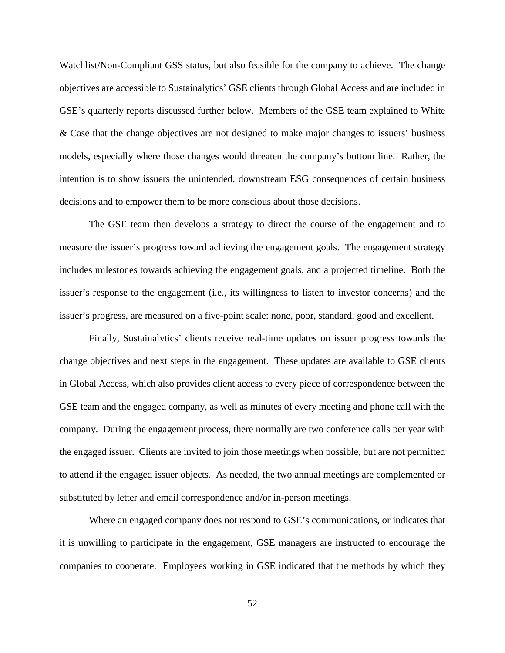Watchlist/Non-Compliant GSS status, but also feasible for the company to achieve. The change objectives are accessible to Sustainalytics' GSE clients through Global Access and are included in GSE's quarterly reports discussed further below. Members of the GSE team explained to White & Case that the change objectives are not designed to make major changes to issuers' business models, especially where those changes would threaten the company's bottom line. Rather, the intention is to show issuers the unintended, downstream ESG consequences of certain business decisions and to empower them to be more conscious about those decisions.

The GSE team then develops a strategy to direct the course of the engagement and to measure the issuer's progress toward achieving the engagement goals. The engagement strategy includes milestones towards achieving the engagement goals, and a projected timeline. Both the issuer's response to the engagement (i.e., its willingness to listen to investor concerns) and the issuer's progress, are measured on a five-point scale: none, poor, standard, good and excellent.

Finally, Sustainalytics' clients receive real-time updates on issuer progress towards the change objectives and next steps in the engagement. These updates are available to GSE clients in Global Access, which also provides client access to every piece of correspondence between the GSE team and the engaged company, as well as minutes of every meeting and phone call with the company. During the engagement process, there normally are two conference calls per year with the engaged issuer. Clients are invited to join those meetings when possible, but are not permitted to attend if the engaged issuer objects. As needed, the two annual meetings are complemented or substituted by letter and email correspondence and/or in-person meetings.

Where an engaged company does not respond to GSE's communications, or indicates that it is unwilling to participate in the engagement, GSE managers are instructed to encourage the companies to cooperate. Employees working in GSE indicated that the methods by which they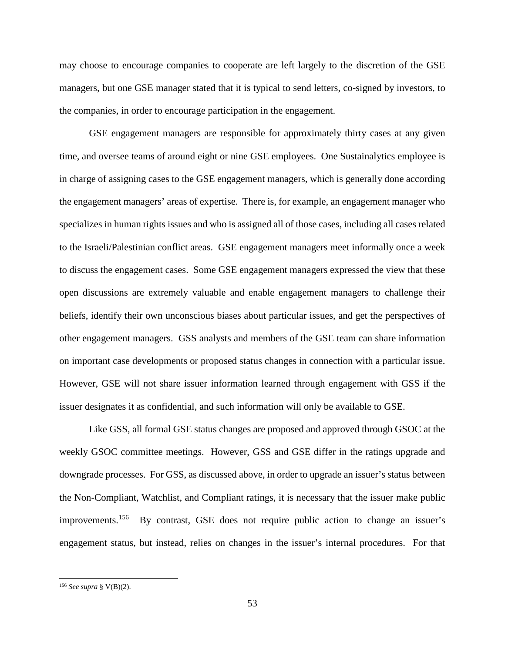may choose to encourage companies to cooperate are left largely to the discretion of the GSE managers, but one GSE manager stated that it is typical to send letters, co-signed by investors, to the companies, in order to encourage participation in the engagement.

GSE engagement managers are responsible for approximately thirty cases at any given time, and oversee teams of around eight or nine GSE employees. One Sustainalytics employee is in charge of assigning cases to the GSE engagement managers, which is generally done according the engagement managers' areas of expertise. There is, for example, an engagement manager who specializes in human rights issues and who is assigned all of those cases, including all cases related to the Israeli/Palestinian conflict areas. GSE engagement managers meet informally once a week to discuss the engagement cases. Some GSE engagement managers expressed the view that these open discussions are extremely valuable and enable engagement managers to challenge their beliefs, identify their own unconscious biases about particular issues, and get the perspectives of other engagement managers. GSS analysts and members of the GSE team can share information on important case developments or proposed status changes in connection with a particular issue. However, GSE will not share issuer information learned through engagement with GSS if the issuer designates it as confidential, and such information will only be available to GSE.

Like GSS, all formal GSE status changes are proposed and approved through GSOC at the weekly GSOC committee meetings. However, GSS and GSE differ in the ratings upgrade and downgrade processes. For GSS, as discussed above, in order to upgrade an issuer's status between the Non-Compliant, Watchlist, and Compliant ratings, it is necessary that the issuer make public improvements.[156](#page-56-0) By contrast, GSE does not require public action to change an issuer's engagement status, but instead, relies on changes in the issuer's internal procedures. For that

<span id="page-56-0"></span> <sup>156</sup> *See supra* § V(B)(2).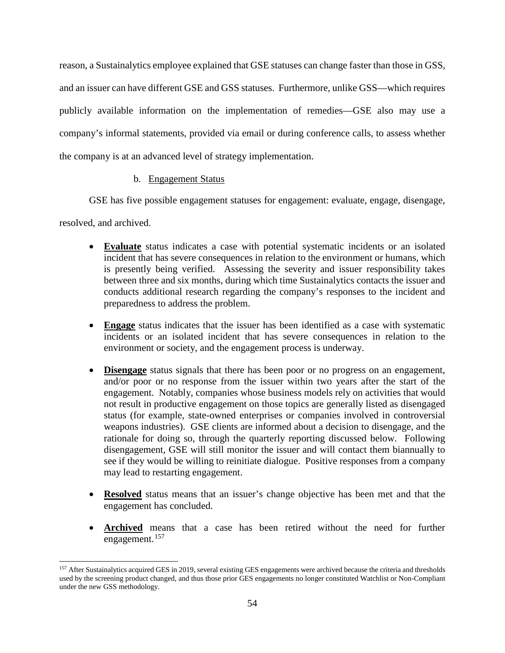reason, a Sustainalytics employee explained that GSE statuses can change faster than those in GSS, and an issuer can have different GSE and GSS statuses. Furthermore, unlike GSS—which requires publicly available information on the implementation of remedies—GSE also may use a company's informal statements, provided via email or during conference calls, to assess whether the company is at an advanced level of strategy implementation.

## b. Engagement Status

GSE has five possible engagement statuses for engagement: evaluate, engage, disengage,

resolved, and archived.

- **Evaluate** status indicates a case with potential systematic incidents or an isolated incident that has severe consequences in relation to the environment or humans, which is presently being verified. Assessing the severity and issuer responsibility takes between three and six months, during which time Sustainalytics contacts the issuer and conducts additional research regarding the company's responses to the incident and preparedness to address the problem.
- **Engage** status indicates that the issuer has been identified as a case with systematic incidents or an isolated incident that has severe consequences in relation to the environment or society, and the engagement process is underway.
- **Disengage** status signals that there has been poor or no progress on an engagement, and/or poor or no response from the issuer within two years after the start of the engagement. Notably, companies whose business models rely on activities that would not result in productive engagement on those topics are generally listed as disengaged status (for example, state-owned enterprises or companies involved in controversial weapons industries). GSE clients are informed about a decision to disengage, and the rationale for doing so, through the quarterly reporting discussed below. Following disengagement, GSE will still monitor the issuer and will contact them biannually to see if they would be willing to reinitiate dialogue. Positive responses from a company may lead to restarting engagement.
- **Resolved** status means that an issuer's change objective has been met and that the engagement has concluded.
- **Archived** means that a case has been retired without the need for further engagement.<sup>[157](#page-57-0)</sup>

<span id="page-57-0"></span><sup>&</sup>lt;sup>157</sup> After Sustainalytics acquired GES in 2019, several existing GES engagements were archived because the criteria and thresholds used by the screening product changed, and thus those prior GES engagements no longer constituted Watchlist or Non-Compliant under the new GSS methodology.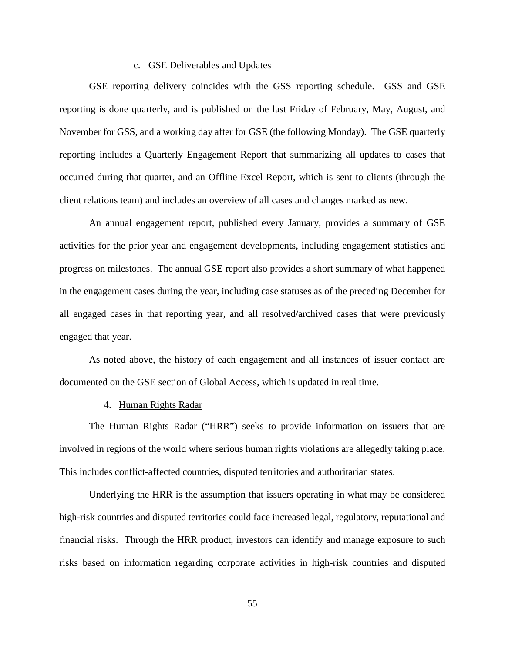## c. GSE Deliverables and Updates

GSE reporting delivery coincides with the GSS reporting schedule. GSS and GSE reporting is done quarterly, and is published on the last Friday of February, May, August, and November for GSS, and a working day after for GSE (the following Monday). The GSE quarterly reporting includes a Quarterly Engagement Report that summarizing all updates to cases that occurred during that quarter, and an Offline Excel Report, which is sent to clients (through the client relations team) and includes an overview of all cases and changes marked as new.

An annual engagement report, published every January, provides a summary of GSE activities for the prior year and engagement developments, including engagement statistics and progress on milestones. The annual GSE report also provides a short summary of what happened in the engagement cases during the year, including case statuses as of the preceding December for all engaged cases in that reporting year, and all resolved/archived cases that were previously engaged that year.

As noted above, the history of each engagement and all instances of issuer contact are documented on the GSE section of Global Access, which is updated in real time.

## 4. Human Rights Radar

The Human Rights Radar ("HRR") seeks to provide information on issuers that are involved in regions of the world where serious human rights violations are allegedly taking place. This includes conflict-affected countries, disputed territories and authoritarian states.

Underlying the HRR is the assumption that issuers operating in what may be considered high-risk countries and disputed territories could face increased legal, regulatory, reputational and financial risks. Through the HRR product, investors can identify and manage exposure to such risks based on information regarding corporate activities in high-risk countries and disputed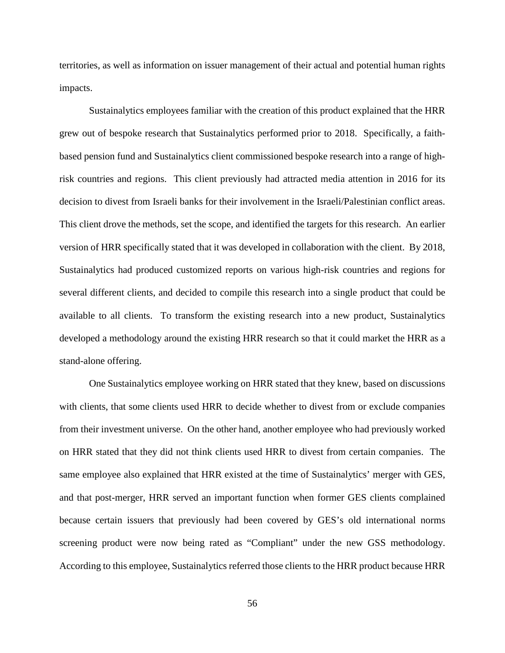territories, as well as information on issuer management of their actual and potential human rights impacts.

Sustainalytics employees familiar with the creation of this product explained that the HRR grew out of bespoke research that Sustainalytics performed prior to 2018. Specifically, a faithbased pension fund and Sustainalytics client commissioned bespoke research into a range of highrisk countries and regions. This client previously had attracted media attention in 2016 for its decision to divest from Israeli banks for their involvement in the Israeli/Palestinian conflict areas. This client drove the methods, set the scope, and identified the targets for this research. An earlier version of HRR specifically stated that it was developed in collaboration with the client. By 2018, Sustainalytics had produced customized reports on various high-risk countries and regions for several different clients, and decided to compile this research into a single product that could be available to all clients. To transform the existing research into a new product, Sustainalytics developed a methodology around the existing HRR research so that it could market the HRR as a stand-alone offering.

One Sustainalytics employee working on HRR stated that they knew, based on discussions with clients, that some clients used HRR to decide whether to divest from or exclude companies from their investment universe. On the other hand, another employee who had previously worked on HRR stated that they did not think clients used HRR to divest from certain companies. The same employee also explained that HRR existed at the time of Sustainalytics' merger with GES, and that post-merger, HRR served an important function when former GES clients complained because certain issuers that previously had been covered by GES's old international norms screening product were now being rated as "Compliant" under the new GSS methodology. According to this employee, Sustainalytics referred those clients to the HRR product because HRR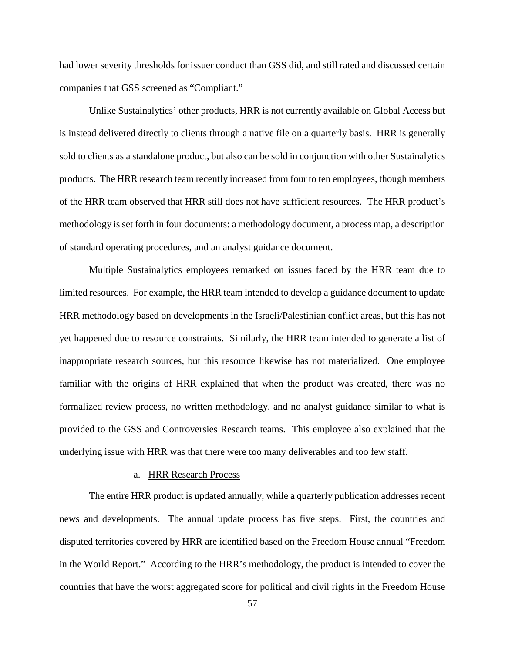had lower severity thresholds for issuer conduct than GSS did, and still rated and discussed certain companies that GSS screened as "Compliant."

Unlike Sustainalytics' other products, HRR is not currently available on Global Access but is instead delivered directly to clients through a native file on a quarterly basis. HRR is generally sold to clients as a standalone product, but also can be sold in conjunction with other Sustainalytics products. The HRR research team recently increased from four to ten employees, though members of the HRR team observed that HRR still does not have sufficient resources. The HRR product's methodology is set forth in four documents: a methodology document, a process map, a description of standard operating procedures, and an analyst guidance document.

Multiple Sustainalytics employees remarked on issues faced by the HRR team due to limited resources. For example, the HRR team intended to develop a guidance document to update HRR methodology based on developments in the Israeli/Palestinian conflict areas, but this has not yet happened due to resource constraints. Similarly, the HRR team intended to generate a list of inappropriate research sources, but this resource likewise has not materialized. One employee familiar with the origins of HRR explained that when the product was created, there was no formalized review process, no written methodology, and no analyst guidance similar to what is provided to the GSS and Controversies Research teams. This employee also explained that the underlying issue with HRR was that there were too many deliverables and too few staff.

#### a. HRR Research Process

The entire HRR product is updated annually, while a quarterly publication addresses recent news and developments. The annual update process has five steps. First, the countries and disputed territories covered by HRR are identified based on the Freedom House annual "Freedom in the World Report." According to the HRR's methodology, the product is intended to cover the countries that have the worst aggregated score for political and civil rights in the Freedom House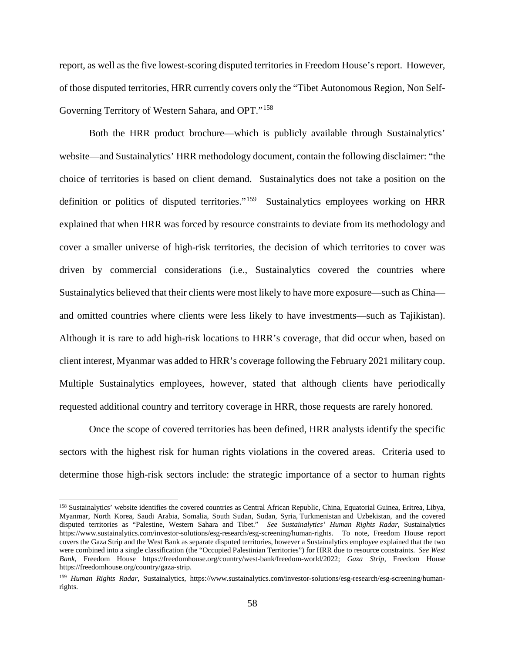report, as well as the five lowest-scoring disputed territories in Freedom House's report. However, of those disputed territories, HRR currently covers only the "Tibet Autonomous Region, Non Self-Governing Territory of Western Sahara, and OPT."[158](#page-61-0)

Both the HRR product brochure—which is publicly available through Sustainalytics' website—and Sustainalytics' HRR methodology document, contain the following disclaimer: "the choice of territories is based on client demand. Sustainalytics does not take a position on the definition or politics of disputed territories."[159](#page-61-1) Sustainalytics employees working on HRR explained that when HRR was forced by resource constraints to deviate from its methodology and cover a smaller universe of high-risk territories, the decision of which territories to cover was driven by commercial considerations (i.e., Sustainalytics covered the countries where Sustainalytics believed that their clients were most likely to have more exposure—such as China and omitted countries where clients were less likely to have investments—such as Tajikistan). Although it is rare to add high-risk locations to HRR's coverage, that did occur when, based on client interest, Myanmar was added to HRR's coverage following the February 2021 military coup. Multiple Sustainalytics employees, however, stated that although clients have periodically requested additional country and territory coverage in HRR, those requests are rarely honored.

Once the scope of covered territories has been defined, HRR analysts identify the specific sectors with the highest risk for human rights violations in the covered areas. Criteria used to determine those high-risk sectors include: the strategic importance of a sector to human rights

<span id="page-61-0"></span> <sup>158</sup> Sustainalytics' website identifies the covered countries as Central African Republic, China, Equatorial Guinea, Eritrea, Libya, Myanmar, North Korea, Saudi Arabia, Somalia, South Sudan, Sudan, Syria, Turkmenistan and Uzbekistan, and the covered disputed territories as "Palestine, Western Sahara and Tibet." *See Sustainalytics' Human Rights Radar*, Sustainalytics https://www.sustainalytics.com/investor-solutions/esg-research/esg-screening/human-rights. To note, Freedom House report covers the Gaza Strip and the West Bank as separate disputed territories, however a Sustainalytics employee explained that the two were combined into a single classification (the "Occupied Palestinian Territories") for HRR due to resource constraints. *See West Bank*, Freedom House https://freedomhouse.org/country/west-bank/freedom-world/2022; *Gaza Strip*, Freedom House https://freedomhouse.org/country/gaza-strip.

<span id="page-61-1"></span><sup>159</sup> *Human Rights Radar*, Sustainalytics, https://www.sustainalytics.com/investor-solutions/esg-research/esg-screening/humanrights.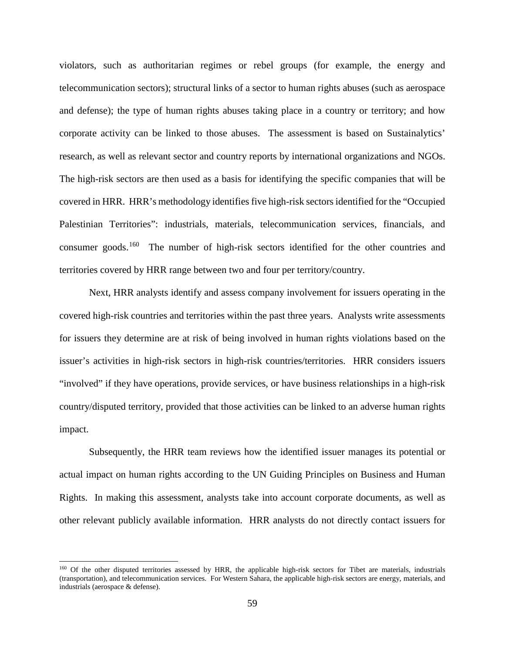violators, such as authoritarian regimes or rebel groups (for example, the energy and telecommunication sectors); structural links of a sector to human rights abuses (such as aerospace and defense); the type of human rights abuses taking place in a country or territory; and how corporate activity can be linked to those abuses. The assessment is based on Sustainalytics' research, as well as relevant sector and country reports by international organizations and NGOs. The high-risk sectors are then used as a basis for identifying the specific companies that will be covered in HRR. HRR's methodology identifies five high-risk sectors identified for the "Occupied Palestinian Territories": industrials, materials, telecommunication services, financials, and consumer goods.[160](#page-62-0) The number of high-risk sectors identified for the other countries and territories covered by HRR range between two and four per territory/country.

Next, HRR analysts identify and assess company involvement for issuers operating in the covered high-risk countries and territories within the past three years. Analysts write assessments for issuers they determine are at risk of being involved in human rights violations based on the issuer's activities in high-risk sectors in high-risk countries/territories. HRR considers issuers "involved" if they have operations, provide services, or have business relationships in a high-risk country/disputed territory, provided that those activities can be linked to an adverse human rights impact.

Subsequently, the HRR team reviews how the identified issuer manages its potential or actual impact on human rights according to the UN Guiding Principles on Business and Human Rights.In making this assessment, analysts take into account corporate documents, as well as other relevant publicly available information. HRR analysts do not directly contact issuers for

<span id="page-62-0"></span><sup>&</sup>lt;sup>160</sup> Of the other disputed territories assessed by HRR, the applicable high-risk sectors for Tibet are materials, industrials (transportation), and telecommunication services. For Western Sahara, the applicable high-risk sectors are energy, materials, and industrials (aerospace & defense).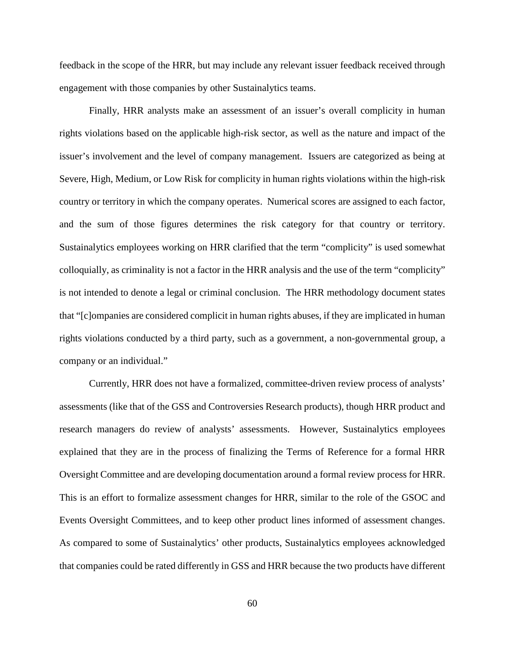feedback in the scope of the HRR, but may include any relevant issuer feedback received through engagement with those companies by other Sustainalytics teams.

Finally, HRR analysts make an assessment of an issuer's overall complicity in human rights violations based on the applicable high-risk sector, as well as the nature and impact of the issuer's involvement and the level of company management. Issuers are categorized as being at Severe, High, Medium, or Low Risk for complicity in human rights violations within the high-risk country or territory in which the company operates. Numerical scores are assigned to each factor, and the sum of those figures determines the risk category for that country or territory. Sustainalytics employees working on HRR clarified that the term "complicity" is used somewhat colloquially, as criminality is not a factor in the HRR analysis and the use of the term "complicity" is not intended to denote a legal or criminal conclusion. The HRR methodology document states that "[c]ompanies are considered complicit in human rights abuses, if they are implicated in human rights violations conducted by a third party, such as a government, a non-governmental group, a company or an individual."

Currently, HRR does not have a formalized, committee-driven review process of analysts' assessments (like that of the GSS and Controversies Research products), though HRR product and research managers do review of analysts' assessments. However, Sustainalytics employees explained that they are in the process of finalizing the Terms of Reference for a formal HRR Oversight Committee and are developing documentation around a formal review process for HRR. This is an effort to formalize assessment changes for HRR, similar to the role of the GSOC and Events Oversight Committees, and to keep other product lines informed of assessment changes. As compared to some of Sustainalytics' other products, Sustainalytics employees acknowledged that companies could be rated differently in GSS and HRR because the two products have different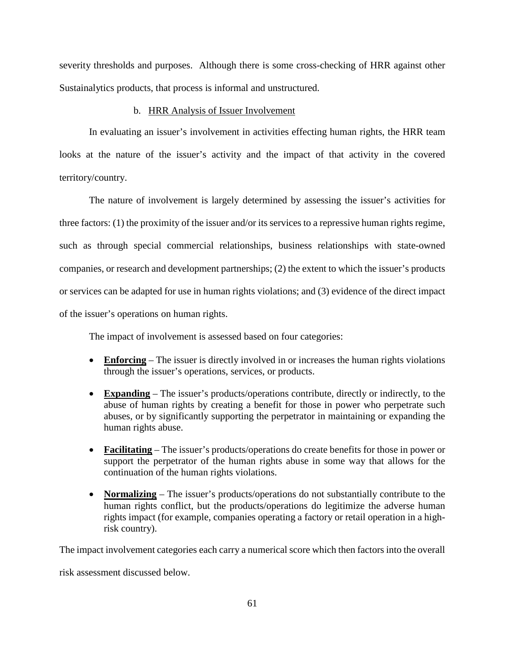severity thresholds and purposes. Although there is some cross-checking of HRR against other Sustainalytics products, that process is informal and unstructured.

## b. HRR Analysis of Issuer Involvement

In evaluating an issuer's involvement in activities effecting human rights, the HRR team looks at the nature of the issuer's activity and the impact of that activity in the covered territory/country.

The nature of involvement is largely determined by assessing the issuer's activities for three factors: (1) the proximity of the issuer and/or its services to a repressive human rights regime, such as through special commercial relationships, business relationships with state-owned companies, or research and development partnerships; (2) the extent to which the issuer's products or services can be adapted for use in human rights violations; and (3) evidence of the direct impact of the issuer's operations on human rights.

The impact of involvement is assessed based on four categories:

- **Enforcing** The issuer is directly involved in or increases the human rights violations through the issuer's operations, services, or products.
- **Expanding** The issuer's products/operations contribute, directly or indirectly, to the abuse of human rights by creating a benefit for those in power who perpetrate such abuses, or by significantly supporting the perpetrator in maintaining or expanding the human rights abuse.
- **Facilitating** The issuer's products/operations do create benefits for those in power or support the perpetrator of the human rights abuse in some way that allows for the continuation of the human rights violations.
- **Normalizing** The issuer's products/operations do not substantially contribute to the human rights conflict, but the products/operations do legitimize the adverse human rights impact (for example, companies operating a factory or retail operation in a highrisk country).

The impact involvement categories each carry a numerical score which then factors into the overall

risk assessment discussed below.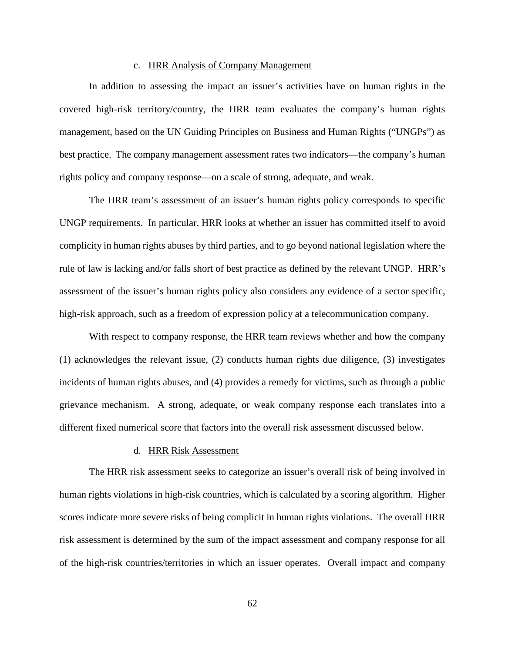### c. HRR Analysis of Company Management

In addition to assessing the impact an issuer's activities have on human rights in the covered high-risk territory/country, the HRR team evaluates the company's human rights management, based on the UN Guiding Principles on Business and Human Rights ("UNGPs") as best practice. The company management assessment rates two indicators—the company's human rights policy and company response—on a scale of strong, adequate, and weak.

The HRR team's assessment of an issuer's human rights policy corresponds to specific UNGP requirements. In particular, HRR looks at whether an issuer has committed itself to avoid complicity in human rights abuses by third parties, and to go beyond national legislation where the rule of law is lacking and/or falls short of best practice as defined by the relevant UNGP. HRR's assessment of the issuer's human rights policy also considers any evidence of a sector specific, high-risk approach, such as a freedom of expression policy at a telecommunication company.

With respect to company response, the HRR team reviews whether and how the company (1) acknowledges the relevant issue, (2) conducts human rights due diligence, (3) investigates incidents of human rights abuses, and (4) provides a remedy for victims, such as through a public grievance mechanism. A strong, adequate, or weak company response each translates into a different fixed numerical score that factors into the overall risk assessment discussed below.

## d. HRR Risk Assessment

The HRR risk assessment seeks to categorize an issuer's overall risk of being involved in human rights violations in high-risk countries, which is calculated by a scoring algorithm. Higher scores indicate more severe risks of being complicit in human rights violations. The overall HRR risk assessment is determined by the sum of the impact assessment and company response for all of the high-risk countries/territories in which an issuer operates. Overall impact and company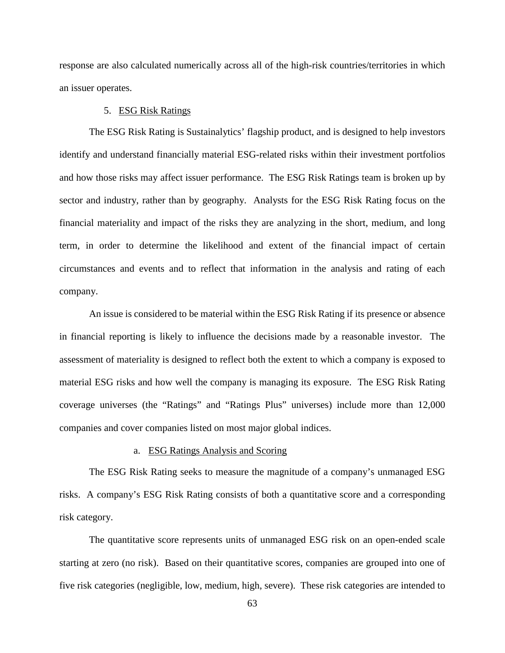response are also calculated numerically across all of the high-risk countries/territories in which an issuer operates.

## 5. ESG Risk Ratings

The ESG Risk Rating is Sustainalytics' flagship product, and is designed to help investors identify and understand financially material ESG-related risks within their investment portfolios and how those risks may affect issuer performance. The ESG Risk Ratings team is broken up by sector and industry, rather than by geography. Analysts for the ESG Risk Rating focus on the financial materiality and impact of the risks they are analyzing in the short, medium, and long term, in order to determine the likelihood and extent of the financial impact of certain circumstances and events and to reflect that information in the analysis and rating of each company.

An issue is considered to be material within the ESG Risk Rating if its presence or absence in financial reporting is likely to influence the decisions made by a reasonable investor. The assessment of materiality is designed to reflect both the extent to which a company is exposed to material ESG risks and how well the company is managing its exposure. The ESG Risk Rating coverage universes (the "Ratings" and "Ratings Plus" universes) include more than 12,000 companies and cover companies listed on most major global indices.

## a. ESG Ratings Analysis and Scoring

The ESG Risk Rating seeks to measure the magnitude of a company's unmanaged ESG risks. A company's ESG Risk Rating consists of both a quantitative score and a corresponding risk category.

The quantitative score represents units of unmanaged ESG risk on an open-ended scale starting at zero (no risk). Based on their quantitative scores, companies are grouped into one of five risk categories (negligible, low, medium, high, severe). These risk categories are intended to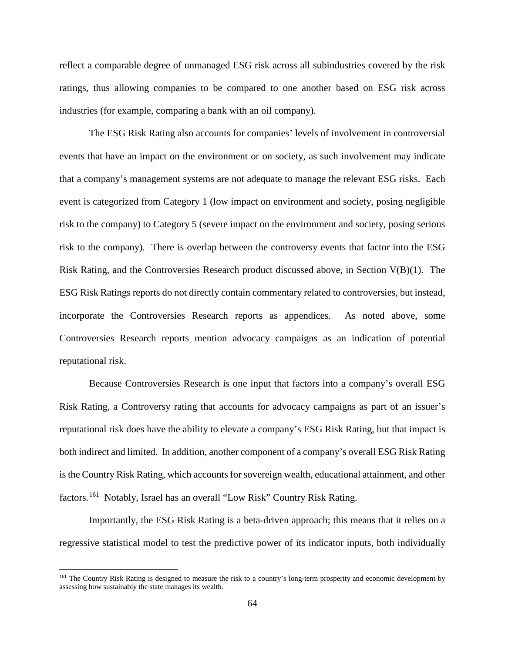reflect a comparable degree of unmanaged ESG risk across all subindustries covered by the risk ratings, thus allowing companies to be compared to one another based on ESG risk across industries (for example, comparing a bank with an oil company).

The ESG Risk Rating also accounts for companies' levels of involvement in controversial events that have an impact on the environment or on society, as such involvement may indicate that a company's management systems are not adequate to manage the relevant ESG risks. Each event is categorized from Category 1 (low impact on environment and society, posing negligible risk to the company) to Category 5 (severe impact on the environment and society, posing serious risk to the company). There is overlap between the controversy events that factor into the ESG Risk Rating, and the Controversies Research product discussed above, in Section  $V(B)(1)$ . The ESG Risk Ratings reports do not directly contain commentary related to controversies, but instead, incorporate the Controversies Research reports as appendices. As noted above, some Controversies Research reports mention advocacy campaigns as an indication of potential reputational risk.

Because Controversies Research is one input that factors into a company's overall ESG Risk Rating, a Controversy rating that accounts for advocacy campaigns as part of an issuer's reputational risk does have the ability to elevate a company's ESG Risk Rating, but that impact is both indirect and limited. In addition, another component of a company's overall ESG Risk Rating is the Country Risk Rating, which accounts for sovereign wealth, educational attainment, and other factors.[161](#page-67-0) Notably, Israel has an overall "Low Risk" Country Risk Rating.

Importantly, the ESG Risk Rating is a beta-driven approach; this means that it relies on a regressive statistical model to test the predictive power of its indicator inputs, both individually

<span id="page-67-0"></span><sup>&</sup>lt;sup>161</sup> The Country Risk Rating is designed to measure the risk to a country's long-term prosperity and economic development by assessing how sustainably the state manages its wealth.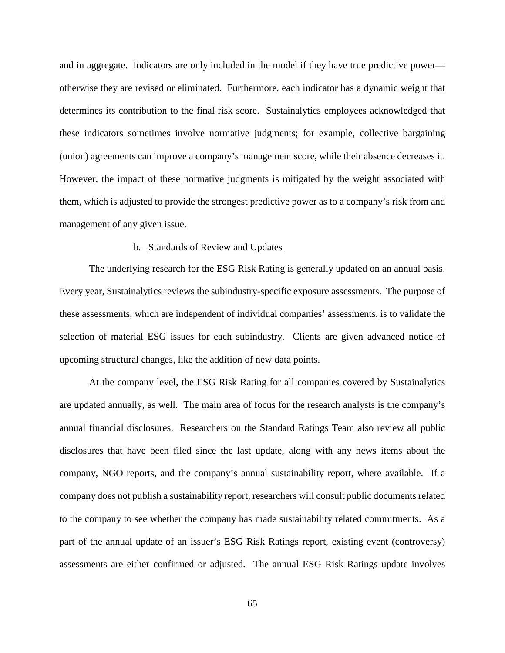and in aggregate. Indicators are only included in the model if they have true predictive power otherwise they are revised or eliminated. Furthermore, each indicator has a dynamic weight that determines its contribution to the final risk score. Sustainalytics employees acknowledged that these indicators sometimes involve normative judgments; for example, collective bargaining (union) agreements can improve a company's management score, while their absence decreases it. However, the impact of these normative judgments is mitigated by the weight associated with them, which is adjusted to provide the strongest predictive power as to a company's risk from and management of any given issue.

#### b. Standards of Review and Updates

The underlying research for the ESG Risk Rating is generally updated on an annual basis. Every year, Sustainalytics reviews the subindustry-specific exposure assessments. The purpose of these assessments, which are independent of individual companies' assessments, is to validate the selection of material ESG issues for each subindustry. Clients are given advanced notice of upcoming structural changes, like the addition of new data points.

At the company level, the ESG Risk Rating for all companies covered by Sustainalytics are updated annually, as well. The main area of focus for the research analysts is the company's annual financial disclosures. Researchers on the Standard Ratings Team also review all public disclosures that have been filed since the last update, along with any news items about the company, NGO reports, and the company's annual sustainability report, where available. If a company does not publish a sustainability report, researchers will consult public documents related to the company to see whether the company has made sustainability related commitments. As a part of the annual update of an issuer's ESG Risk Ratings report, existing event (controversy) assessments are either confirmed or adjusted. The annual ESG Risk Ratings update involves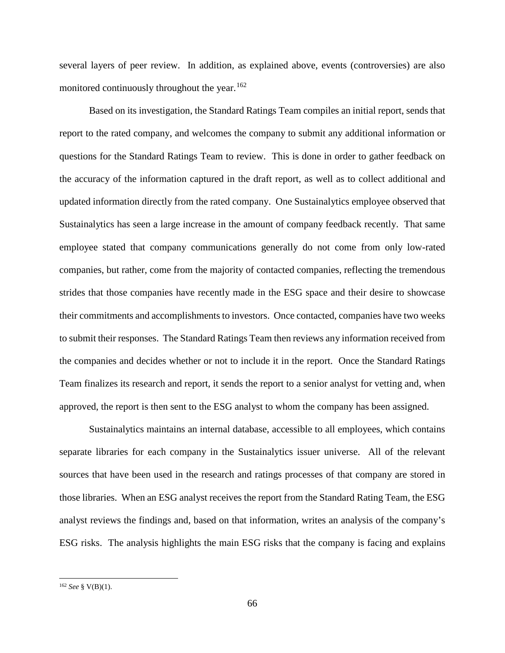several layers of peer review. In addition, as explained above, events (controversies) are also monitored continuously throughout the year.  $162$ 

Based on its investigation, the Standard Ratings Team compiles an initial report, sends that report to the rated company, and welcomes the company to submit any additional information or questions for the Standard Ratings Team to review. This is done in order to gather feedback on the accuracy of the information captured in the draft report, as well as to collect additional and updated information directly from the rated company. One Sustainalytics employee observed that Sustainalytics has seen a large increase in the amount of company feedback recently. That same employee stated that company communications generally do not come from only low-rated companies, but rather, come from the majority of contacted companies, reflecting the tremendous strides that those companies have recently made in the ESG space and their desire to showcase their commitments and accomplishments to investors. Once contacted, companies have two weeks to submit their responses. The Standard Ratings Team then reviews any information received from the companies and decides whether or not to include it in the report. Once the Standard Ratings Team finalizes its research and report, it sends the report to a senior analyst for vetting and, when approved, the report is then sent to the ESG analyst to whom the company has been assigned.

Sustainalytics maintains an internal database, accessible to all employees, which contains separate libraries for each company in the Sustainalytics issuer universe. All of the relevant sources that have been used in the research and ratings processes of that company are stored in those libraries. When an ESG analyst receives the report from the Standard Rating Team, the ESG analyst reviews the findings and, based on that information, writes an analysis of the company's ESG risks. The analysis highlights the main ESG risks that the company is facing and explains

<span id="page-69-0"></span> <sup>162</sup> *See* § V(B)(1).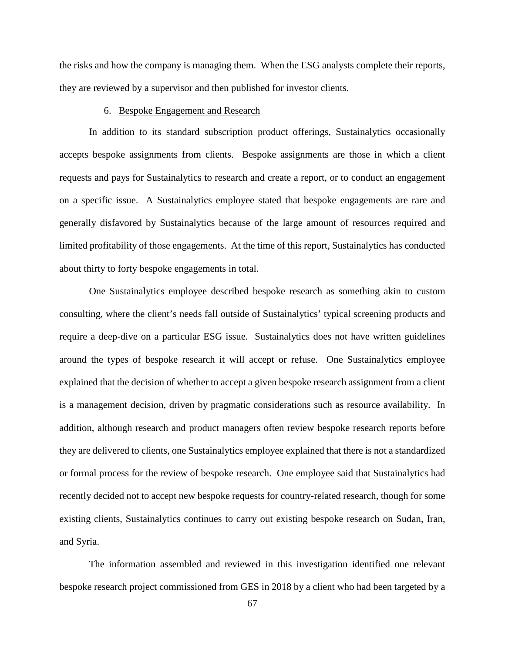the risks and how the company is managing them. When the ESG analysts complete their reports, they are reviewed by a supervisor and then published for investor clients.

### 6. Bespoke Engagement and Research

In addition to its standard subscription product offerings, Sustainalytics occasionally accepts bespoke assignments from clients. Bespoke assignments are those in which a client requests and pays for Sustainalytics to research and create a report, or to conduct an engagement on a specific issue. A Sustainalytics employee stated that bespoke engagements are rare and generally disfavored by Sustainalytics because of the large amount of resources required and limited profitability of those engagements. At the time of this report, Sustainalytics has conducted about thirty to forty bespoke engagements in total.

One Sustainalytics employee described bespoke research as something akin to custom consulting, where the client's needs fall outside of Sustainalytics' typical screening products and require a deep-dive on a particular ESG issue. Sustainalytics does not have written guidelines around the types of bespoke research it will accept or refuse. One Sustainalytics employee explained that the decision of whether to accept a given bespoke research assignment from a client is a management decision, driven by pragmatic considerations such as resource availability. In addition, although research and product managers often review bespoke research reports before they are delivered to clients, one Sustainalytics employee explained that there is not a standardized or formal process for the review of bespoke research. One employee said that Sustainalytics had recently decided not to accept new bespoke requests for country-related research, though for some existing clients, Sustainalytics continues to carry out existing bespoke research on Sudan, Iran, and Syria.

The information assembled and reviewed in this investigation identified one relevant bespoke research project commissioned from GES in 2018 by a client who had been targeted by a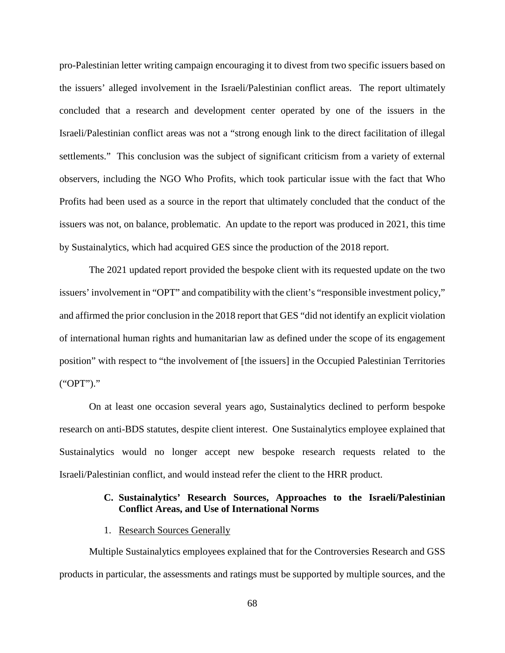pro-Palestinian letter writing campaign encouraging it to divest from two specific issuers based on the issuers' alleged involvement in the Israeli/Palestinian conflict areas. The report ultimately concluded that a research and development center operated by one of the issuers in the Israeli/Palestinian conflict areas was not a "strong enough link to the direct facilitation of illegal settlements." This conclusion was the subject of significant criticism from a variety of external observers, including the NGO Who Profits, which took particular issue with the fact that Who Profits had been used as a source in the report that ultimately concluded that the conduct of the issuers was not, on balance, problematic. An update to the report was produced in 2021, this time by Sustainalytics, which had acquired GES since the production of the 2018 report.

The 2021 updated report provided the bespoke client with its requested update on the two issuers' involvement in "OPT" and compatibility with the client's "responsible investment policy," and affirmed the prior conclusion in the 2018 report that GES "did not identify an explicit violation of international human rights and humanitarian law as defined under the scope of its engagement position" with respect to "the involvement of [the issuers] in the Occupied Palestinian Territories ("OPT")."

On at least one occasion several years ago, Sustainalytics declined to perform bespoke research on anti-BDS statutes, despite client interest. One Sustainalytics employee explained that Sustainalytics would no longer accept new bespoke research requests related to the Israeli/Palestinian conflict, and would instead refer the client to the HRR product.

## **C. Sustainalytics' Research Sources, Approaches to the Israeli/Palestinian Conflict Areas, and Use of International Norms**

1. Research Sources Generally

Multiple Sustainalytics employees explained that for the Controversies Research and GSS products in particular, the assessments and ratings must be supported by multiple sources, and the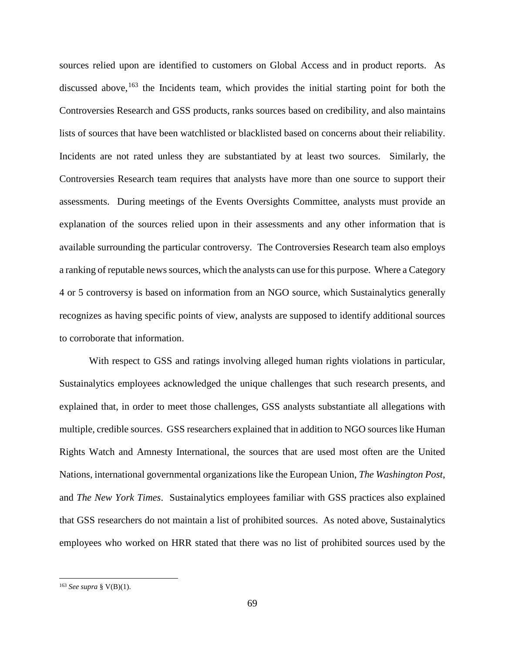sources relied upon are identified to customers on Global Access and in product reports. As discussed above,  $163$  the Incidents team, which provides the initial starting point for both the Controversies Research and GSS products, ranks sources based on credibility, and also maintains lists of sources that have been watchlisted or blacklisted based on concerns about their reliability. Incidents are not rated unless they are substantiated by at least two sources. Similarly, the Controversies Research team requires that analysts have more than one source to support their assessments. During meetings of the Events Oversights Committee, analysts must provide an explanation of the sources relied upon in their assessments and any other information that is available surrounding the particular controversy. The Controversies Research team also employs a ranking of reputable news sources, which the analysts can use for this purpose. Where a Category 4 or 5 controversy is based on information from an NGO source, which Sustainalytics generally recognizes as having specific points of view, analysts are supposed to identify additional sources to corroborate that information.

With respect to GSS and ratings involving alleged human rights violations in particular, Sustainalytics employees acknowledged the unique challenges that such research presents, and explained that, in order to meet those challenges, GSS analysts substantiate all allegations with multiple, credible sources. GSS researchers explained that in addition to NGO sources like Human Rights Watch and Amnesty International, the sources that are used most often are the United Nations, international governmental organizations like the European Union, *The Washington Post*, and *The New York Times*. Sustainalytics employees familiar with GSS practices also explained that GSS researchers do not maintain a list of prohibited sources. As noted above, Sustainalytics employees who worked on HRR stated that there was no list of prohibited sources used by the

<span id="page-72-0"></span> <sup>163</sup> *See supra* § V(B)(1).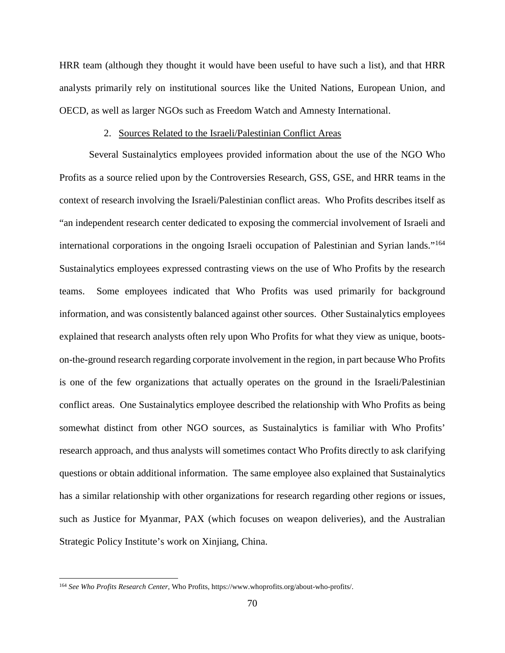HRR team (although they thought it would have been useful to have such a list), and that HRR analysts primarily rely on institutional sources like the United Nations, European Union, and OECD, as well as larger NGOs such as Freedom Watch and Amnesty International.

## 2. Sources Related to the Israeli/Palestinian Conflict Areas

Several Sustainalytics employees provided information about the use of the NGO Who Profits as a source relied upon by the Controversies Research, GSS, GSE, and HRR teams in the context of research involving the Israeli/Palestinian conflict areas. Who Profits describes itself as "an independent research center dedicated to exposing the commercial involvement of Israeli and international corporations in the ongoing Israeli occupation of Palestinian and Syrian lands."[164](#page-73-0) Sustainalytics employees expressed contrasting views on the use of Who Profits by the research teams. Some employees indicated that Who Profits was used primarily for background information, and was consistently balanced against other sources. Other Sustainalytics employees explained that research analysts often rely upon Who Profits for what they view as unique, bootson-the-ground research regarding corporate involvement in the region, in part because Who Profits is one of the few organizations that actually operates on the ground in the Israeli/Palestinian conflict areas. One Sustainalytics employee described the relationship with Who Profits as being somewhat distinct from other NGO sources, as Sustainalytics is familiar with Who Profits' research approach, and thus analysts will sometimes contact Who Profits directly to ask clarifying questions or obtain additional information. The same employee also explained that Sustainalytics has a similar relationship with other organizations for research regarding other regions or issues, such as Justice for Myanmar, PAX (which focuses on weapon deliveries), and the Australian Strategic Policy Institute's work on Xinjiang, China.

<span id="page-73-0"></span> <sup>164</sup> *See Who Profits Research Center*, Who Profits, https://www.whoprofits.org/about-who-profits/.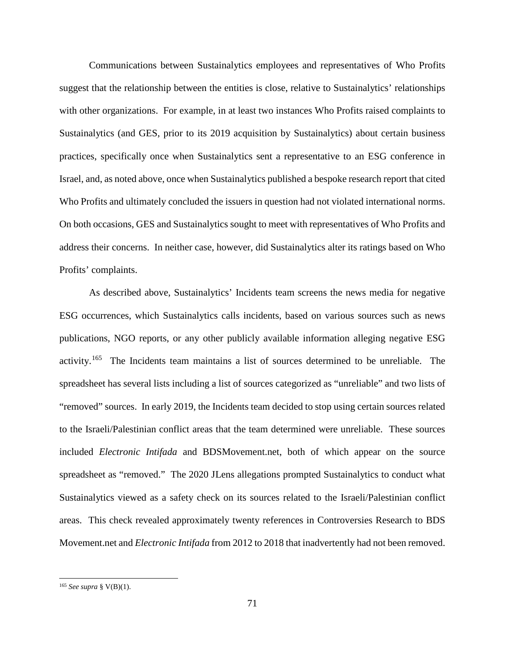Communications between Sustainalytics employees and representatives of Who Profits suggest that the relationship between the entities is close, relative to Sustainalytics' relationships with other organizations. For example, in at least two instances Who Profits raised complaints to Sustainalytics (and GES, prior to its 2019 acquisition by Sustainalytics) about certain business practices, specifically once when Sustainalytics sent a representative to an ESG conference in Israel, and, as noted above, once when Sustainalytics published a bespoke research report that cited Who Profits and ultimately concluded the issuers in question had not violated international norms. On both occasions, GES and Sustainalytics sought to meet with representatives of Who Profits and address their concerns. In neither case, however, did Sustainalytics alter its ratings based on Who Profits' complaints.

As described above, Sustainalytics' Incidents team screens the news media for negative ESG occurrences, which Sustainalytics calls incidents, based on various sources such as news publications, NGO reports, or any other publicly available information alleging negative ESG activity.[165](#page-74-0) The Incidents team maintains a list of sources determined to be unreliable. The spreadsheet has several lists including a list of sources categorized as "unreliable" and two lists of "removed" sources. In early 2019, the Incidents team decided to stop using certain sources related to the Israeli/Palestinian conflict areas that the team determined were unreliable. These sources included *Electronic Intifada* and BDSMovement.net, both of which appear on the source spreadsheet as "removed." The 2020 JLens allegations prompted Sustainalytics to conduct what Sustainalytics viewed as a safety check on its sources related to the Israeli/Palestinian conflict areas. This check revealed approximately twenty references in Controversies Research to BDS Movement.net and *Electronic Intifada* from 2012 to 2018 that inadvertently had not been removed.

<span id="page-74-0"></span> <sup>165</sup> *See supra* § V(B)(1).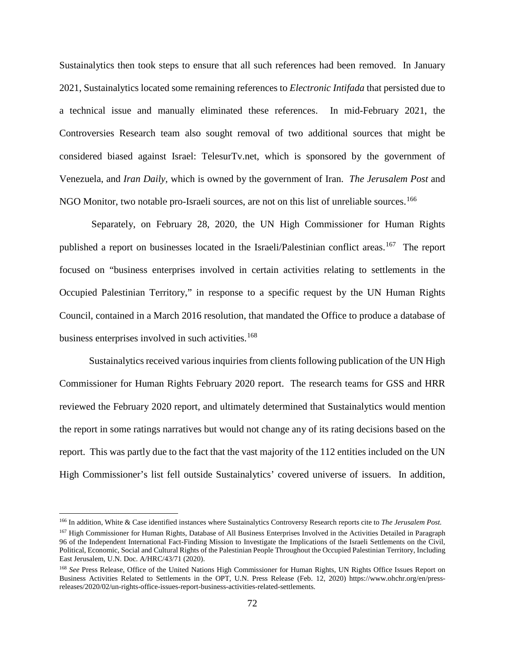Sustainalytics then took steps to ensure that all such references had been removed. In January 2021, Sustainalytics located some remaining references to *Electronic Intifada* that persisted due to a technical issue and manually eliminated these references. In mid-February 2021, the Controversies Research team also sought removal of two additional sources that might be considered biased against Israel: TelesurTv.net, which is sponsored by the government of Venezuela, and *Iran Daily,* which is owned by the government of Iran. *The Jerusalem Post* and NGO Monitor, two notable pro-Israeli sources, are not on this list of unreliable sources.<sup>[166](#page-75-0)</sup>

Separately, on February 28, 2020, the UN High Commissioner for Human Rights published a report on businesses located in the Israeli/Palestinian conflict areas.<sup>[167](#page-75-1)</sup> The report focused on "business enterprises involved in certain activities relating to settlements in the Occupied Palestinian Territory," in response to a specific request by the UN Human Rights Council, contained in a March 2016 resolution, that mandated the Office to produce a database of business enterprises involved in such activities.<sup>[168](#page-75-2)</sup>

Sustainalytics received various inquiries from clients following publication of the UN High Commissioner for Human Rights February 2020 report. The research teams for GSS and HRR reviewed the February 2020 report, and ultimately determined that Sustainalytics would mention the report in some ratings narratives but would not change any of its rating decisions based on the report. This was partly due to the fact that the vast majority of the 112 entities included on the UN High Commissioner's list fell outside Sustainalytics' covered universe of issuers. In addition,

<span id="page-75-0"></span> <sup>166</sup> In addition, White & Case identified instances where Sustainalytics Controversy Research reports cite to *The Jerusalem Post.*

<span id="page-75-1"></span><sup>&</sup>lt;sup>167</sup> High Commissioner for Human Rights, Database of All Business Enterprises Involved in the Activities Detailed in Paragraph 96 of the Independent International Fact-Finding Mission to Investigate the Implications of the Israeli Settlements on the Civil, Political, Economic, Social and Cultural Rights of the Palestinian People Throughout the Occupied Palestinian Territory, Including East Jerusalem, U.N. Doc. A/HRC/43/71 (2020).

<span id="page-75-2"></span><sup>&</sup>lt;sup>168</sup> See Press Release, Office of the United Nations High Commissioner for Human Rights, UN Rights Office Issues Report on Business Activities Related to Settlements in the OPT, U.N. Press Release (Feb. 12, 2020) https://www.ohchr.org/en/pressreleases/2020/02/un-rights-office-issues-report-business-activities-related-settlements.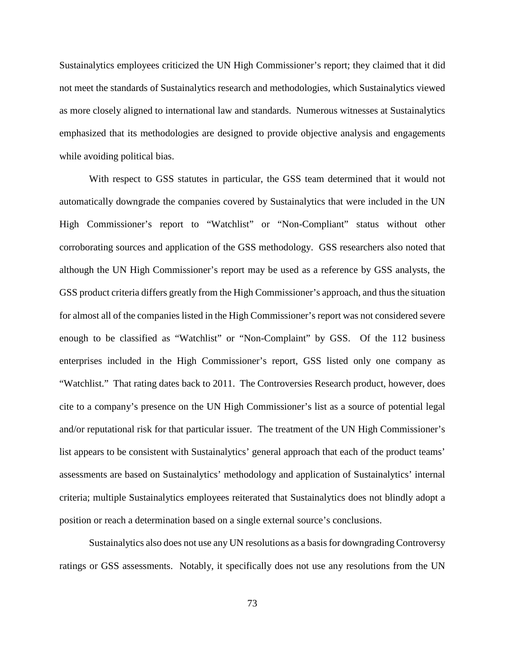Sustainalytics employees criticized the UN High Commissioner's report; they claimed that it did not meet the standards of Sustainalytics research and methodologies, which Sustainalytics viewed as more closely aligned to international law and standards. Numerous witnesses at Sustainalytics emphasized that its methodologies are designed to provide objective analysis and engagements while avoiding political bias.

With respect to GSS statutes in particular, the GSS team determined that it would not automatically downgrade the companies covered by Sustainalytics that were included in the UN High Commissioner's report to "Watchlist" or "Non-Compliant" status without other corroborating sources and application of the GSS methodology. GSS researchers also noted that although the UN High Commissioner's report may be used as a reference by GSS analysts, the GSS product criteria differs greatly from the High Commissioner's approach, and thus the situation for almost all of the companies listed in the High Commissioner's report was not considered severe enough to be classified as "Watchlist" or "Non-Complaint" by GSS. Of the 112 business enterprises included in the High Commissioner's report, GSS listed only one company as "Watchlist." That rating dates back to 2011. The Controversies Research product, however, does cite to a company's presence on the UN High Commissioner's list as a source of potential legal and/or reputational risk for that particular issuer. The treatment of the UN High Commissioner's list appears to be consistent with Sustainalytics' general approach that each of the product teams' assessments are based on Sustainalytics' methodology and application of Sustainalytics' internal criteria; multiple Sustainalytics employees reiterated that Sustainalytics does not blindly adopt a position or reach a determination based on a single external source's conclusions.

Sustainalytics also does not use any UN resolutions as a basis for downgrading Controversy ratings or GSS assessments. Notably, it specifically does not use any resolutions from the UN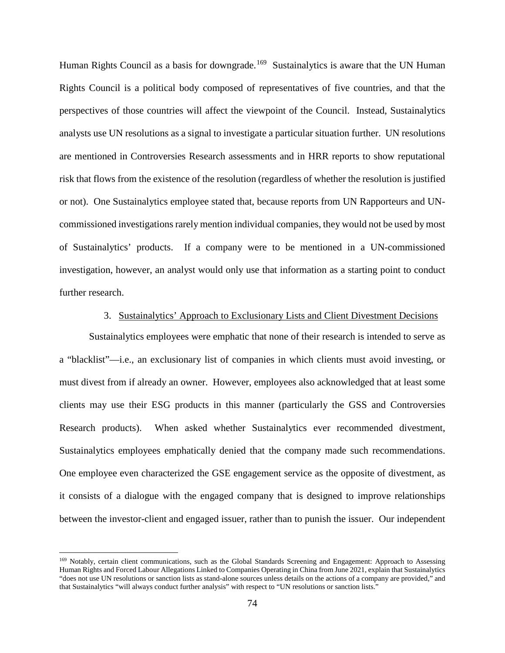Human Rights Council as a basis for downgrade.<sup>169</sup> Sustainalytics is aware that the UN Human Rights Council is a political body composed of representatives of five countries, and that the perspectives of those countries will affect the viewpoint of the Council. Instead, Sustainalytics analysts use UN resolutions as a signal to investigate a particular situation further. UN resolutions are mentioned in Controversies Research assessments and in HRR reports to show reputational risk that flows from the existence of the resolution (regardless of whether the resolution is justified or not). One Sustainalytics employee stated that, because reports from UN Rapporteurs and UNcommissioned investigations rarely mention individual companies, they would not be used by most of Sustainalytics' products. If a company were to be mentioned in a UN-commissioned investigation, however, an analyst would only use that information as a starting point to conduct further research.

# 3. Sustainalytics' Approach to Exclusionary Lists and Client Divestment Decisions

Sustainalytics employees were emphatic that none of their research is intended to serve as a "blacklist"—i.e., an exclusionary list of companies in which clients must avoid investing, or must divest from if already an owner. However, employees also acknowledged that at least some clients may use their ESG products in this manner (particularly the GSS and Controversies Research products). When asked whether Sustainalytics ever recommended divestment, Sustainalytics employees emphatically denied that the company made such recommendations. One employee even characterized the GSE engagement service as the opposite of divestment, as it consists of a dialogue with the engaged company that is designed to improve relationships between the investor-client and engaged issuer, rather than to punish the issuer. Our independent

<span id="page-77-0"></span><sup>&</sup>lt;sup>169</sup> Notably, certain client communications, such as the Global Standards Screening and Engagement: Approach to Assessing Human Rights and Forced Labour Allegations Linked to Companies Operating in China from June 2021, explain that Sustainalytics "does not use UN resolutions or sanction lists as stand-alone sources unless details on the actions of a company are provided," and that Sustainalytics "will always conduct further analysis" with respect to "UN resolutions or sanction lists."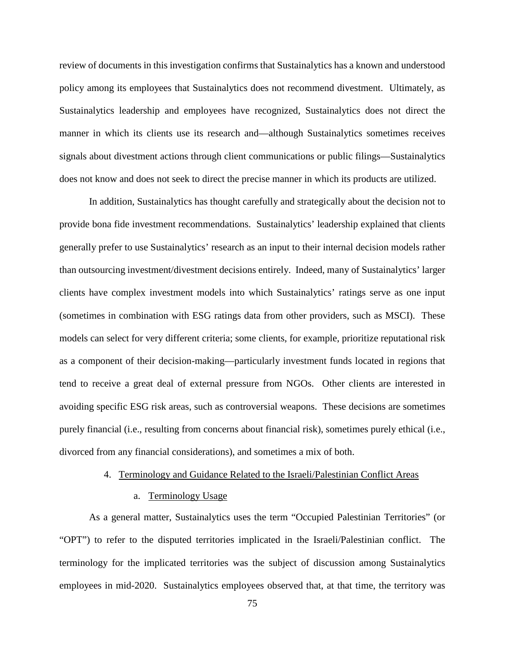review of documents in this investigation confirms that Sustainalytics has a known and understood policy among its employees that Sustainalytics does not recommend divestment. Ultimately, as Sustainalytics leadership and employees have recognized, Sustainalytics does not direct the manner in which its clients use its research and—although Sustainalytics sometimes receives signals about divestment actions through client communications or public filings—Sustainalytics does not know and does not seek to direct the precise manner in which its products are utilized.

In addition, Sustainalytics has thought carefully and strategically about the decision not to provide bona fide investment recommendations. Sustainalytics' leadership explained that clients generally prefer to use Sustainalytics' research as an input to their internal decision models rather than outsourcing investment/divestment decisions entirely. Indeed, many of Sustainalytics' larger clients have complex investment models into which Sustainalytics' ratings serve as one input (sometimes in combination with ESG ratings data from other providers, such as MSCI). These models can select for very different criteria; some clients, for example, prioritize reputational risk as a component of their decision-making—particularly investment funds located in regions that tend to receive a great deal of external pressure from NGOs. Other clients are interested in avoiding specific ESG risk areas, such as controversial weapons. These decisions are sometimes purely financial (i.e., resulting from concerns about financial risk), sometimes purely ethical (i.e., divorced from any financial considerations), and sometimes a mix of both.

## 4. Terminology and Guidance Related to the Israeli/Palestinian Conflict Areas

#### a. Terminology Usage

As a general matter, Sustainalytics uses the term "Occupied Palestinian Territories" (or "OPT") to refer to the disputed territories implicated in the Israeli/Palestinian conflict. The terminology for the implicated territories was the subject of discussion among Sustainalytics employees in mid-2020. Sustainalytics employees observed that, at that time, the territory was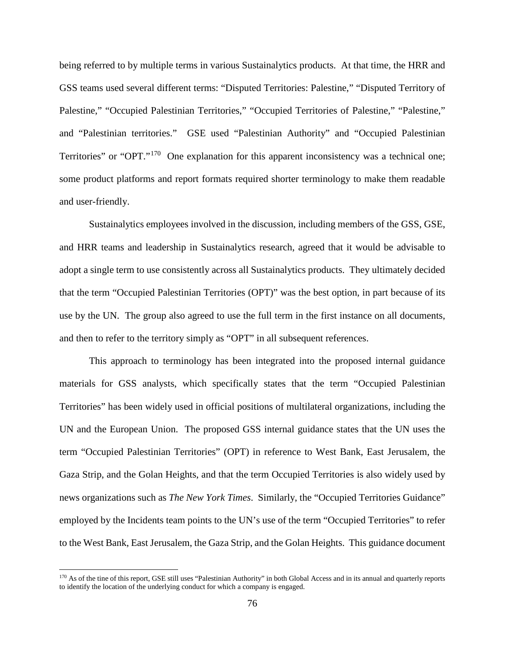being referred to by multiple terms in various Sustainalytics products. At that time, the HRR and GSS teams used several different terms: "Disputed Territories: Palestine," "Disputed Territory of Palestine," "Occupied Palestinian Territories," "Occupied Territories of Palestine," "Palestine," and "Palestinian territories." GSE used "Palestinian Authority" and "Occupied Palestinian Territories" or "OPT."<sup>[170](#page-79-0)</sup> One explanation for this apparent inconsistency was a technical one; some product platforms and report formats required shorter terminology to make them readable and user-friendly.

Sustainalytics employees involved in the discussion, including members of the GSS, GSE, and HRR teams and leadership in Sustainalytics research, agreed that it would be advisable to adopt a single term to use consistently across all Sustainalytics products. They ultimately decided that the term "Occupied Palestinian Territories (OPT)" was the best option, in part because of its use by the UN. The group also agreed to use the full term in the first instance on all documents, and then to refer to the territory simply as "OPT" in all subsequent references.

This approach to terminology has been integrated into the proposed internal guidance materials for GSS analysts, which specifically states that the term "Occupied Palestinian Territories" has been widely used in official positions of multilateral organizations, including the UN and the European Union. The proposed GSS internal guidance states that the UN uses the term "Occupied Palestinian Territories" (OPT) in reference to West Bank, East Jerusalem, the Gaza Strip, and the Golan Heights, and that the term Occupied Territories is also widely used by news organizations such as *The New York Times*. Similarly, the "Occupied Territories Guidance" employed by the Incidents team points to the UN's use of the term "Occupied Territories" to refer to the West Bank, East Jerusalem, the Gaza Strip, and the Golan Heights. This guidance document

<span id="page-79-0"></span><sup>&</sup>lt;sup>170</sup> As of the tine of this report, GSE still uses "Palestinian Authority" in both Global Access and in its annual and quarterly reports to identify the location of the underlying conduct for which a company is engaged.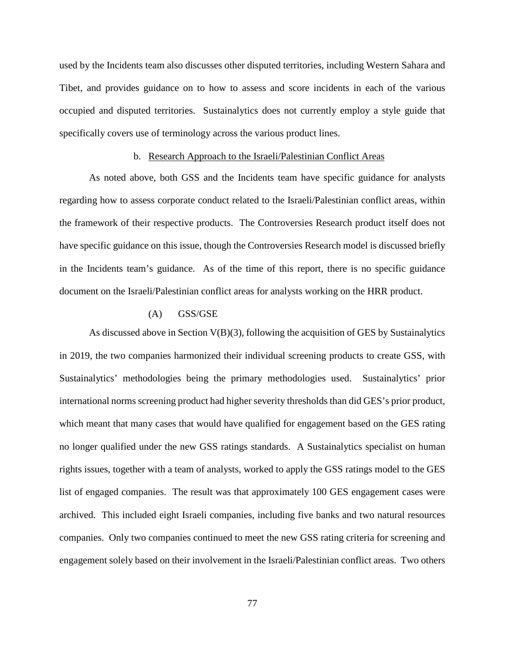used by the Incidents team also discusses other disputed territories, including Western Sahara and Tibet, and provides guidance on to how to assess and score incidents in each of the various occupied and disputed territories. Sustainalytics does not currently employ a style guide that specifically covers use of terminology across the various product lines.

## b. Research Approach to the Israeli/Palestinian Conflict Areas

As noted above, both GSS and the Incidents team have specific guidance for analysts regarding how to assess corporate conduct related to the Israeli/Palestinian conflict areas, within the framework of their respective products. The Controversies Research product itself does not have specific guidance on this issue, though the Controversies Research model is discussed briefly in the Incidents team's guidance. As of the time of this report, there is no specific guidance document on the Israeli/Palestinian conflict areas for analysts working on the HRR product.

# (A) GSS/GSE

As discussed above in Section V(B)(3), following the acquisition of GES by Sustainalytics in 2019, the two companies harmonized their individual screening products to create GSS, with Sustainalytics' methodologies being the primary methodologies used. Sustainalytics' prior international norms screening product had higher severity thresholds than did GES's prior product, which meant that many cases that would have qualified for engagement based on the GES rating no longer qualified under the new GSS ratings standards. A Sustainalytics specialist on human rights issues, together with a team of analysts, worked to apply the GSS ratings model to the GES list of engaged companies. The result was that approximately 100 GES engagement cases were archived. This included eight Israeli companies, including five banks and two natural resources companies. Only two companies continued to meet the new GSS rating criteria for screening and engagement solely based on their involvement in the Israeli/Palestinian conflict areas. Two others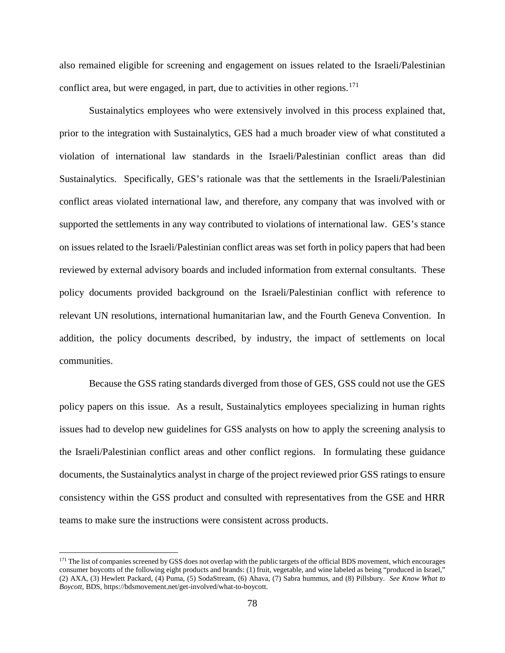also remained eligible for screening and engagement on issues related to the Israeli/Palestinian conflict area, but were engaged, in part, due to activities in other regions. [171](#page-81-0)

Sustainalytics employees who were extensively involved in this process explained that, prior to the integration with Sustainalytics, GES had a much broader view of what constituted a violation of international law standards in the Israeli/Palestinian conflict areas than did Sustainalytics. Specifically, GES's rationale was that the settlements in the Israeli/Palestinian conflict areas violated international law, and therefore, any company that was involved with or supported the settlements in any way contributed to violations of international law. GES's stance on issues related to the Israeli/Palestinian conflict areas was set forth in policy papers that had been reviewed by external advisory boards and included information from external consultants. These policy documents provided background on the Israeli/Palestinian conflict with reference to relevant UN resolutions, international humanitarian law, and the Fourth Geneva Convention. In addition, the policy documents described, by industry, the impact of settlements on local communities.

Because the GSS rating standards diverged from those of GES, GSS could not use the GES policy papers on this issue. As a result, Sustainalytics employees specializing in human rights issues had to develop new guidelines for GSS analysts on how to apply the screening analysis to the Israeli/Palestinian conflict areas and other conflict regions. In formulating these guidance documents, the Sustainalytics analyst in charge of the project reviewed prior GSS ratings to ensure consistency within the GSS product and consulted with representatives from the GSE and HRR teams to make sure the instructions were consistent across products.

<span id="page-81-0"></span><sup>&</sup>lt;sup>171</sup> The list of companies screened by GSS does not overlap with the public targets of the official BDS movement, which encourages consumer boycotts of the following eight products and brands: (1) fruit, vegetable, and wine labeled as being "produced in Israel," (2) AXA, (3) Hewlett Packard, (4) Puma, (5) SodaStream, (6) Ahava, (7) Sabra hummus, and (8) Pillsbury. *See Know What to Boycott*, BDS, https://bdsmovement.net/get-involved/what-to-boycott.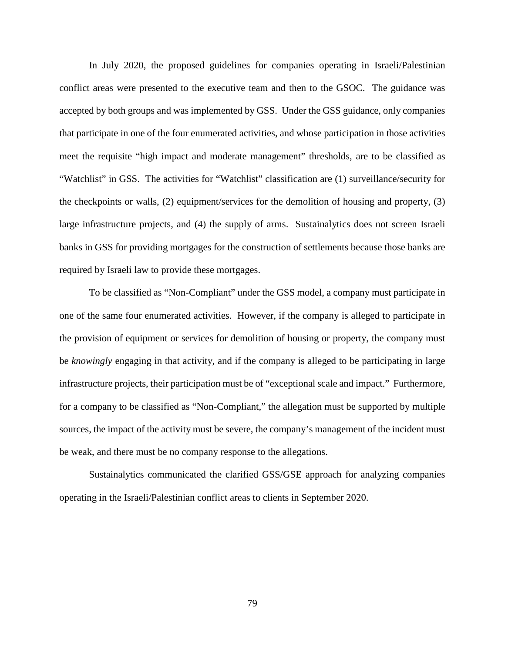In July 2020, the proposed guidelines for companies operating in Israeli/Palestinian conflict areas were presented to the executive team and then to the GSOC. The guidance was accepted by both groups and was implemented by GSS. Under the GSS guidance, only companies that participate in one of the four enumerated activities, and whose participation in those activities meet the requisite "high impact and moderate management" thresholds, are to be classified as "Watchlist" in GSS. The activities for "Watchlist" classification are (1) surveillance/security for the checkpoints or walls, (2) equipment/services for the demolition of housing and property, (3) large infrastructure projects, and (4) the supply of arms. Sustainalytics does not screen Israeli banks in GSS for providing mortgages for the construction of settlements because those banks are required by Israeli law to provide these mortgages.

To be classified as "Non-Compliant" under the GSS model, a company must participate in one of the same four enumerated activities. However, if the company is alleged to participate in the provision of equipment or services for demolition of housing or property, the company must be *knowingly* engaging in that activity, and if the company is alleged to be participating in large infrastructure projects, their participation must be of "exceptional scale and impact." Furthermore, for a company to be classified as "Non-Compliant," the allegation must be supported by multiple sources, the impact of the activity must be severe, the company's management of the incident must be weak, and there must be no company response to the allegations.

Sustainalytics communicated the clarified GSS/GSE approach for analyzing companies operating in the Israeli/Palestinian conflict areas to clients in September 2020.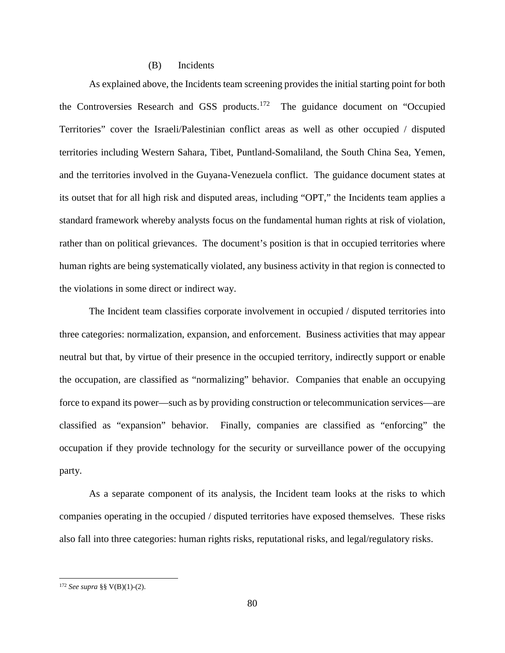## (B) Incidents

As explained above, the Incidents team screening provides the initial starting point for both the Controversies Research and GSS products.<sup>[172](#page-83-0)</sup> The guidance document on "Occupied Territories" cover the Israeli/Palestinian conflict areas as well as other occupied / disputed territories including Western Sahara, Tibet, Puntland-Somaliland, the South China Sea, Yemen, and the territories involved in the Guyana-Venezuela conflict. The guidance document states at its outset that for all high risk and disputed areas, including "OPT," the Incidents team applies a standard framework whereby analysts focus on the fundamental human rights at risk of violation, rather than on political grievances. The document's position is that in occupied territories where human rights are being systematically violated, any business activity in that region is connected to the violations in some direct or indirect way.

The Incident team classifies corporate involvement in occupied / disputed territories into three categories: normalization, expansion, and enforcement. Business activities that may appear neutral but that, by virtue of their presence in the occupied territory, indirectly support or enable the occupation, are classified as "normalizing" behavior. Companies that enable an occupying force to expand its power—such as by providing construction or telecommunication services—are classified as "expansion" behavior. Finally, companies are classified as "enforcing" the occupation if they provide technology for the security or surveillance power of the occupying party.

As a separate component of its analysis, the Incident team looks at the risks to which companies operating in the occupied / disputed territories have exposed themselves. These risks also fall into three categories: human rights risks, reputational risks, and legal/regulatory risks.

<span id="page-83-0"></span> <sup>172</sup> *See supra* §§ V(B)(1)-(2).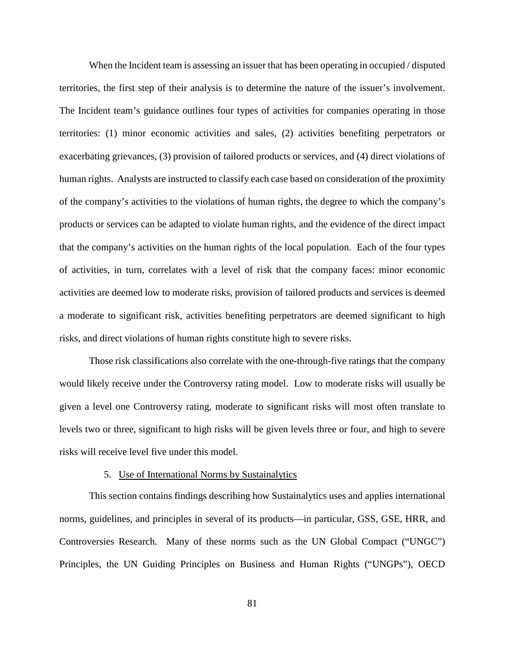When the Incident team is assessing an issuer that has been operating in occupied / disputed territories, the first step of their analysis is to determine the nature of the issuer's involvement. The Incident team's guidance outlines four types of activities for companies operating in those territories: (1) minor economic activities and sales, (2) activities benefiting perpetrators or exacerbating grievances, (3) provision of tailored products or services, and (4) direct violations of human rights. Analysts are instructed to classify each case based on consideration of the proximity of the company's activities to the violations of human rights, the degree to which the company's products or services can be adapted to violate human rights, and the evidence of the direct impact that the company's activities on the human rights of the local population. Each of the four types of activities, in turn, correlates with a level of risk that the company faces: minor economic activities are deemed low to moderate risks, provision of tailored products and services is deemed a moderate to significant risk, activities benefiting perpetrators are deemed significant to high risks, and direct violations of human rights constitute high to severe risks.

Those risk classifications also correlate with the one-through-five ratings that the company would likely receive under the Controversy rating model. Low to moderate risks will usually be given a level one Controversy rating, moderate to significant risks will most often translate to levels two or three, significant to high risks will be given levels three or four, and high to severe risks will receive level five under this model.

#### 5. Use of International Norms by Sustainalytics

This section contains findings describing how Sustainalytics uses and applies international norms, guidelines, and principles in several of its products—in particular, GSS, GSE, HRR, and Controversies Research. Many of these norms such as the UN Global Compact ("UNGC") Principles, the UN Guiding Principles on Business and Human Rights ("UNGPs"), OECD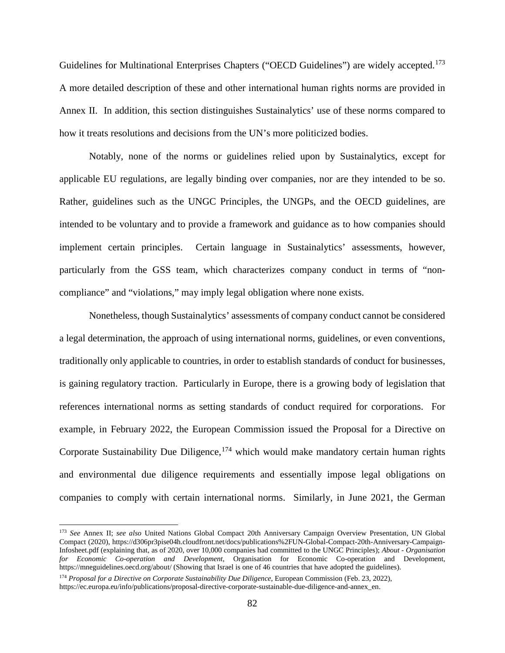Guidelines for Multinational Enterprises Chapters ("OECD Guidelines") are widely accepted.<sup>[173](#page-85-0)</sup> A more detailed description of these and other international human rights norms are provided in Annex II. In addition, this section distinguishes Sustainalytics' use of these norms compared to how it treats resolutions and decisions from the UN's more politicized bodies.

Notably, none of the norms or guidelines relied upon by Sustainalytics, except for applicable EU regulations, are legally binding over companies, nor are they intended to be so. Rather, guidelines such as the UNGC Principles, the UNGPs, and the OECD guidelines, are intended to be voluntary and to provide a framework and guidance as to how companies should implement certain principles. Certain language in Sustainalytics' assessments, however, particularly from the GSS team, which characterizes company conduct in terms of "noncompliance" and "violations," may imply legal obligation where none exists.

Nonetheless, though Sustainalytics' assessments of company conduct cannot be considered a legal determination, the approach of using international norms, guidelines, or even conventions, traditionally only applicable to countries, in order to establish standards of conduct for businesses, is gaining regulatory traction. Particularly in Europe, there is a growing body of legislation that references international norms as setting standards of conduct required for corporations. For example, in February 2022, the European Commission issued the Proposal for a Directive on Corporate Sustainability Due Diligence,  $174$  which would make mandatory certain human rights and environmental due diligence requirements and essentially impose legal obligations on companies to comply with certain international norms. Similarly, in June 2021, the German

<span id="page-85-0"></span> <sup>173</sup> *See* Annex II; *see also* United Nations Global Compact 20th Anniversary Campaign Overview Presentation, UN Global Compact (2020), https://d306pr3pise04h.cloudfront.net/docs/publications%2FUN-Global-Compact-20th-Anniversary-Campaign-Infosheet.pdf (explaining that, as of 2020, over 10,000 companies had committed to the UNGC Principles); *About - Organisation for Economic Co-operation and Development*, Organisation for Economic Co-operation and Development, https://mneguidelines.oecd.org/about/ (Showing that Israel is one of 46 countries that have adopted the guidelines).

<span id="page-85-1"></span><sup>174</sup> *Proposal for a Directive on Corporate Sustainability Due Diligence*, European Commission (Feb. 23, 2022), https://ec.europa.eu/info/publications/proposal-directive-corporate-sustainable-due-diligence-and-annex\_en.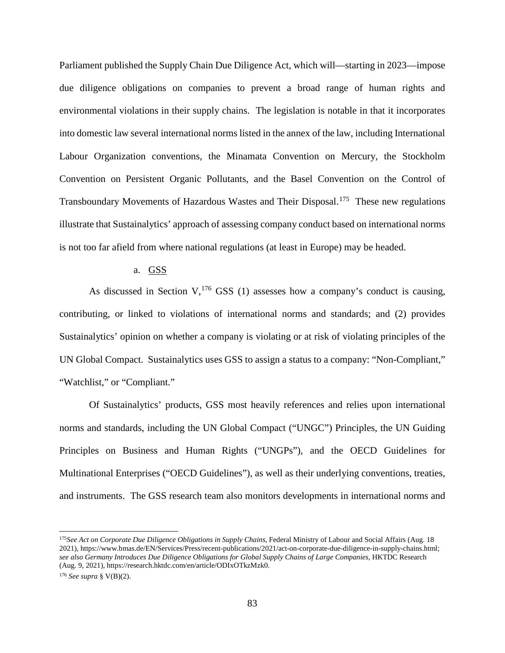Parliament published the Supply Chain Due Diligence Act, which will—starting in 2023—impose due diligence obligations on companies to prevent a broad range of human rights and environmental violations in their supply chains. The legislation is notable in that it incorporates into domestic law several international norms listed in the annex of the law, including International Labour Organization conventions, the Minamata Convention on Mercury, the Stockholm Convention on Persistent Organic Pollutants, and the Basel Convention on the Control of Transboundary Movements of Hazardous Wastes and Their Disposal.<sup>175</sup> These new regulations illustrate that Sustainalytics' approach of assessing company conduct based on international norms is not too far afield from where national regulations (at least in Europe) may be headed.

# a. GSS

As discussed in Section V,  $176$  GSS (1) assesses how a company's conduct is causing, contributing, or linked to violations of international norms and standards; and (2) provides Sustainalytics' opinion on whether a company is violating or at risk of violating principles of the UN Global Compact. Sustainalytics uses GSS to assign a status to a company: "Non-Compliant," "Watchlist," or "Compliant."

Of Sustainalytics' products, GSS most heavily references and relies upon international norms and standards, including the UN Global Compact ("UNGC") Principles, the UN Guiding Principles on Business and Human Rights ("UNGPs"), and the OECD Guidelines for Multinational Enterprises ("OECD Guidelines"), as well as their underlying conventions, treaties, and instruments. The GSS research team also monitors developments in international norms and

<span id="page-86-0"></span> <sup>175</sup>*See Act on Corporate Due Diligence Obligations in Supply Chains*, Federal Ministry of Labour and Social Affairs (Aug. 18 2021), https://www.bmas.de/EN/Services/Press/recent-publications/2021/act-on-corporate-due-diligence-in-supply-chains.html; *see also Germany Introduces Due Diligence Obligations for Global Supply Chains of Large Companies*, HKTDC Research (Aug. 9, 2021), https://research.hktdc.com/en/article/ODIxOTkzMzk0.

<span id="page-86-1"></span><sup>176</sup> *See supra* § V(B)(2).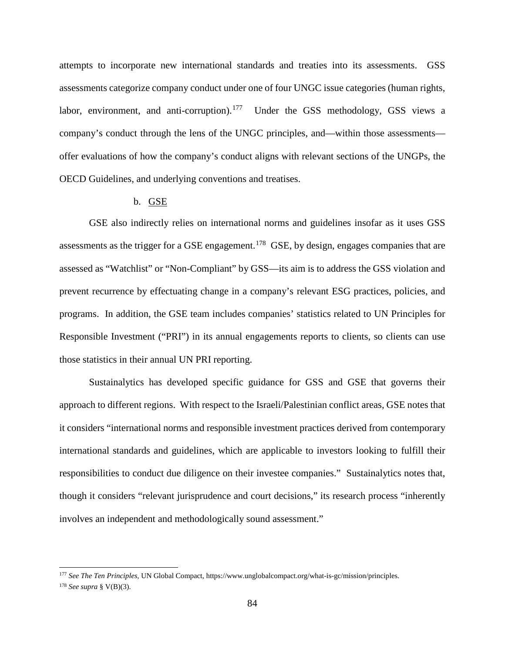attempts to incorporate new international standards and treaties into its assessments. GSS assessments categorize company conduct under one of four UNGC issue categories (human rights, labor, environment, and anti-corruption).<sup>[177](#page-87-0)</sup> Under the GSS methodology, GSS views a company's conduct through the lens of the UNGC principles, and—within those assessments offer evaluations of how the company's conduct aligns with relevant sections of the UNGPs, the OECD Guidelines, and underlying conventions and treatises.

# b. GSE

GSE also indirectly relies on international norms and guidelines insofar as it uses GSS assessments as the trigger for a GSE engagement.<sup>178</sup> GSE, by design, engages companies that are assessed as "Watchlist" or "Non-Compliant" by GSS—its aim is to address the GSS violation and prevent recurrence by effectuating change in a company's relevant ESG practices, policies, and programs. In addition, the GSE team includes companies' statistics related to UN Principles for Responsible Investment ("PRI") in its annual engagements reports to clients, so clients can use those statistics in their annual UN PRI reporting.

Sustainalytics has developed specific guidance for GSS and GSE that governs their approach to different regions. With respect to the Israeli/Palestinian conflict areas, GSE notes that it considers "international norms and responsible investment practices derived from contemporary international standards and guidelines, which are applicable to investors looking to fulfill their responsibilities to conduct due diligence on their investee companies." Sustainalytics notes that, though it considers "relevant jurisprudence and court decisions," its research process "inherently involves an independent and methodologically sound assessment."

<span id="page-87-1"></span><span id="page-87-0"></span> <sup>177</sup> *See The Ten Principles*, UN Global Compact, https://www.unglobalcompact.org/what-is-gc/mission/principles. <sup>178</sup> *See supra* § V(B)(3).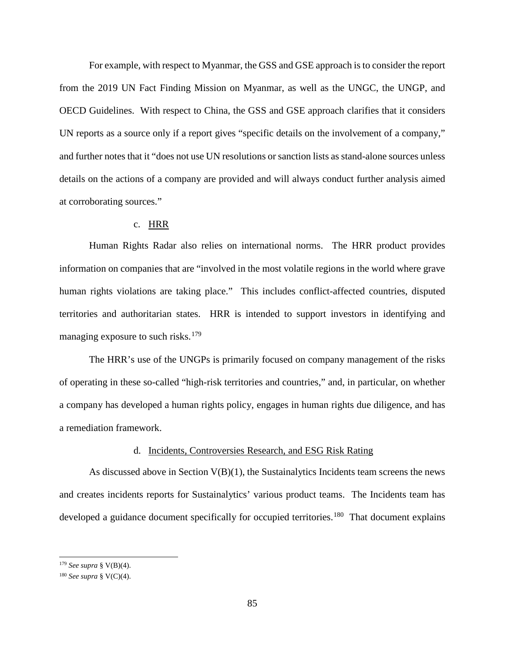For example, with respect to Myanmar, the GSS and GSE approach is to consider the report from the 2019 UN Fact Finding Mission on Myanmar, as well as the UNGC, the UNGP, and OECD Guidelines. With respect to China, the GSS and GSE approach clarifies that it considers UN reports as a source only if a report gives "specific details on the involvement of a company," and further notes that it "does not use UN resolutions or sanction lists as stand-alone sources unless details on the actions of a company are provided and will always conduct further analysis aimed at corroborating sources."

# c. HRR

Human Rights Radar also relies on international norms. The HRR product provides information on companies that are "involved in the most volatile regions in the world where grave human rights violations are taking place." This includes conflict-affected countries, disputed territories and authoritarian states. HRR is intended to support investors in identifying and managing exposure to such risks.<sup>[179](#page-88-0)</sup>

The HRR's use of the UNGPs is primarily focused on company management of the risks of operating in these so-called "high-risk territories and countries," and, in particular, on whether a company has developed a human rights policy, engages in human rights due diligence, and has a remediation framework.

# d. Incidents, Controversies Research, and ESG Risk Rating

As discussed above in Section  $V(B)(1)$ , the Sustainalytics Incidents team screens the news and creates incidents reports for Sustainalytics' various product teams. The Incidents team has developed a guidance document specifically for occupied territories.<sup>180</sup> That document explains

<span id="page-88-0"></span> <sup>179</sup> *See supra* § V(B)(4).

<span id="page-88-1"></span><sup>180</sup> *See supra* § V(C)(4).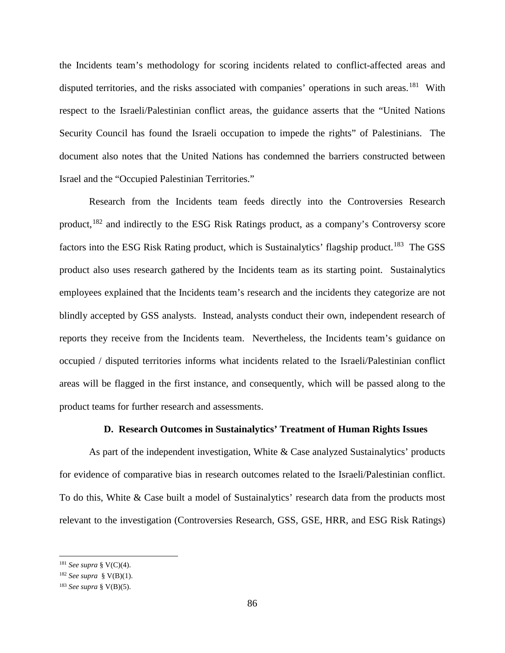the Incidents team's methodology for scoring incidents related to conflict-affected areas and disputed territories, and the risks associated with companies' operations in such areas.<sup>[181](#page-89-0)</sup> With respect to the Israeli/Palestinian conflict areas, the guidance asserts that the "United Nations Security Council has found the Israeli occupation to impede the rights" of Palestinians. The document also notes that the United Nations has condemned the barriers constructed between Israel and the "Occupied Palestinian Territories."

Research from the Incidents team feeds directly into the Controversies Research product,  $182$  and indirectly to the ESG Risk Ratings product, as a company's Controversy score factors into the ESG Risk Rating product, which is Sustainalytics' flagship product.<sup>183</sup> The GSS product also uses research gathered by the Incidents team as its starting point. Sustainalytics employees explained that the Incidents team's research and the incidents they categorize are not blindly accepted by GSS analysts. Instead, analysts conduct their own, independent research of reports they receive from the Incidents team. Nevertheless, the Incidents team's guidance on occupied / disputed territories informs what incidents related to the Israeli/Palestinian conflict areas will be flagged in the first instance, and consequently, which will be passed along to the product teams for further research and assessments.

# **D. Research Outcomes in Sustainalytics' Treatment of Human Rights Issues**

As part of the independent investigation, White & Case analyzed Sustainalytics' products for evidence of comparative bias in research outcomes related to the Israeli/Palestinian conflict. To do this, White & Case built a model of Sustainalytics' research data from the products most relevant to the investigation (Controversies Research, GSS, GSE, HRR, and ESG Risk Ratings)

<span id="page-89-0"></span> <sup>181</sup> *See supra* § V(C)(4).

<span id="page-89-1"></span><sup>182</sup> *See supra* § V(B)(1).

<span id="page-89-2"></span><sup>183</sup> *See supra* § V(B)(5).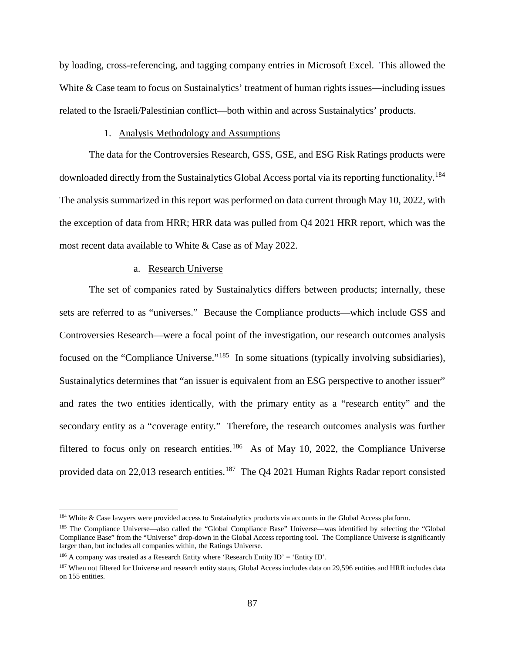by loading, cross-referencing, and tagging company entries in Microsoft Excel. This allowed the White & Case team to focus on Sustainalytics' treatment of human rights issues—including issues related to the Israeli/Palestinian conflict—both within and across Sustainalytics' products.

## 1. Analysis Methodology and Assumptions

The data for the Controversies Research, GSS, GSE, and ESG Risk Ratings products were downloaded directly from the Sustainalytics Global Access portal via its reporting functionality.<sup>[184](#page-90-0)</sup> The analysis summarized in this report was performed on data current through May 10, 2022, with the exception of data from HRR; HRR data was pulled from Q4 2021 HRR report, which was the most recent data available to White & Case as of May 2022.

#### a. Research Universe

The set of companies rated by Sustainalytics differs between products; internally, these sets are referred to as "universes." Because the Compliance products—which include GSS and Controversies Research—were a focal point of the investigation, our research outcomes analysis focused on the "Compliance Universe."<sup>[185](#page-90-1)</sup> In some situations (typically involving subsidiaries), Sustainalytics determines that "an issuer is equivalent from an ESG perspective to another issuer" and rates the two entities identically, with the primary entity as a "research entity" and the secondary entity as a "coverage entity." Therefore, the research outcomes analysis was further filtered to focus only on research entities.<sup>[186](#page-90-2)</sup> As of May 10, 2022, the Compliance Universe provided data on 22,013 research entities.<sup>187</sup> The Q4 2021 Human Rights Radar report consisted

<span id="page-90-0"></span><sup>&</sup>lt;sup>184</sup> White & Case lawyers were provided access to Sustainalytics products via accounts in the Global Access platform.

<span id="page-90-1"></span><sup>185</sup> The Compliance Universe—also called the "Global Compliance Base" Universe—was identified by selecting the "Global Compliance Base" from the "Universe" drop-down in the Global Access reporting tool. The Compliance Universe is significantly larger than, but includes all companies within, the Ratings Universe.

<span id="page-90-2"></span><sup>&</sup>lt;sup>186</sup> A company was treated as a Research Entity where 'Research Entity ID' = 'Entity ID'.

<span id="page-90-3"></span><sup>&</sup>lt;sup>187</sup> When not filtered for Universe and research entity status, Global Access includes data on 29,596 entities and HRR includes data on 155 entities.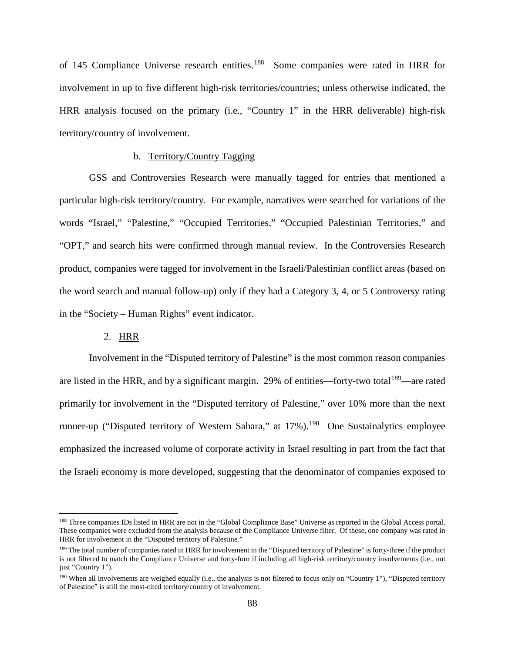of 145 Compliance Universe research entities.<sup>[188](#page-91-0)</sup> Some companies were rated in HRR for involvement in up to five different high-risk territories/countries; unless otherwise indicated, the HRR analysis focused on the primary (i.e., "Country 1" in the HRR deliverable) high-risk territory/country of involvement.

# b. Territory/Country Tagging

GSS and Controversies Research were manually tagged for entries that mentioned a particular high-risk territory/country. For example, narratives were searched for variations of the words "Israel," "Palestine," "Occupied Territories," "Occupied Palestinian Territories," and "OPT," and search hits were confirmed through manual review. In the Controversies Research product, companies were tagged for involvement in the Israeli/Palestinian conflict areas (based on the word search and manual follow-up) only if they had a Category 3, 4, or 5 Controversy rating in the "Society – Human Rights" event indicator.

# 2. HRR

Involvement in the "Disputed territory of Palestine" is the most common reason companies are listed in the HRR, and by a significant margin. 29% of entities—forty-two total<sup>189</sup>—are rated primarily for involvement in the "Disputed territory of Palestine," over 10% more than the next runner-up ("Disputed territory of Western Sahara," at  $17\%$ ).<sup>[190](#page-91-2)</sup> One Sustainalytics employee emphasized the increased volume of corporate activity in Israel resulting in part from the fact that the Israeli economy is more developed, suggesting that the denominator of companies exposed to

<span id="page-91-0"></span><sup>188</sup> Three companies IDs listed in HRR are not in the "Global Compliance Base" Universe as reported in the Global Access portal. These companies were excluded from the analysis because of the Compliance Universe filter. Of these, one company was rated in HRR for involvement in the "Disputed territory of Palestine."

<span id="page-91-1"></span><sup>&</sup>lt;sup>189</sup> The total number of companies rated in HRR for involvement in the "Disputed territory of Palestine" is forty-three if the product is not filtered to match the Compliance Universe and forty-four if including all high-risk territory/country involvements (i.e., not just "Country 1").

<span id="page-91-2"></span><sup>190</sup> When all involvements are weighed equally (i.e., the analysis is not filtered to focus only on "Country 1"), "Disputed territory of Palestine" is still the most-cited territory/country of involvement.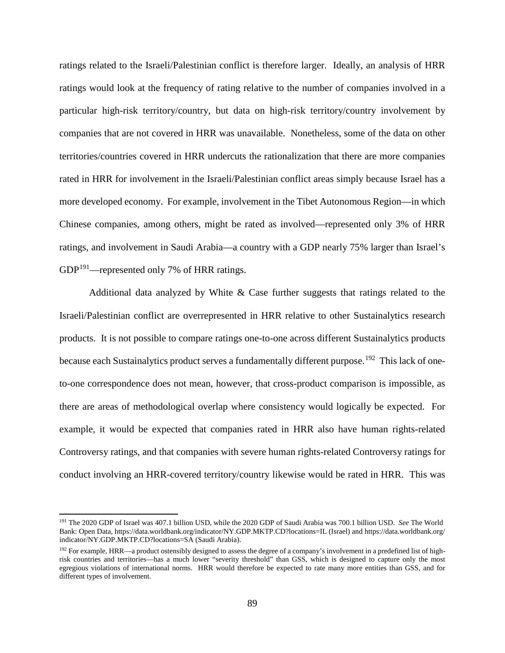ratings related to the Israeli/Palestinian conflict is therefore larger. Ideally, an analysis of HRR ratings would look at the frequency of rating relative to the number of companies involved in a particular high-risk territory/country, but data on high-risk territory/country involvement by companies that are not covered in HRR was unavailable. Nonetheless, some of the data on other territories/countries covered in HRR undercuts the rationalization that there are more companies rated in HRR for involvement in the Israeli/Palestinian conflict areas simply because Israel has a more developed economy. For example, involvement in the Tibet Autonomous Region—in which Chinese companies, among others, might be rated as involved—represented only 3% of HRR ratings, and involvement in Saudi Arabia—a country with a GDP nearly 75% larger than Israel's  $GDP<sup>191</sup>$ —represented only 7% of HRR ratings.

Additional data analyzed by White & Case further suggests that ratings related to the Israeli/Palestinian conflict are overrepresented in HRR relative to other Sustainalytics research products. It is not possible to compare ratings one-to-one across different Sustainalytics products because each Sustainalytics product serves a fundamentally different purpose.<sup>[192](#page-92-1)</sup> This lack of oneto-one correspondence does not mean, however, that cross-product comparison is impossible, as there are areas of methodological overlap where consistency would logically be expected. For example, it would be expected that companies rated in HRR also have human rights-related Controversy ratings, and that companies with severe human rights-related Controversy ratings for conduct involving an HRR-covered territory/country likewise would be rated in HRR. This was

<span id="page-92-0"></span> <sup>191</sup> The 2020 GDP of Israel was 407.1 billion USD, while the 2020 GDP of Saudi Arabia was 700.1 billion USD. *See* The World Bank: Open Data, https://data.worldbank.org/indicator/NY.GDP.MKTP.CD?locations=IL (Israel) and https://data.worldbank.org/ indicator/NY.GDP.MKTP.CD?locations=SA (Saudi Arabia).

<span id="page-92-1"></span> $192$  For example, HRR—a product ostensibly designed to assess the degree of a company's involvement in a predefined list of highrisk countries and territories—has a much lower "severity threshold" than GSS, which is designed to capture only the most egregious violations of international norms. HRR would therefore be expected to rate many more entities than GSS, and for different types of involvement.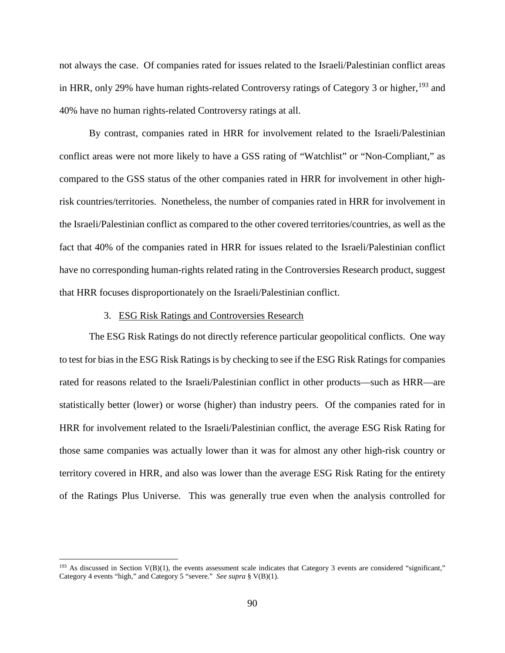not always the case. Of companies rated for issues related to the Israeli/Palestinian conflict areas in HRR, only 29% have human rights-related Controversy ratings of Category 3 or higher,  $193$  and 40% have no human rights-related Controversy ratings at all.

By contrast, companies rated in HRR for involvement related to the Israeli/Palestinian conflict areas were not more likely to have a GSS rating of "Watchlist" or "Non-Compliant," as compared to the GSS status of the other companies rated in HRR for involvement in other highrisk countries/territories. Nonetheless, the number of companies rated in HRR for involvement in the Israeli/Palestinian conflict as compared to the other covered territories/countries, as well as the fact that 40% of the companies rated in HRR for issues related to the Israeli/Palestinian conflict have no corresponding human-rights related rating in the Controversies Research product, suggest that HRR focuses disproportionately on the Israeli/Palestinian conflict.

# 3. ESG Risk Ratings and Controversies Research

The ESG Risk Ratings do not directly reference particular geopolitical conflicts. One way to test for bias in the ESG Risk Ratings is by checking to see if the ESG Risk Ratings for companies rated for reasons related to the Israeli/Palestinian conflict in other products—such as HRR—are statistically better (lower) or worse (higher) than industry peers. Of the companies rated for in HRR for involvement related to the Israeli/Palestinian conflict, the average ESG Risk Rating for those same companies was actually lower than it was for almost any other high-risk country or territory covered in HRR, and also was lower than the average ESG Risk Rating for the entirety of the Ratings Plus Universe. This was generally true even when the analysis controlled for

<span id="page-93-0"></span> $193$  As discussed in Section V(B)(1), the events assessment scale indicates that Category 3 events are considered "significant," Category 4 events "high," and Category 5 "severe." *See supra* § V(B)(1).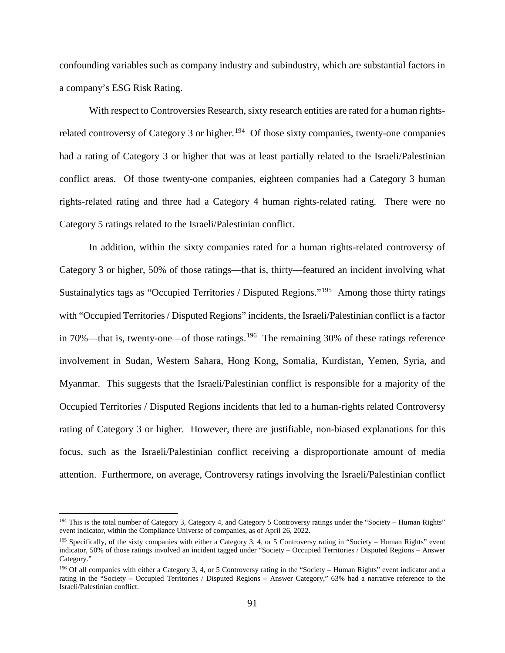confounding variables such as company industry and subindustry, which are substantial factors in a company's ESG Risk Rating.

With respect to Controversies Research, sixty research entities are rated for a human rights-related controversy of Category 3 or higher.<sup>[194](#page-94-0)</sup> Of those sixty companies, twenty-one companies had a rating of Category 3 or higher that was at least partially related to the Israeli/Palestinian conflict areas. Of those twenty-one companies, eighteen companies had a Category 3 human rights-related rating and three had a Category 4 human rights-related rating. There were no Category 5 ratings related to the Israeli/Palestinian conflict.

In addition, within the sixty companies rated for a human rights-related controversy of Category 3 or higher, 50% of those ratings—that is, thirty—featured an incident involving what Sustainalytics tags as "Occupied Territories / Disputed Regions."[195](#page-94-1) Among those thirty ratings with "Occupied Territories / Disputed Regions" incidents, the Israeli/Palestinian conflict is a factor in 70%—that is, twenty-one—of those ratings.<sup>[196](#page-94-2)</sup> The remaining 30% of these ratings reference involvement in Sudan, Western Sahara, Hong Kong, Somalia, Kurdistan, Yemen, Syria, and Myanmar. This suggests that the Israeli/Palestinian conflict is responsible for a majority of the Occupied Territories / Disputed Regions incidents that led to a human-rights related Controversy rating of Category 3 or higher. However, there are justifiable, non-biased explanations for this focus, such as the Israeli/Palestinian conflict receiving a disproportionate amount of media attention. Furthermore, on average, Controversy ratings involving the Israeli/Palestinian conflict

<span id="page-94-0"></span><sup>&</sup>lt;sup>194</sup> This is the total number of Category 3, Category 4, and Category 5 Controversy ratings under the "Society – Human Rights" event indicator, within the Compliance Universe of companies, as of April 26, 2022.

<span id="page-94-1"></span><sup>195</sup> Specifically, of the sixty companies with either a Category 3, 4, or 5 Controversy rating in "Society – Human Rights" event indicator, 50% of those ratings involved an incident tagged under "Society – Occupied Territories / Disputed Regions – Answer Category."

<span id="page-94-2"></span><sup>&</sup>lt;sup>196</sup> Of all companies with either a Category 3, 4, or 5 Controversy rating in the "Society – Human Rights" event indicator and a rating in the "Society – Occupied Territories / Disputed Regions – Answer Category," 63% had a narrative reference to the Israeli/Palestinian conflict.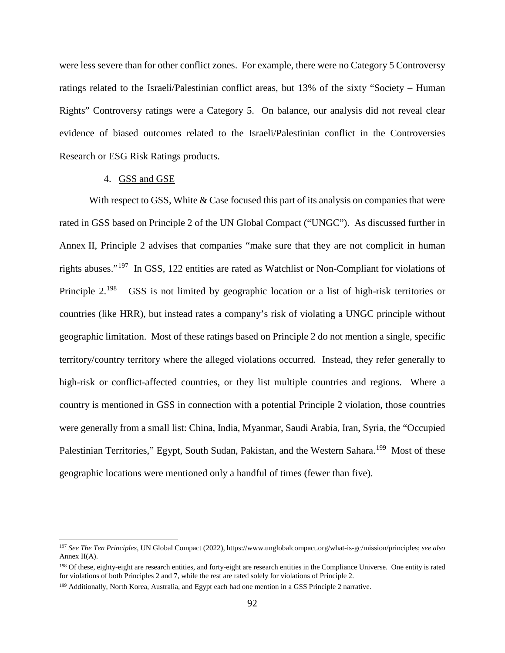were less severe than for other conflict zones. For example, there were no Category 5 Controversy ratings related to the Israeli/Palestinian conflict areas, but 13% of the sixty "Society – Human Rights" Controversy ratings were a Category 5. On balance, our analysis did not reveal clear evidence of biased outcomes related to the Israeli/Palestinian conflict in the Controversies Research or ESG Risk Ratings products.

## 4. GSS and GSE

With respect to GSS, White & Case focused this part of its analysis on companies that were rated in GSS based on Principle 2 of the UN Global Compact ("UNGC"). As discussed further in Annex II, Principle 2 advises that companies "make sure that they are not complicit in human rights abuses."[197](#page-95-0) In GSS, 122 entities are rated as Watchlist or Non-Compliant for violations of Principle 2.<sup>198</sup> GSS is not limited by geographic location or a list of high-risk territories or countries (like HRR), but instead rates a company's risk of violating a UNGC principle without geographic limitation. Most of these ratings based on Principle 2 do not mention a single, specific territory/country territory where the alleged violations occurred. Instead, they refer generally to high-risk or conflict-affected countries, or they list multiple countries and regions. Where a country is mentioned in GSS in connection with a potential Principle 2 violation, those countries were generally from a small list: China, India, Myanmar, Saudi Arabia, Iran, Syria, the "Occupied Palestinian Territories," Egypt, South Sudan, Pakistan, and the Western Sahara.<sup>[199](#page-95-2)</sup> Most of these geographic locations were mentioned only a handful of times (fewer than five).

<span id="page-95-0"></span> <sup>197</sup> *See The Ten Principles*, UN Global Compact (2022), https://www.unglobalcompact.org/what-is-gc/mission/principles; *see also*  Annex II(A).

<span id="page-95-1"></span><sup>&</sup>lt;sup>198</sup> Of these, eighty-eight are research entities, and forty-eight are research entities in the Compliance Universe. One entity is rated for violations of both Principles 2 and 7, while the rest are rated solely for violations of Principle 2.

<span id="page-95-2"></span><sup>&</sup>lt;sup>199</sup> Additionally, North Korea, Australia, and Egypt each had one mention in a GSS Principle 2 narrative.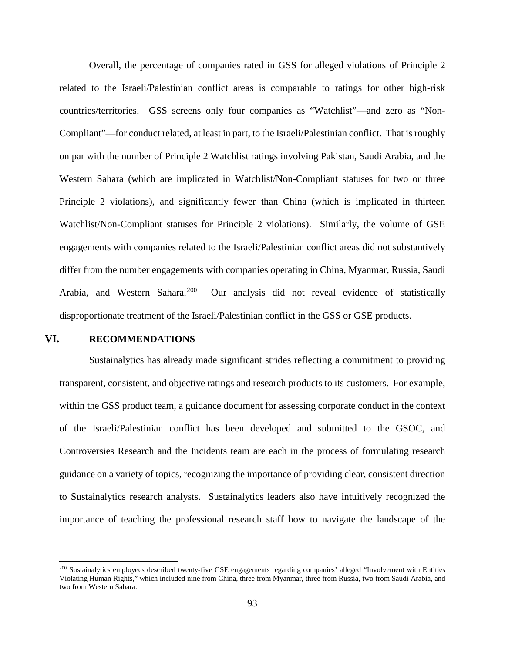Overall, the percentage of companies rated in GSS for alleged violations of Principle 2 related to the Israeli/Palestinian conflict areas is comparable to ratings for other high-risk countries/territories. GSS screens only four companies as "Watchlist"—and zero as "Non-Compliant"—for conduct related, at least in part, to the Israeli/Palestinian conflict. That is roughly on par with the number of Principle 2 Watchlist ratings involving Pakistan, Saudi Arabia, and the Western Sahara (which are implicated in Watchlist/Non-Compliant statuses for two or three Principle 2 violations), and significantly fewer than China (which is implicated in thirteen Watchlist/Non-Compliant statuses for Principle 2 violations). Similarly, the volume of GSE engagements with companies related to the Israeli/Palestinian conflict areas did not substantively differ from the number engagements with companies operating in China, Myanmar, Russia, Saudi Arabia, and Western Sahara.<sup>200</sup> Our analysis did not reveal evidence of statistically disproportionate treatment of the Israeli/Palestinian conflict in the GSS or GSE products.

# **VI. RECOMMENDATIONS**

Sustainalytics has already made significant strides reflecting a commitment to providing transparent, consistent, and objective ratings and research products to its customers. For example, within the GSS product team, a guidance document for assessing corporate conduct in the context of the Israeli/Palestinian conflict has been developed and submitted to the GSOC, and Controversies Research and the Incidents team are each in the process of formulating research guidance on a variety of topics, recognizing the importance of providing clear, consistent direction to Sustainalytics research analysts. Sustainalytics leaders also have intuitively recognized the importance of teaching the professional research staff how to navigate the landscape of the

<span id="page-96-0"></span> <sup>200</sup> Sustainalytics employees described twenty-five GSE engagements regarding companies' alleged "Involvement with Entities Violating Human Rights," which included nine from China, three from Myanmar, three from Russia, two from Saudi Arabia, and two from Western Sahara.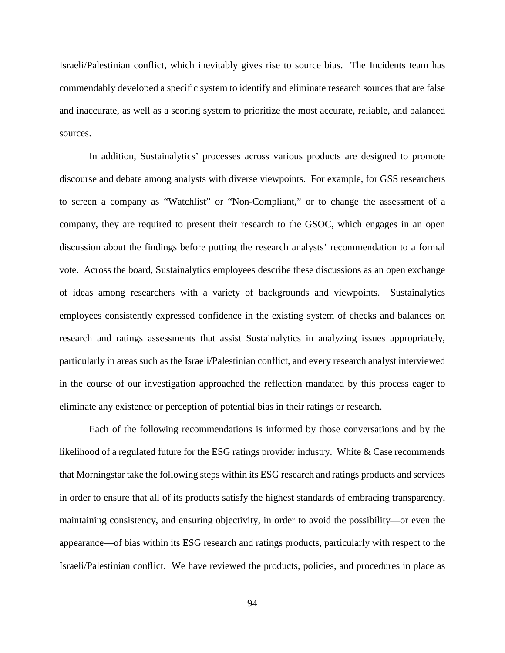Israeli/Palestinian conflict, which inevitably gives rise to source bias. The Incidents team has commendably developed a specific system to identify and eliminate research sources that are false and inaccurate, as well as a scoring system to prioritize the most accurate, reliable, and balanced sources.

In addition, Sustainalytics' processes across various products are designed to promote discourse and debate among analysts with diverse viewpoints. For example, for GSS researchers to screen a company as "Watchlist" or "Non-Compliant," or to change the assessment of a company, they are required to present their research to the GSOC, which engages in an open discussion about the findings before putting the research analysts' recommendation to a formal vote. Across the board, Sustainalytics employees describe these discussions as an open exchange of ideas among researchers with a variety of backgrounds and viewpoints. Sustainalytics employees consistently expressed confidence in the existing system of checks and balances on research and ratings assessments that assist Sustainalytics in analyzing issues appropriately, particularly in areas such as the Israeli/Palestinian conflict, and every research analyst interviewed in the course of our investigation approached the reflection mandated by this process eager to eliminate any existence or perception of potential bias in their ratings or research.

Each of the following recommendations is informed by those conversations and by the likelihood of a regulated future for the ESG ratings provider industry. White  $\&$  Case recommends that Morningstar take the following steps within its ESG research and ratings products and services in order to ensure that all of its products satisfy the highest standards of embracing transparency, maintaining consistency, and ensuring objectivity, in order to avoid the possibility—or even the appearance—of bias within its ESG research and ratings products, particularly with respect to the Israeli/Palestinian conflict. We have reviewed the products, policies, and procedures in place as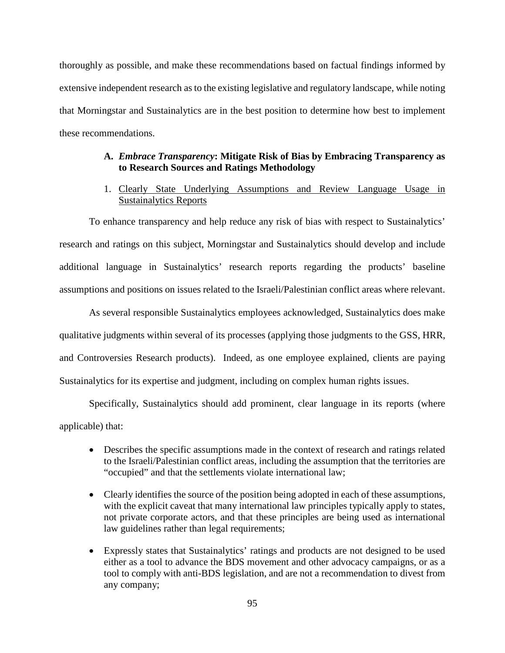thoroughly as possible, and make these recommendations based on factual findings informed by extensive independent research as to the existing legislative and regulatory landscape, while noting that Morningstar and Sustainalytics are in the best position to determine how best to implement these recommendations.

# **A.** *Embrace Transparency***: Mitigate Risk of Bias by Embracing Transparency as to Research Sources and Ratings Methodology**

1. Clearly State Underlying Assumptions and Review Language Usage in Sustainalytics Reports

To enhance transparency and help reduce any risk of bias with respect to Sustainalytics' research and ratings on this subject, Morningstar and Sustainalytics should develop and include additional language in Sustainalytics' research reports regarding the products' baseline assumptions and positions on issues related to the Israeli/Palestinian conflict areas where relevant.

As several responsible Sustainalytics employees acknowledged, Sustainalytics does make qualitative judgments within several of its processes (applying those judgments to the GSS, HRR, and Controversies Research products). Indeed, as one employee explained, clients are paying Sustainalytics for its expertise and judgment, including on complex human rights issues.

Specifically, Sustainalytics should add prominent, clear language in its reports (where applicable) that:

- Describes the specific assumptions made in the context of research and ratings related to the Israeli/Palestinian conflict areas, including the assumption that the territories are "occupied" and that the settlements violate international law;
- Clearly identifies the source of the position being adopted in each of these assumptions, with the explicit caveat that many international law principles typically apply to states, not private corporate actors, and that these principles are being used as international law guidelines rather than legal requirements;
- Expressly states that Sustainalytics' ratings and products are not designed to be used either as a tool to advance the BDS movement and other advocacy campaigns, or as a tool to comply with anti-BDS legislation, and are not a recommendation to divest from any company;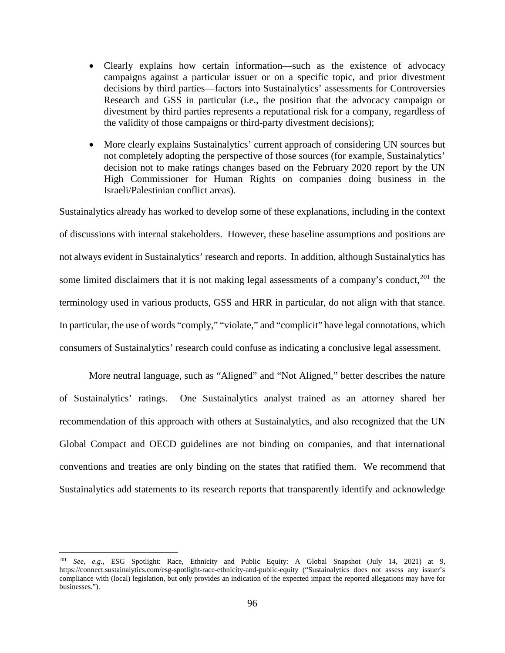- Clearly explains how certain information—such as the existence of advocacy campaigns against a particular issuer or on a specific topic, and prior divestment decisions by third parties—factors into Sustainalytics' assessments for Controversies Research and GSS in particular (i.e., the position that the advocacy campaign or divestment by third parties represents a reputational risk for a company, regardless of the validity of those campaigns or third-party divestment decisions);
- More clearly explains Sustainalytics' current approach of considering UN sources but not completely adopting the perspective of those sources (for example, Sustainalytics' decision not to make ratings changes based on the February 2020 report by the UN High Commissioner for Human Rights on companies doing business in the Israeli/Palestinian conflict areas).

Sustainalytics already has worked to develop some of these explanations, including in the context of discussions with internal stakeholders. However, these baseline assumptions and positions are not always evident in Sustainalytics' research and reports. In addition, although Sustainalytics has some limited disclaimers that it is not making legal assessments of a company's conduct,<sup>[201](#page-99-0)</sup> the terminology used in various products, GSS and HRR in particular, do not align with that stance. In particular, the use of words "comply," "violate," and "complicit" have legal connotations, which consumers of Sustainalytics' research could confuse as indicating a conclusive legal assessment.

More neutral language, such as "Aligned" and "Not Aligned," better describes the nature of Sustainalytics' ratings. One Sustainalytics analyst trained as an attorney shared her recommendation of this approach with others at Sustainalytics, and also recognized that the UN Global Compact and OECD guidelines are not binding on companies, and that international conventions and treaties are only binding on the states that ratified them. We recommend that Sustainalytics add statements to its research reports that transparently identify and acknowledge

<span id="page-99-0"></span> <sup>201</sup> *See, e.g.,* ESG Spotlight: Race, Ethnicity and Public Equity: A Global Snapshot (July 14, 2021) at 9, https://connect.sustainalytics.com/esg-spotlight-race-ethnicity-and-public-equity ("Sustainalytics does not assess any issuer's compliance with (local) legislation, but only provides an indication of the expected impact the reported allegations may have for businesses.").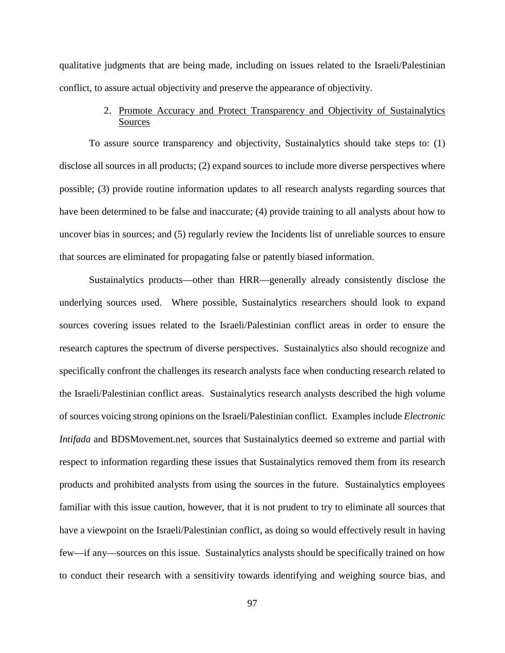qualitative judgments that are being made, including on issues related to the Israeli/Palestinian conflict, to assure actual objectivity and preserve the appearance of objectivity.

# 2. Promote Accuracy and Protect Transparency and Objectivity of Sustainalytics Sources

To assure source transparency and objectivity, Sustainalytics should take steps to: (1) disclose all sources in all products; (2) expand sources to include more diverse perspectives where possible; (3) provide routine information updates to all research analysts regarding sources that have been determined to be false and inaccurate; (4) provide training to all analysts about how to uncover bias in sources; and (5) regularly review the Incidents list of unreliable sources to ensure that sources are eliminated for propagating false or patently biased information.

Sustainalytics products—other than HRR—generally already consistently disclose the underlying sources used. Where possible, Sustainalytics researchers should look to expand sources covering issues related to the Israeli/Palestinian conflict areas in order to ensure the research captures the spectrum of diverse perspectives. Sustainalytics also should recognize and specifically confront the challenges its research analysts face when conducting research related to the Israeli/Palestinian conflict areas. Sustainalytics research analysts described the high volume of sources voicing strong opinions on the Israeli/Palestinian conflict. Examples include *Electronic Intifada* and BDSMovement.net, sources that Sustainalytics deemed so extreme and partial with respect to information regarding these issues that Sustainalytics removed them from its research products and prohibited analysts from using the sources in the future. Sustainalytics employees familiar with this issue caution, however, that it is not prudent to try to eliminate all sources that have a viewpoint on the Israeli/Palestinian conflict, as doing so would effectively result in having few—if any—sources on this issue. Sustainalytics analysts should be specifically trained on how to conduct their research with a sensitivity towards identifying and weighing source bias, and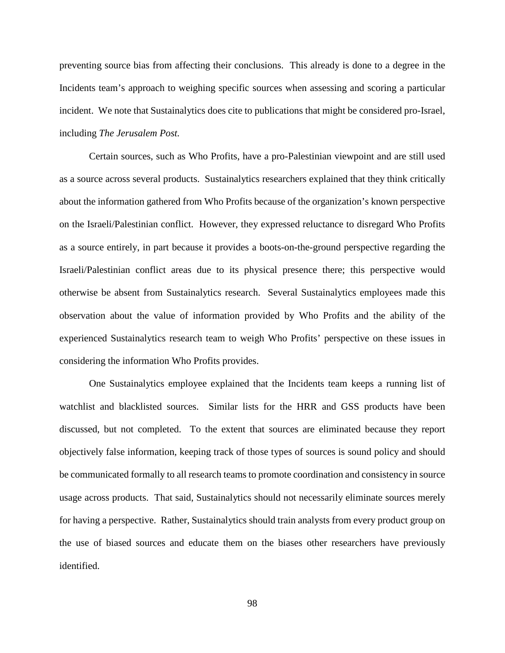preventing source bias from affecting their conclusions. This already is done to a degree in the Incidents team's approach to weighing specific sources when assessing and scoring a particular incident. We note that Sustainalytics does cite to publications that might be considered pro-Israel, including *The Jerusalem Post.*

Certain sources, such as Who Profits, have a pro-Palestinian viewpoint and are still used as a source across several products. Sustainalytics researchers explained that they think critically about the information gathered from Who Profits because of the organization's known perspective on the Israeli/Palestinian conflict. However, they expressed reluctance to disregard Who Profits as a source entirely, in part because it provides a boots-on-the-ground perspective regarding the Israeli/Palestinian conflict areas due to its physical presence there; this perspective would otherwise be absent from Sustainalytics research. Several Sustainalytics employees made this observation about the value of information provided by Who Profits and the ability of the experienced Sustainalytics research team to weigh Who Profits' perspective on these issues in considering the information Who Profits provides.

One Sustainalytics employee explained that the Incidents team keeps a running list of watchlist and blacklisted sources. Similar lists for the HRR and GSS products have been discussed, but not completed. To the extent that sources are eliminated because they report objectively false information, keeping track of those types of sources is sound policy and should be communicated formally to all research teams to promote coordination and consistency in source usage across products. That said, Sustainalytics should not necessarily eliminate sources merely for having a perspective. Rather, Sustainalytics should train analysts from every product group on the use of biased sources and educate them on the biases other researchers have previously identified.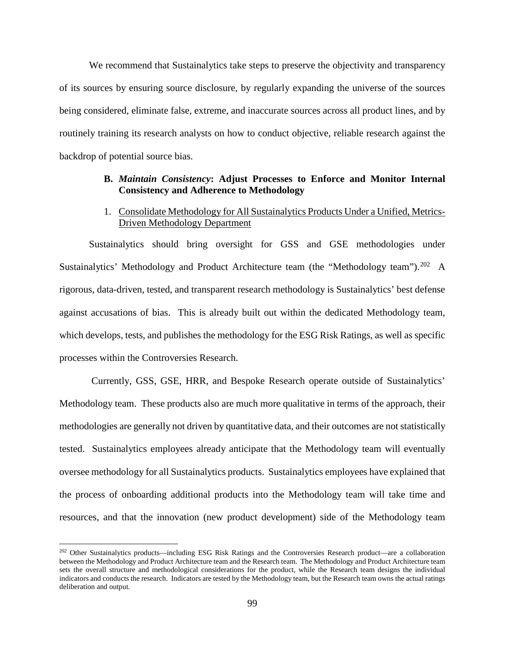We recommend that Sustainalytics take steps to preserve the objectivity and transparency of its sources by ensuring source disclosure, by regularly expanding the universe of the sources being considered, eliminate false, extreme, and inaccurate sources across all product lines, and by routinely training its research analysts on how to conduct objective, reliable research against the backdrop of potential source bias.

# **B.** *Maintain Consistency***: Adjust Processes to Enforce and Monitor Internal Consistency and Adherence to Methodology**

# 1. Consolidate Methodology for All Sustainalytics Products Under a Unified, Metrics-Driven Methodology Department

Sustainalytics should bring oversight for GSS and GSE methodologies under Sustainalytics' Methodology and Product Architecture team (the "Methodology team").<sup>202</sup> A rigorous, data-driven, tested, and transparent research methodology is Sustainalytics' best defense against accusations of bias. This is already built out within the dedicated Methodology team, which develops, tests, and publishes the methodology for the ESG Risk Ratings, as well as specific processes within the Controversies Research.

Currently, GSS, GSE, HRR, and Bespoke Research operate outside of Sustainalytics' Methodology team. These products also are much more qualitative in terms of the approach, their methodologies are generally not driven by quantitative data, and their outcomes are not statistically tested. Sustainalytics employees already anticipate that the Methodology team will eventually oversee methodology for all Sustainalytics products. Sustainalytics employees have explained that the process of onboarding additional products into the Methodology team will take time and resources, and that the innovation (new product development) side of the Methodology team

<span id="page-102-0"></span><sup>&</sup>lt;sup>202</sup> Other Sustainalytics products—including ESG Risk Ratings and the Controversies Research product—are a collaboration between the Methodology and Product Architecture team and the Research team. The Methodology and Product Architecture team sets the overall structure and methodological considerations for the product, while the Research team designs the individual indicators and conducts the research. Indicators are tested by the Methodology team, but the Research team owns the actual ratings deliberation and output.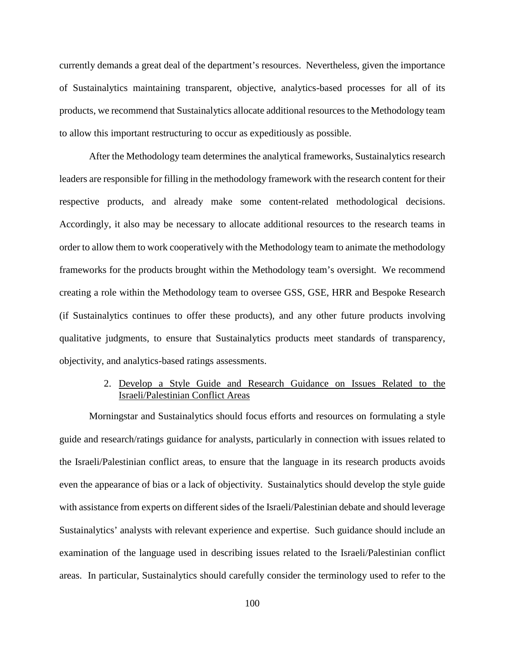currently demands a great deal of the department's resources. Nevertheless, given the importance of Sustainalytics maintaining transparent, objective, analytics-based processes for all of its products, we recommend that Sustainalytics allocate additional resources to the Methodology team to allow this important restructuring to occur as expeditiously as possible.

After the Methodology team determines the analytical frameworks, Sustainalytics research leaders are responsible for filling in the methodology framework with the research content for their respective products, and already make some content-related methodological decisions. Accordingly, it also may be necessary to allocate additional resources to the research teams in order to allow them to work cooperatively with the Methodology team to animate the methodology frameworks for the products brought within the Methodology team's oversight. We recommend creating a role within the Methodology team to oversee GSS, GSE, HRR and Bespoke Research (if Sustainalytics continues to offer these products), and any other future products involving qualitative judgments, to ensure that Sustainalytics products meet standards of transparency, objectivity, and analytics-based ratings assessments.

# 2. Develop a Style Guide and Research Guidance on Issues Related to the Israeli/Palestinian Conflict Areas

Morningstar and Sustainalytics should focus efforts and resources on formulating a style guide and research/ratings guidance for analysts, particularly in connection with issues related to the Israeli/Palestinian conflict areas, to ensure that the language in its research products avoids even the appearance of bias or a lack of objectivity. Sustainalytics should develop the style guide with assistance from experts on different sides of the Israeli/Palestinian debate and should leverage Sustainalytics' analysts with relevant experience and expertise. Such guidance should include an examination of the language used in describing issues related to the Israeli/Palestinian conflict areas. In particular, Sustainalytics should carefully consider the terminology used to refer to the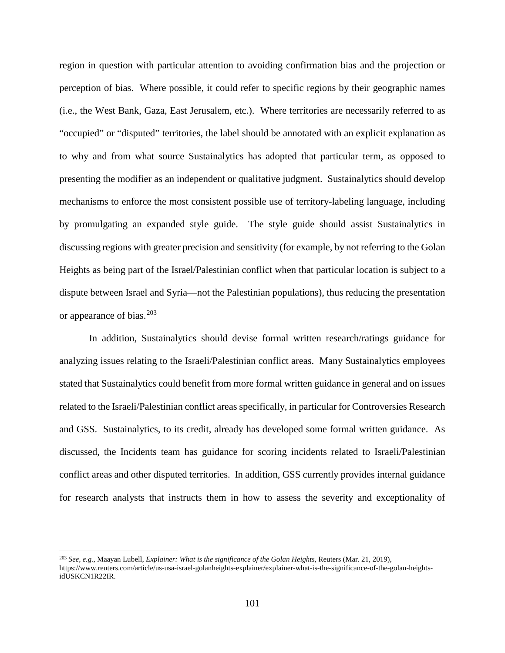region in question with particular attention to avoiding confirmation bias and the projection or perception of bias. Where possible, it could refer to specific regions by their geographic names (i.e., the West Bank, Gaza, East Jerusalem, etc.). Where territories are necessarily referred to as "occupied" or "disputed" territories, the label should be annotated with an explicit explanation as to why and from what source Sustainalytics has adopted that particular term, as opposed to presenting the modifier as an independent or qualitative judgment. Sustainalytics should develop mechanisms to enforce the most consistent possible use of territory-labeling language, including by promulgating an expanded style guide. The style guide should assist Sustainalytics in discussing regions with greater precision and sensitivity (for example, by not referring to the Golan Heights as being part of the Israel/Palestinian conflict when that particular location is subject to a dispute between Israel and Syria—not the Palestinian populations), thus reducing the presentation or appearance of bias. [203](#page-104-0)

In addition, Sustainalytics should devise formal written research/ratings guidance for analyzing issues relating to the Israeli/Palestinian conflict areas. Many Sustainalytics employees stated that Sustainalytics could benefit from more formal written guidance in general and on issues related to the Israeli/Palestinian conflict areas specifically, in particular for Controversies Research and GSS. Sustainalytics, to its credit, already has developed some formal written guidance. As discussed, the Incidents team has guidance for scoring incidents related to Israeli/Palestinian conflict areas and other disputed territories. In addition, GSS currently provides internal guidance for research analysts that instructs them in how to assess the severity and exceptionality of

<span id="page-104-0"></span> <sup>203</sup> *See, e.g.*, Maayan Lubell, *Explainer: What is the significance of the Golan Heights*, Reuters (Mar. 21, 2019), https://www.reuters.com/article/us-usa-israel-golanheights-explainer/explainer-what-is-the-significance-of-the-golan-heightsidUSKCN1R22IR.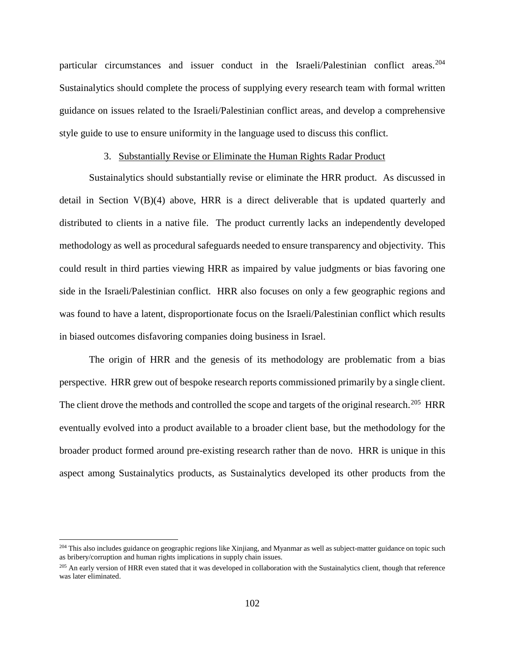particular circumstances and issuer conduct in the Israeli/Palestinian conflict areas.<sup>[204](#page-105-0)</sup> Sustainalytics should complete the process of supplying every research team with formal written guidance on issues related to the Israeli/Palestinian conflict areas, and develop a comprehensive style guide to use to ensure uniformity in the language used to discuss this conflict.

# 3. Substantially Revise or Eliminate the Human Rights Radar Product

Sustainalytics should substantially revise or eliminate the HRR product. As discussed in detail in Section V(B)(4) above, HRR is a direct deliverable that is updated quarterly and distributed to clients in a native file. The product currently lacks an independently developed methodology as well as procedural safeguards needed to ensure transparency and objectivity. This could result in third parties viewing HRR as impaired by value judgments or bias favoring one side in the Israeli/Palestinian conflict. HRR also focuses on only a few geographic regions and was found to have a latent, disproportionate focus on the Israeli/Palestinian conflict which results in biased outcomes disfavoring companies doing business in Israel.

The origin of HRR and the genesis of its methodology are problematic from a bias perspective. HRR grew out of bespoke research reports commissioned primarily by a single client. The client drove the methods and controlled the scope and targets of the original research.<sup>[205](#page-105-1)</sup> HRR eventually evolved into a product available to a broader client base, but the methodology for the broader product formed around pre-existing research rather than de novo. HRR is unique in this aspect among Sustainalytics products, as Sustainalytics developed its other products from the

<span id="page-105-0"></span><sup>&</sup>lt;sup>204</sup> This also includes guidance on geographic regions like Xinjiang, and Myanmar as well as subject-matter guidance on topic such as bribery/corruption and human rights implications in supply chain issues.

<span id="page-105-1"></span><sup>&</sup>lt;sup>205</sup> An early version of HRR even stated that it was developed in collaboration with the Sustainalytics client, though that reference was later eliminated.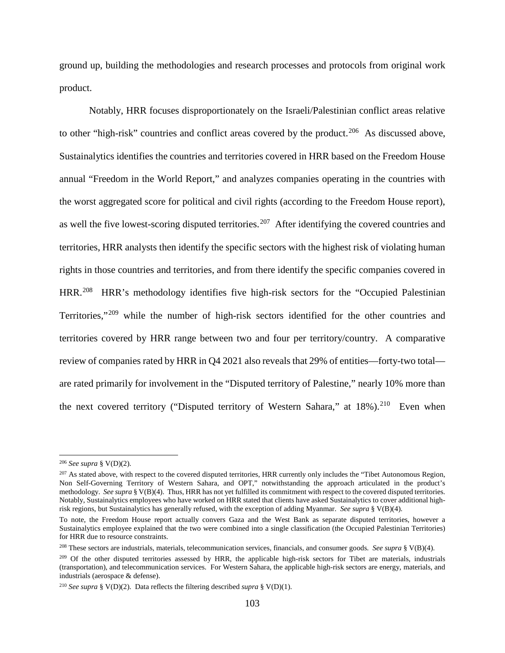ground up, building the methodologies and research processes and protocols from original work product.

Notably, HRR focuses disproportionately on the Israeli/Palestinian conflict areas relative to other "high-risk" countries and conflict areas covered by the product.<sup>[206](#page-106-0)</sup> As discussed above, Sustainalytics identifies the countries and territories covered in HRR based on the Freedom House annual "Freedom in the World Report," and analyzes companies operating in the countries with the worst aggregated score for political and civil rights (according to the Freedom House report), as well the five lowest-scoring disputed territories.<sup>207</sup> After identifying the covered countries and territories, HRR analysts then identify the specific sectors with the highest risk of violating human rights in those countries and territories, and from there identify the specific companies covered in HRR.<sup>[208](#page-106-2)</sup> HRR's methodology identifies five high-risk sectors for the "Occupied Palestinian Territories,"[209](#page-106-3) while the number of high-risk sectors identified for the other countries and territories covered by HRR range between two and four per territory/country. A comparative review of companies rated by HRR in Q4 2021 also reveals that 29% of entities—forty-two total are rated primarily for involvement in the "Disputed territory of Palestine," nearly 10% more than the next covered territory ("Disputed territory of Western Sahara," at  $18\%$ ).<sup>[210](#page-106-4)</sup> Even when

<span id="page-106-0"></span> <sup>206</sup> *See supra* § V(D)(2).

<span id="page-106-1"></span><sup>&</sup>lt;sup>207</sup> As stated above, with respect to the covered disputed territories, HRR currently only includes the "Tibet Autonomous Region, Non Self-Governing Territory of Western Sahara, and OPT," notwithstanding the approach articulated in the product's methodology. *See supra* § V(B)(4). Thus, HRR has not yet fulfilled its commitment with respect to the covered disputed territories. Notably, Sustainalytics employees who have worked on HRR stated that clients have asked Sustainalytics to cover additional highrisk regions, but Sustainalytics has generally refused, with the exception of adding Myanmar. *See supra* § V(B)(4).

To note, the Freedom House report actually convers Gaza and the West Bank as separate disputed territories, however a Sustainalytics employee explained that the two were combined into a single classification (the Occupied Palestinian Territories) for HRR due to resource constraints.

<span id="page-106-2"></span><sup>208</sup> These sectors are industrials, materials, telecommunication services, financials, and consumer goods. *See supra* § V(B)(4).

<span id="page-106-3"></span><sup>&</sup>lt;sup>209</sup> Of the other disputed territories assessed by HRR, the applicable high-risk sectors for Tibet are materials, industrials (transportation), and telecommunication services. For Western Sahara, the applicable high-risk sectors are energy, materials, and industrials (aerospace & defense).

<span id="page-106-4"></span><sup>&</sup>lt;sup>210</sup> *See supra* § V(D)(2). Data reflects the filtering described *supra* § V(D)(1).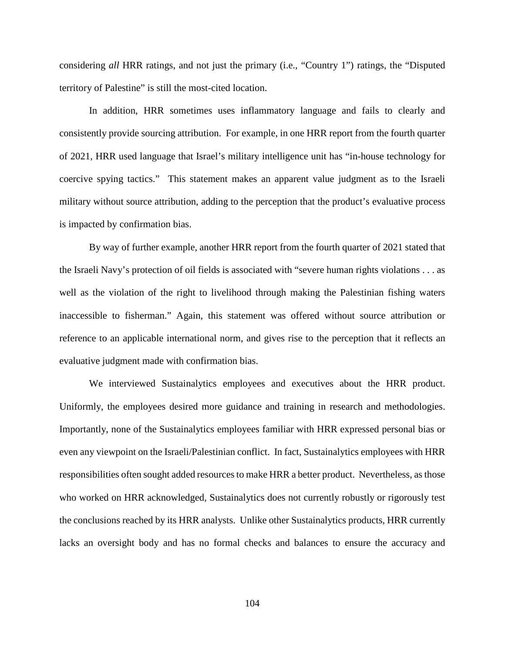considering *all* HRR ratings, and not just the primary (i.e., "Country 1") ratings, the "Disputed territory of Palestine" is still the most-cited location.

In addition, HRR sometimes uses inflammatory language and fails to clearly and consistently provide sourcing attribution. For example, in one HRR report from the fourth quarter of 2021, HRR used language that Israel's military intelligence unit has "in-house technology for coercive spying tactics." This statement makes an apparent value judgment as to the Israeli military without source attribution, adding to the perception that the product's evaluative process is impacted by confirmation bias.

By way of further example, another HRR report from the fourth quarter of 2021 stated that the Israeli Navy's protection of oil fields is associated with "severe human rights violations . . . as well as the violation of the right to livelihood through making the Palestinian fishing waters inaccessible to fisherman." Again, this statement was offered without source attribution or reference to an applicable international norm, and gives rise to the perception that it reflects an evaluative judgment made with confirmation bias.

We interviewed Sustainalytics employees and executives about the HRR product. Uniformly, the employees desired more guidance and training in research and methodologies. Importantly, none of the Sustainalytics employees familiar with HRR expressed personal bias or even any viewpoint on the Israeli/Palestinian conflict. In fact, Sustainalytics employees with HRR responsibilities often sought added resources to make HRR a better product. Nevertheless, as those who worked on HRR acknowledged, Sustainalytics does not currently robustly or rigorously test the conclusions reached by its HRR analysts. Unlike other Sustainalytics products, HRR currently lacks an oversight body and has no formal checks and balances to ensure the accuracy and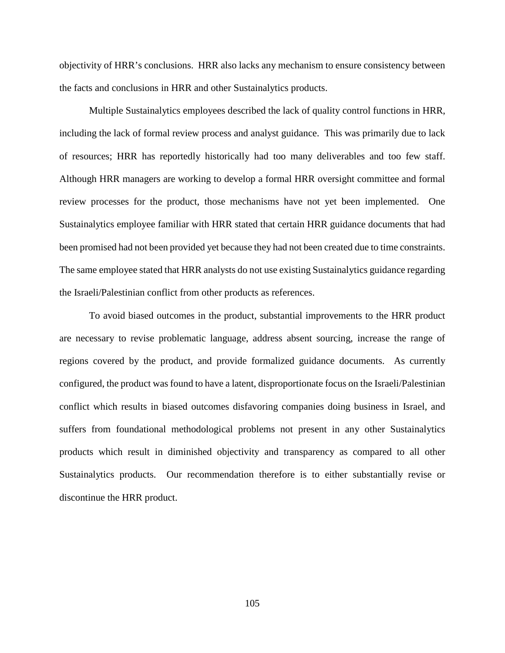objectivity of HRR's conclusions. HRR also lacks any mechanism to ensure consistency between the facts and conclusions in HRR and other Sustainalytics products.

Multiple Sustainalytics employees described the lack of quality control functions in HRR, including the lack of formal review process and analyst guidance. This was primarily due to lack of resources; HRR has reportedly historically had too many deliverables and too few staff. Although HRR managers are working to develop a formal HRR oversight committee and formal review processes for the product, those mechanisms have not yet been implemented. One Sustainalytics employee familiar with HRR stated that certain HRR guidance documents that had been promised had not been provided yet because they had not been created due to time constraints. The same employee stated that HRR analysts do not use existing Sustainalytics guidance regarding the Israeli/Palestinian conflict from other products as references.

To avoid biased outcomes in the product, substantial improvements to the HRR product are necessary to revise problematic language, address absent sourcing, increase the range of regions covered by the product, and provide formalized guidance documents. As currently configured, the product was found to have a latent, disproportionate focus on the Israeli/Palestinian conflict which results in biased outcomes disfavoring companies doing business in Israel, and suffers from foundational methodological problems not present in any other Sustainalytics products which result in diminished objectivity and transparency as compared to all other Sustainalytics products. Our recommendation therefore is to either substantially revise or discontinue the HRR product.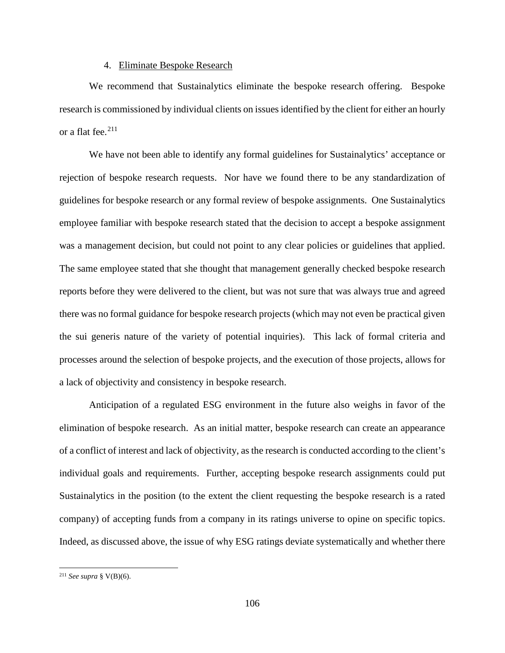#### 4. Eliminate Bespoke Research

We recommend that Sustainalytics eliminate the bespoke research offering. Bespoke research is commissioned by individual clients on issues identified by the client for either an hourly or a flat fee.<sup>211</sup>

We have not been able to identify any formal guidelines for Sustainalytics' acceptance or rejection of bespoke research requests. Nor have we found there to be any standardization of guidelines for bespoke research or any formal review of bespoke assignments. One Sustainalytics employee familiar with bespoke research stated that the decision to accept a bespoke assignment was a management decision, but could not point to any clear policies or guidelines that applied. The same employee stated that she thought that management generally checked bespoke research reports before they were delivered to the client, but was not sure that was always true and agreed there was no formal guidance for bespoke research projects (which may not even be practical given the sui generis nature of the variety of potential inquiries). This lack of formal criteria and processes around the selection of bespoke projects, and the execution of those projects, allows for a lack of objectivity and consistency in bespoke research.

Anticipation of a regulated ESG environment in the future also weighs in favor of the elimination of bespoke research. As an initial matter, bespoke research can create an appearance of a conflict of interest and lack of objectivity, as the research is conducted according to the client's individual goals and requirements. Further, accepting bespoke research assignments could put Sustainalytics in the position (to the extent the client requesting the bespoke research is a rated company) of accepting funds from a company in its ratings universe to opine on specific topics. Indeed, as discussed above, the issue of why ESG ratings deviate systematically and whether there

<span id="page-109-0"></span> <sup>211</sup> *See supra* § V(B)(6).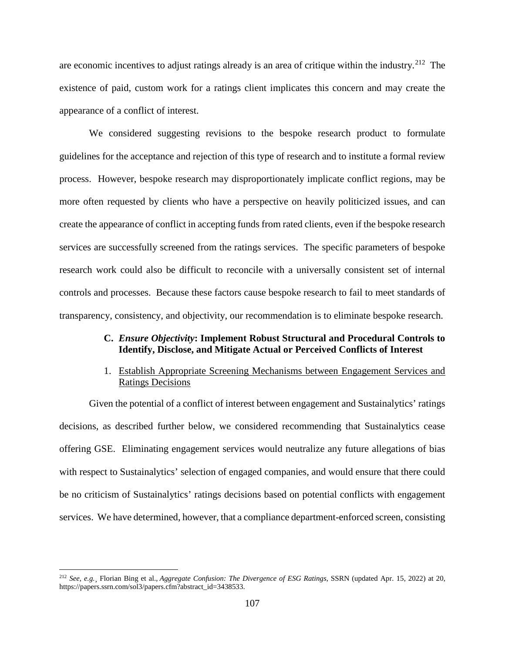are economic incentives to adjust ratings already is an area of critique within the industry.<sup>212</sup> The existence of paid, custom work for a ratings client implicates this concern and may create the appearance of a conflict of interest.

We considered suggesting revisions to the bespoke research product to formulate guidelines for the acceptance and rejection of this type of research and to institute a formal review process. However, bespoke research may disproportionately implicate conflict regions, may be more often requested by clients who have a perspective on heavily politicized issues, and can create the appearance of conflict in accepting funds from rated clients, even if the bespoke research services are successfully screened from the ratings services. The specific parameters of bespoke research work could also be difficult to reconcile with a universally consistent set of internal controls and processes. Because these factors cause bespoke research to fail to meet standards of transparency, consistency, and objectivity, our recommendation is to eliminate bespoke research.

## **C.** *Ensure Objectivity***: Implement Robust Structural and Procedural Controls to Identify, Disclose, and Mitigate Actual or Perceived Conflicts of Interest**

## 1. Establish Appropriate Screening Mechanisms between Engagement Services and Ratings Decisions

Given the potential of a conflict of interest between engagement and Sustainalytics' ratings decisions, as described further below, we considered recommending that Sustainalytics cease offering GSE. Eliminating engagement services would neutralize any future allegations of bias with respect to Sustainalytics' selection of engaged companies, and would ensure that there could be no criticism of Sustainalytics' ratings decisions based on potential conflicts with engagement services. We have determined, however, that a compliance department-enforced screen, consisting

<span id="page-110-0"></span> <sup>212</sup> *See, e.g.*¸ Florian Bing et al., *Aggregate Confusion: The Divergence of ESG Ratings*, SSRN (updated Apr. 15, 2022) at 20, https://papers.ssrn.com/sol3/papers.cfm?abstract\_id=3438533.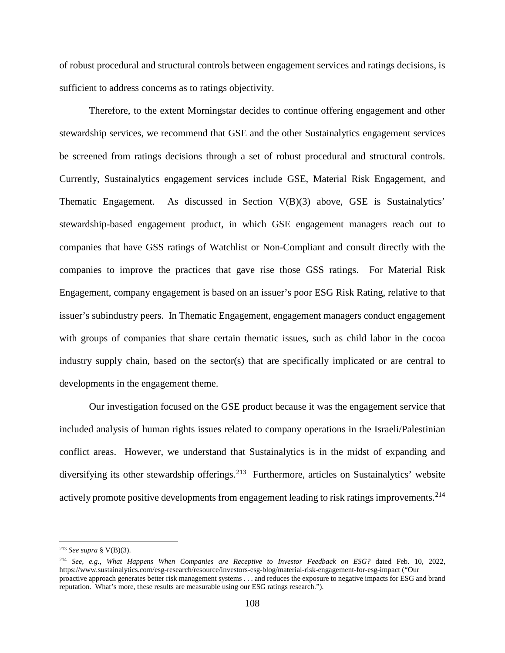of robust procedural and structural controls between engagement services and ratings decisions, is sufficient to address concerns as to ratings objectivity.

Therefore, to the extent Morningstar decides to continue offering engagement and other stewardship services, we recommend that GSE and the other Sustainalytics engagement services be screened from ratings decisions through a set of robust procedural and structural controls. Currently, Sustainalytics engagement services include GSE, Material Risk Engagement, and Thematic Engagement. As discussed in Section V(B)(3) above, GSE is Sustainalytics' stewardship-based engagement product, in which GSE engagement managers reach out to companies that have GSS ratings of Watchlist or Non-Compliant and consult directly with the companies to improve the practices that gave rise those GSS ratings. For Material Risk Engagement, company engagement is based on an issuer's poor ESG Risk Rating, relative to that issuer's subindustry peers. In Thematic Engagement, engagement managers conduct engagement with groups of companies that share certain thematic issues, such as child labor in the cocoa industry supply chain, based on the sector(s) that are specifically implicated or are central to developments in the engagement theme.

Our investigation focused on the GSE product because it was the engagement service that included analysis of human rights issues related to company operations in the Israeli/Palestinian conflict areas. However, we understand that Sustainalytics is in the midst of expanding and diversifying its other stewardship offerings.<sup>213</sup> Furthermore, articles on Sustainalytics' website actively promote positive developments from engagement leading to risk ratings improvements.  $^{214}$  $^{214}$  $^{214}$ 

<span id="page-111-0"></span> <sup>213</sup> *See supra* § V(B)(3).

<span id="page-111-1"></span><sup>214</sup> *See, e.g.*, *What Happens When Companies are Receptive to Investor Feedback on ESG?* dated Feb. 10, 2022, https://www.sustainalytics.com/esg-research/resource/investors-esg-blog/material-risk-engagement-for-esg-impact ("Our proactive approach generates better risk management systems . . . and reduces the exposure to negative impacts for ESG and brand reputation. What's more, these results are measurable using our ESG ratings research.").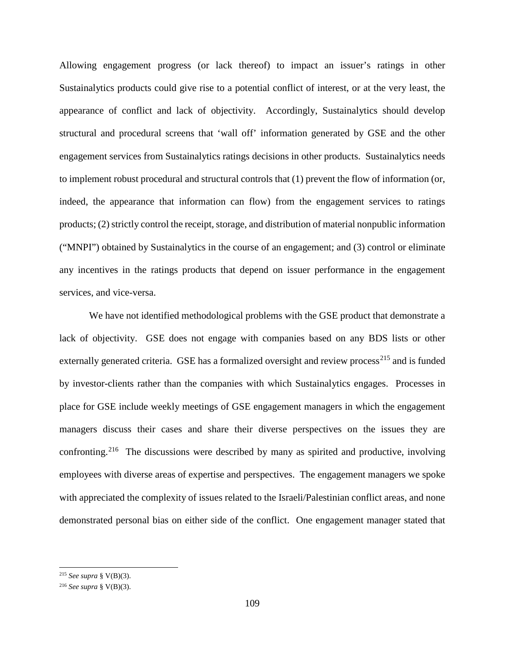Allowing engagement progress (or lack thereof) to impact an issuer's ratings in other Sustainalytics products could give rise to a potential conflict of interest, or at the very least, the appearance of conflict and lack of objectivity. Accordingly, Sustainalytics should develop structural and procedural screens that 'wall off' information generated by GSE and the other engagement services from Sustainalytics ratings decisions in other products. Sustainalytics needs to implement robust procedural and structural controls that (1) prevent the flow of information (or, indeed, the appearance that information can flow) from the engagement services to ratings products; (2) strictly control the receipt, storage, and distribution of material nonpublic information ("MNPI") obtained by Sustainalytics in the course of an engagement; and (3) control or eliminate any incentives in the ratings products that depend on issuer performance in the engagement services, and vice-versa.

We have not identified methodological problems with the GSE product that demonstrate a lack of objectivity. GSE does not engage with companies based on any BDS lists or other externally generated criteria. GSE has a formalized oversight and review process<sup>[215](#page-112-0)</sup> and is funded by investor-clients rather than the companies with which Sustainalytics engages. Processes in place for GSE include weekly meetings of GSE engagement managers in which the engagement managers discuss their cases and share their diverse perspectives on the issues they are confronting.<sup>216</sup> The discussions were described by many as spirited and productive, involving employees with diverse areas of expertise and perspectives. The engagement managers we spoke with appreciated the complexity of issues related to the Israeli/Palestinian conflict areas, and none demonstrated personal bias on either side of the conflict. One engagement manager stated that

<span id="page-112-0"></span> <sup>215</sup> *See supra* § V(B)(3).

<span id="page-112-1"></span><sup>216</sup> *See supra* § V(B)(3).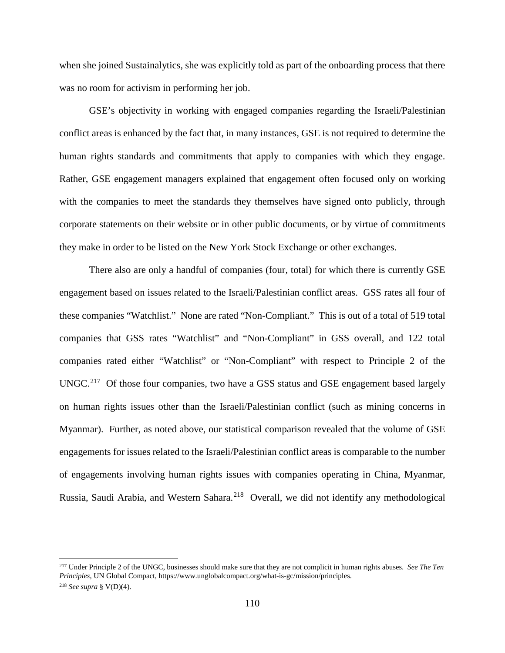when she joined Sustainalytics, she was explicitly told as part of the onboarding process that there was no room for activism in performing her job.

GSE's objectivity in working with engaged companies regarding the Israeli/Palestinian conflict areas is enhanced by the fact that, in many instances, GSE is not required to determine the human rights standards and commitments that apply to companies with which they engage. Rather, GSE engagement managers explained that engagement often focused only on working with the companies to meet the standards they themselves have signed onto publicly, through corporate statements on their website or in other public documents, or by virtue of commitments they make in order to be listed on the New York Stock Exchange or other exchanges.

There also are only a handful of companies (four, total) for which there is currently GSE engagement based on issues related to the Israeli/Palestinian conflict areas. GSS rates all four of these companies "Watchlist." None are rated "Non-Compliant." This is out of a total of 519 total companies that GSS rates "Watchlist" and "Non-Compliant" in GSS overall, and 122 total companies rated either "Watchlist" or "Non-Compliant" with respect to Principle 2 of the  $UNGC.<sup>217</sup>$  Of those four companies, two have a GSS status and GSE engagement based largely on human rights issues other than the Israeli/Palestinian conflict (such as mining concerns in Myanmar). Further, as noted above, our statistical comparison revealed that the volume of GSE engagements for issues related to the Israeli/Palestinian conflict areas is comparable to the number of engagements involving human rights issues with companies operating in China, Myanmar, Russia, Saudi Arabia, and Western Sahara.<sup>218</sup> Overall, we did not identify any methodological

<span id="page-113-1"></span><span id="page-113-0"></span> <sup>217</sup> Under Principle 2 of the UNGC, businesses should make sure that they are not complicit in human rights abuses. *See The Ten Principles*, UN Global Compact, https://www.unglobalcompact.org/what-is-gc/mission/principles. <sup>218</sup> *See supra* § V(D)(4).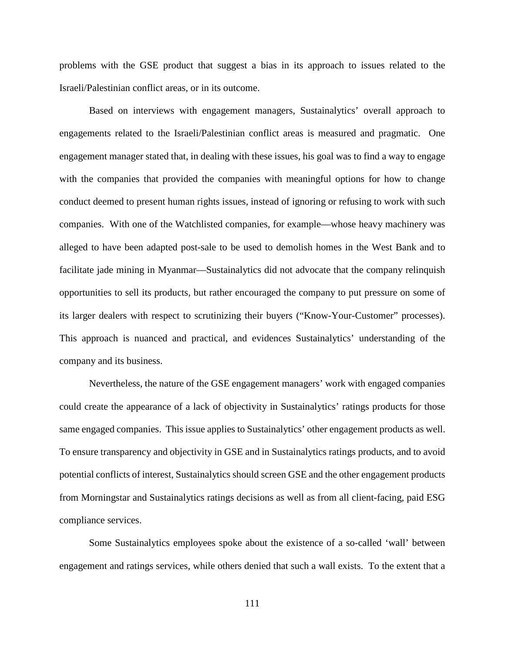problems with the GSE product that suggest a bias in its approach to issues related to the Israeli/Palestinian conflict areas, or in its outcome.

Based on interviews with engagement managers, Sustainalytics' overall approach to engagements related to the Israeli/Palestinian conflict areas is measured and pragmatic. One engagement manager stated that, in dealing with these issues, his goal was to find a way to engage with the companies that provided the companies with meaningful options for how to change conduct deemed to present human rights issues, instead of ignoring or refusing to work with such companies. With one of the Watchlisted companies, for example—whose heavy machinery was alleged to have been adapted post-sale to be used to demolish homes in the West Bank and to facilitate jade mining in Myanmar—Sustainalytics did not advocate that the company relinquish opportunities to sell its products, but rather encouraged the company to put pressure on some of its larger dealers with respect to scrutinizing their buyers ("Know-Your-Customer" processes). This approach is nuanced and practical, and evidences Sustainalytics' understanding of the company and its business.

Nevertheless, the nature of the GSE engagement managers' work with engaged companies could create the appearance of a lack of objectivity in Sustainalytics' ratings products for those same engaged companies. This issue applies to Sustainalytics' other engagement products as well. To ensure transparency and objectivity in GSE and in Sustainalytics ratings products, and to avoid potential conflicts of interest, Sustainalytics should screen GSE and the other engagement products from Morningstar and Sustainalytics ratings decisions as well as from all client-facing, paid ESG compliance services.

Some Sustainalytics employees spoke about the existence of a so-called 'wall' between engagement and ratings services, while others denied that such a wall exists. To the extent that a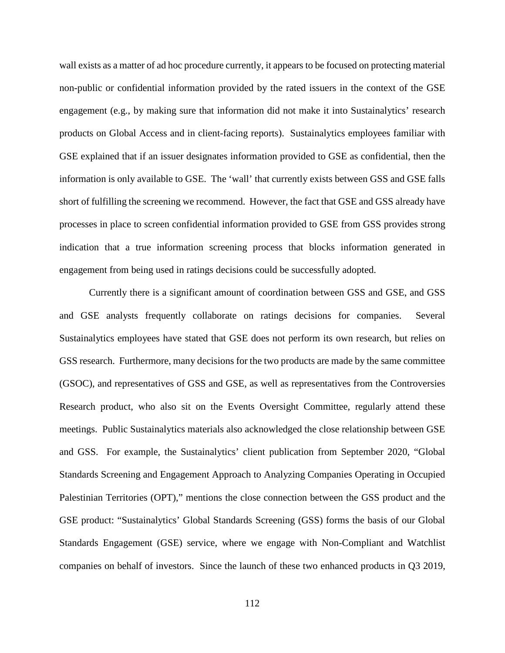wall exists as a matter of ad hoc procedure currently, it appears to be focused on protecting material non-public or confidential information provided by the rated issuers in the context of the GSE engagement (e.g., by making sure that information did not make it into Sustainalytics' research products on Global Access and in client-facing reports). Sustainalytics employees familiar with GSE explained that if an issuer designates information provided to GSE as confidential, then the information is only available to GSE. The 'wall' that currently exists between GSS and GSE falls short of fulfilling the screening we recommend. However, the fact that GSE and GSS already have processes in place to screen confidential information provided to GSE from GSS provides strong indication that a true information screening process that blocks information generated in engagement from being used in ratings decisions could be successfully adopted.

Currently there is a significant amount of coordination between GSS and GSE, and GSS and GSE analysts frequently collaborate on ratings decisions for companies. Several Sustainalytics employees have stated that GSE does not perform its own research, but relies on GSS research. Furthermore, many decisions for the two products are made by the same committee (GSOC), and representatives of GSS and GSE, as well as representatives from the Controversies Research product, who also sit on the Events Oversight Committee, regularly attend these meetings. Public Sustainalytics materials also acknowledged the close relationship between GSE and GSS. For example, the Sustainalytics' client publication from September 2020, "Global Standards Screening and Engagement Approach to Analyzing Companies Operating in Occupied Palestinian Territories (OPT)," mentions the close connection between the GSS product and the GSE product: "Sustainalytics' Global Standards Screening (GSS) forms the basis of our Global Standards Engagement (GSE) service, where we engage with Non-Compliant and Watchlist companies on behalf of investors. Since the launch of these two enhanced products in Q3 2019,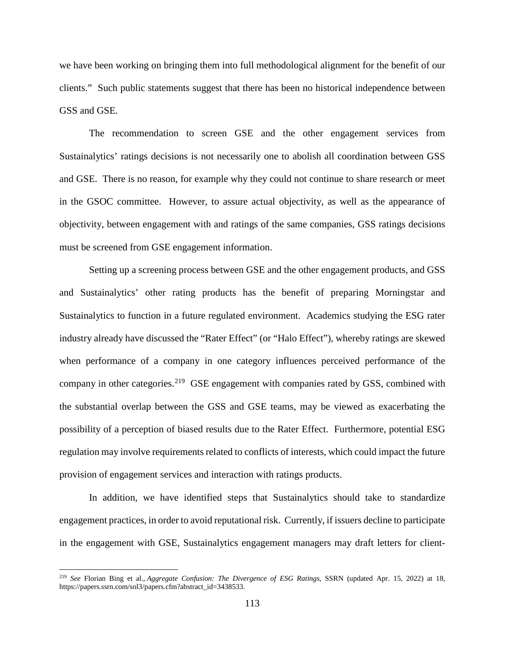we have been working on bringing them into full methodological alignment for the benefit of our clients." Such public statements suggest that there has been no historical independence between GSS and GSE.

The recommendation to screen GSE and the other engagement services from Sustainalytics' ratings decisions is not necessarily one to abolish all coordination between GSS and GSE. There is no reason, for example why they could not continue to share research or meet in the GSOC committee. However, to assure actual objectivity, as well as the appearance of objectivity, between engagement with and ratings of the same companies, GSS ratings decisions must be screened from GSE engagement information.

Setting up a screening process between GSE and the other engagement products, and GSS and Sustainalytics' other rating products has the benefit of preparing Morningstar and Sustainalytics to function in a future regulated environment. Academics studying the ESG rater industry already have discussed the "Rater Effect" (or "Halo Effect"), whereby ratings are skewed when performance of a company in one category influences perceived performance of the company in other categories.<sup>[219](#page-116-0)</sup> GSE engagement with companies rated by GSS, combined with the substantial overlap between the GSS and GSE teams, may be viewed as exacerbating the possibility of a perception of biased results due to the Rater Effect. Furthermore, potential ESG regulation may involve requirements related to conflicts of interests, which could impact the future provision of engagement services and interaction with ratings products.

In addition, we have identified steps that Sustainalytics should take to standardize engagement practices, in order to avoid reputational risk. Currently, if issuers decline to participate in the engagement with GSE, Sustainalytics engagement managers may draft letters for client-

<span id="page-116-0"></span> <sup>219</sup> *See* Florian Bing et al., *Aggregate Confusion: The Divergence of ESG Ratings*, SSRN (updated Apr. 15, 2022) at 18, https://papers.ssrn.com/sol3/papers.cfm?abstract\_id=3438533.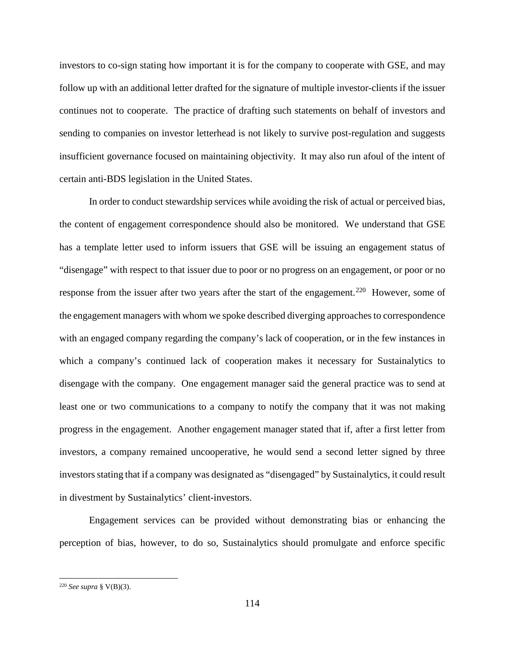investors to co-sign stating how important it is for the company to cooperate with GSE, and may follow up with an additional letter drafted for the signature of multiple investor-clients if the issuer continues not to cooperate. The practice of drafting such statements on behalf of investors and sending to companies on investor letterhead is not likely to survive post-regulation and suggests insufficient governance focused on maintaining objectivity. It may also run afoul of the intent of certain anti-BDS legislation in the United States.

In order to conduct stewardship services while avoiding the risk of actual or perceived bias, the content of engagement correspondence should also be monitored. We understand that GSE has a template letter used to inform issuers that GSE will be issuing an engagement status of "disengage" with respect to that issuer due to poor or no progress on an engagement, or poor or no response from the issuer after two years after the start of the engagement.<sup>[220](#page-117-0)</sup> However, some of the engagement managers with whom we spoke described diverging approaches to correspondence with an engaged company regarding the company's lack of cooperation, or in the few instances in which a company's continued lack of cooperation makes it necessary for Sustainalytics to disengage with the company. One engagement manager said the general practice was to send at least one or two communications to a company to notify the company that it was not making progress in the engagement. Another engagement manager stated that if, after a first letter from investors, a company remained uncooperative, he would send a second letter signed by three investors stating that if a company was designated as "disengaged" by Sustainalytics, it could result in divestment by Sustainalytics' client-investors.

Engagement services can be provided without demonstrating bias or enhancing the perception of bias, however, to do so, Sustainalytics should promulgate and enforce specific

<span id="page-117-0"></span> <sup>220</sup> *See supra* § V(B)(3).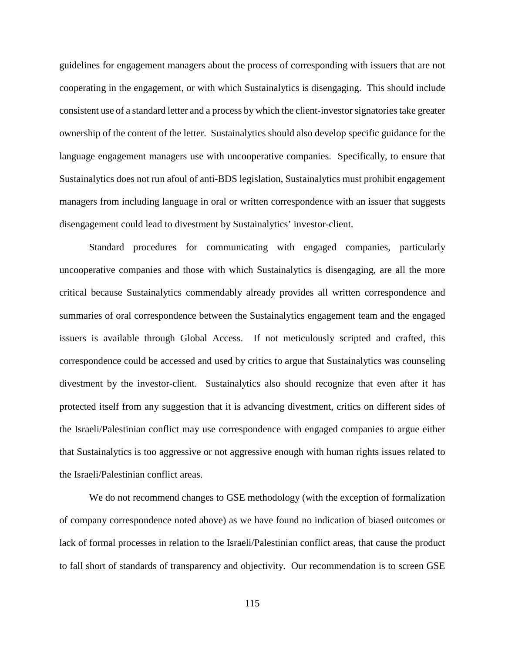guidelines for engagement managers about the process of corresponding with issuers that are not cooperating in the engagement, or with which Sustainalytics is disengaging. This should include consistent use of a standard letter and a process by which the client-investor signatories take greater ownership of the content of the letter. Sustainalytics should also develop specific guidance for the language engagement managers use with uncooperative companies. Specifically, to ensure that Sustainalytics does not run afoul of anti-BDS legislation, Sustainalytics must prohibit engagement managers from including language in oral or written correspondence with an issuer that suggests disengagement could lead to divestment by Sustainalytics' investor-client.

Standard procedures for communicating with engaged companies, particularly uncooperative companies and those with which Sustainalytics is disengaging, are all the more critical because Sustainalytics commendably already provides all written correspondence and summaries of oral correspondence between the Sustainalytics engagement team and the engaged issuers is available through Global Access. If not meticulously scripted and crafted, this correspondence could be accessed and used by critics to argue that Sustainalytics was counseling divestment by the investor-client. Sustainalytics also should recognize that even after it has protected itself from any suggestion that it is advancing divestment, critics on different sides of the Israeli/Palestinian conflict may use correspondence with engaged companies to argue either that Sustainalytics is too aggressive or not aggressive enough with human rights issues related to the Israeli/Palestinian conflict areas.

We do not recommend changes to GSE methodology (with the exception of formalization of company correspondence noted above) as we have found no indication of biased outcomes or lack of formal processes in relation to the Israeli/Palestinian conflict areas, that cause the product to fall short of standards of transparency and objectivity. Our recommendation is to screen GSE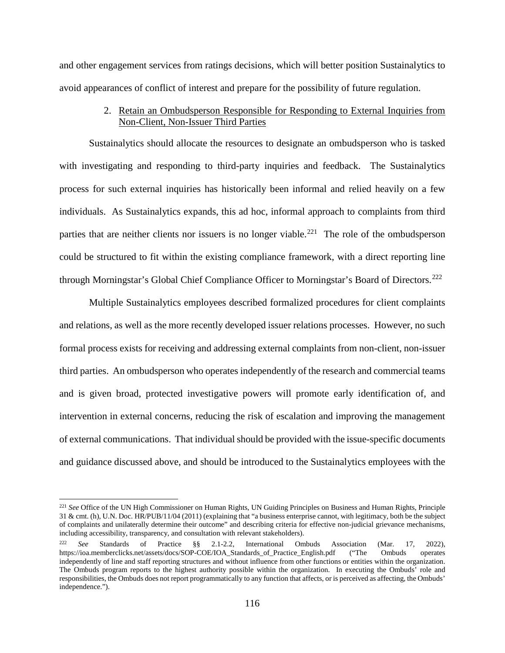and other engagement services from ratings decisions, which will better position Sustainalytics to avoid appearances of conflict of interest and prepare for the possibility of future regulation.

## 2. Retain an Ombudsperson Responsible for Responding to External Inquiries from Non-Client, Non-Issuer Third Parties

Sustainalytics should allocate the resources to designate an ombudsperson who is tasked with investigating and responding to third-party inquiries and feedback. The Sustainalytics process for such external inquiries has historically been informal and relied heavily on a few individuals. As Sustainalytics expands, this ad hoc, informal approach to complaints from third parties that are neither clients nor issuers is no longer viable.<sup>221</sup> The role of the ombudsperson could be structured to fit within the existing compliance framework, with a direct reporting line through Morningstar's Global Chief Compliance Officer to Morningstar's Board of Directors.<sup>[222](#page-119-1)</sup>

Multiple Sustainalytics employees described formalized procedures for client complaints and relations, as well as the more recently developed issuer relations processes. However, no such formal process exists for receiving and addressing external complaints from non-client, non-issuer third parties. An ombudsperson who operates independently of the research and commercial teams and is given broad, protected investigative powers will promote early identification of, and intervention in external concerns, reducing the risk of escalation and improving the management of external communications. That individual should be provided with the issue-specific documents and guidance discussed above, and should be introduced to the Sustainalytics employees with the

<span id="page-119-0"></span> <sup>221</sup> *See* Office of the UN High Commissioner on Human Rights, UN Guiding Principles on Business and Human Rights, Principle 31 & cmt. (h), U.N. Doc. HR/PUB/11/04 (2011) (explaining that "a business enterprise cannot, with legitimacy, both be the subject of complaints and unilaterally determine their outcome" and describing criteria for effective non-judicial grievance mechanisms, including accessibility, transparency, and consultation with relevant stakeholders).

<span id="page-119-1"></span><sup>222</sup> *See* Standards of Practice §§ 2.1-2.2, International Ombuds Association (Mar. 17, 2022), https://ioa.memberclicks.net/assets/docs/SOP-COE/IOA\_Standards\_of\_Practice\_English.pdf ("The Ombuds operates independently of line and staff reporting structures and without influence from other functions or entities within the organization. The Ombuds program reports to the highest authority possible within the organization. In executing the Ombuds' role and responsibilities, the Ombuds does not report programmatically to any function that affects, or is perceived as affecting, the Ombuds' independence.").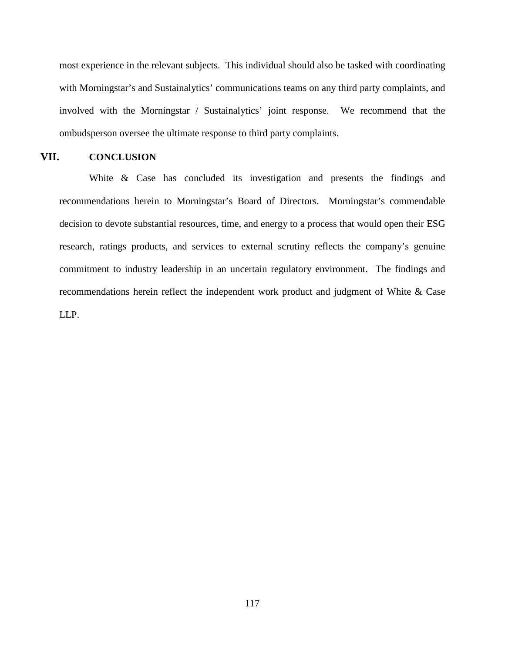most experience in the relevant subjects. This individual should also be tasked with coordinating with Morningstar's and Sustainalytics' communications teams on any third party complaints, and involved with the Morningstar / Sustainalytics' joint response. We recommend that the ombudsperson oversee the ultimate response to third party complaints.

## **VII. CONCLUSION**

White & Case has concluded its investigation and presents the findings and recommendations herein to Morningstar's Board of Directors. Morningstar's commendable decision to devote substantial resources, time, and energy to a process that would open their ESG research, ratings products, and services to external scrutiny reflects the company's genuine commitment to industry leadership in an uncertain regulatory environment. The findings and recommendations herein reflect the independent work product and judgment of White & Case LLP.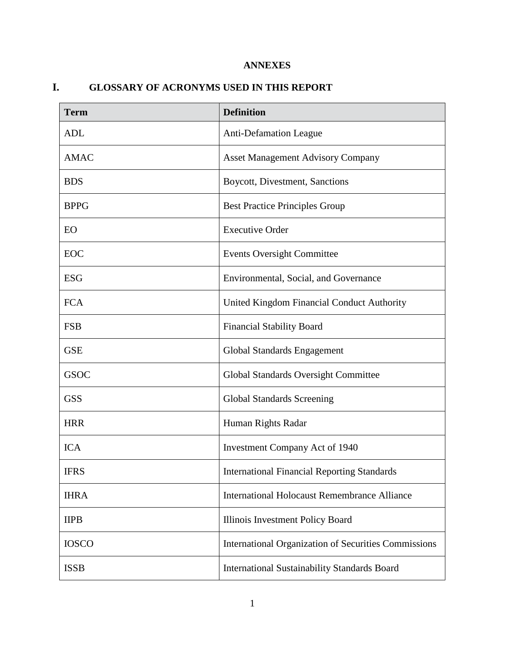# **ANNEXES**

# **I. GLOSSARY OF ACRONYMS USED IN THIS REPORT**

| <b>Term</b>  | <b>Definition</b>                                    |
|--------------|------------------------------------------------------|
| <b>ADL</b>   | <b>Anti-Defamation League</b>                        |
| <b>AMAC</b>  | <b>Asset Management Advisory Company</b>             |
| <b>BDS</b>   | Boycott, Divestment, Sanctions                       |
| <b>BPPG</b>  | <b>Best Practice Principles Group</b>                |
| EO           | <b>Executive Order</b>                               |
| EOC          | <b>Events Oversight Committee</b>                    |
| <b>ESG</b>   | Environmental, Social, and Governance                |
| <b>FCA</b>   | United Kingdom Financial Conduct Authority           |
| <b>FSB</b>   | <b>Financial Stability Board</b>                     |
| <b>GSE</b>   | Global Standards Engagement                          |
| <b>GSOC</b>  | Global Standards Oversight Committee                 |
| <b>GSS</b>   | <b>Global Standards Screening</b>                    |
| <b>HRR</b>   | Human Rights Radar                                   |
| <b>ICA</b>   | <b>Investment Company Act of 1940</b>                |
| <b>IFRS</b>  | <b>International Financial Reporting Standards</b>   |
| <b>IHRA</b>  | <b>International Holocaust Remembrance Alliance</b>  |
| <b>IIPB</b>  | Illinois Investment Policy Board                     |
| <b>IOSCO</b> | International Organization of Securities Commissions |
| <b>ISSB</b>  | <b>International Sustainability Standards Board</b>  |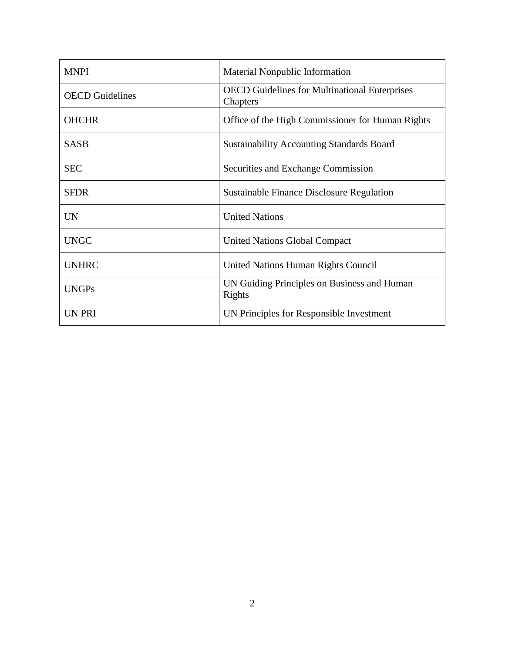| <b>MNPI</b>            | Material Nonpublic Information                                   |
|------------------------|------------------------------------------------------------------|
| <b>OECD</b> Guidelines | <b>OECD</b> Guidelines for Multinational Enterprises<br>Chapters |
| <b>OHCHR</b>           | Office of the High Commissioner for Human Rights                 |
| <b>SASB</b>            | <b>Sustainability Accounting Standards Board</b>                 |
| <b>SEC</b>             | Securities and Exchange Commission                               |
| <b>SFDR</b>            | <b>Sustainable Finance Disclosure Regulation</b>                 |
| <b>UN</b>              | <b>United Nations</b>                                            |
| <b>UNGC</b>            | <b>United Nations Global Compact</b>                             |
| <b>UNHRC</b>           | United Nations Human Rights Council                              |
| <b>UNGPs</b>           | UN Guiding Principles on Business and Human<br>Rights            |
| UN PRI                 | UN Principles for Responsible Investment                         |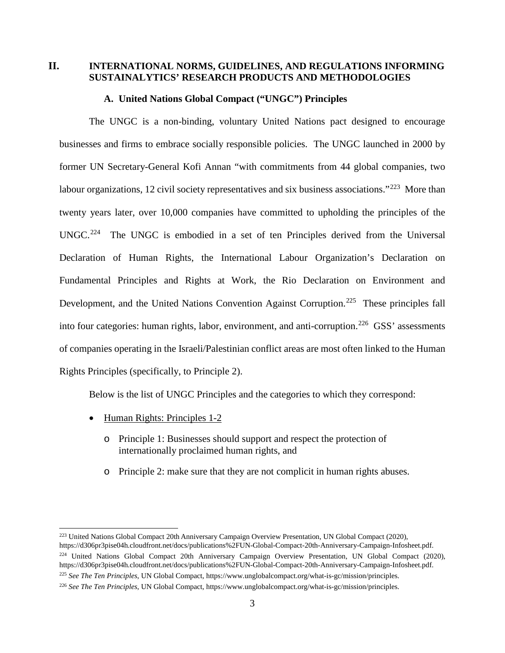# **II. INTERNATIONAL NORMS, GUIDELINES, AND REGULATIONS INFORMING SUSTAINALYTICS' RESEARCH PRODUCTS AND METHODOLOGIES**

### **A. United Nations Global Compact ("UNGC") Principles**

The UNGC is a non-binding, voluntary United Nations pact designed to encourage businesses and firms to embrace socially responsible policies. The UNGC launched in 2000 by former UN Secretary-General Kofi Annan "with commitments from 44 global companies, two labour organizations, 12 civil society representatives and six business associations."<sup>[223](#page-123-0)</sup> More than twenty years later, over 10,000 companies have committed to upholding the principles of the UNGC.<sup>224</sup> The UNGC is embodied in a set of ten Principles derived from the Universal Declaration of Human Rights, the International Labour Organization's Declaration on Fundamental Principles and Rights at Work, the Rio Declaration on Environment and Development, and the United Nations Convention Against Corruption.<sup>[225](#page-123-2)</sup> These principles fall into four categories: human rights, labor, environment, and anti-corruption.<sup>226</sup> GSS' assessments of companies operating in the Israeli/Palestinian conflict areas are most often linked to the Human Rights Principles (specifically, to Principle 2).

Below is the list of UNGC Principles and the categories to which they correspond:

- Human Rights: Principles 1-2
	- o Principle 1: Businesses should support and respect the protection of internationally proclaimed human rights, and
	- o Principle 2: make sure that they are not complicit in human rights abuses.

<span id="page-123-0"></span><sup>&</sup>lt;sup>223</sup> United Nations Global Compact 20th Anniversary Campaign Overview Presentation, UN Global Compact (2020), https://d306pr3pise04h.cloudfront.net/docs/publications%2FUN-Global-Compact-20th-Anniversary-Campaign-Infosheet.pdf.

<span id="page-123-1"></span><sup>&</sup>lt;sup>224</sup> United Nations Global Compact 20th Anniversary Campaign Overview Presentation, UN Global Compact (2020), https://d306pr3pise04h.cloudfront.net/docs/publications%2FUN-Global-Compact-20th-Anniversary-Campaign-Infosheet.pdf.

<span id="page-123-2"></span><sup>225</sup> *See The Ten Principles*, UN Global Compact, https://www.unglobalcompact.org/what-is-gc/mission/principles.

<span id="page-123-3"></span><sup>226</sup> *See The Ten Principles*, UN Global Compact, https://www.unglobalcompact.org/what-is-gc/mission/principles.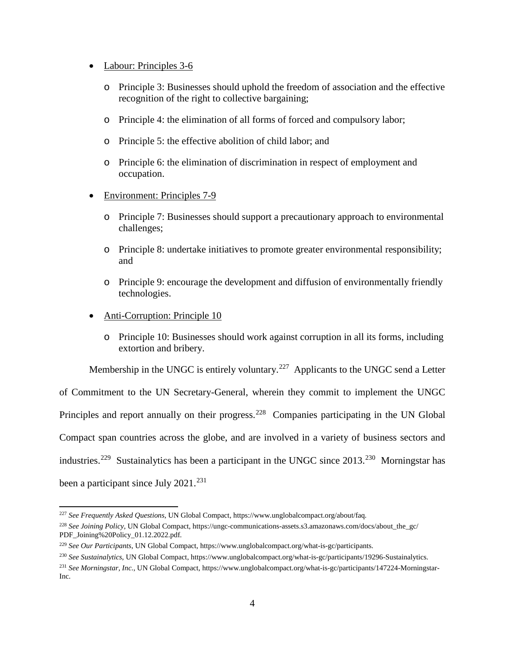- Labour: Principles 3-6
	- o Principle 3: Businesses should uphold the freedom of association and the effective recognition of the right to collective bargaining;
	- o Principle 4: the elimination of all forms of forced and compulsory labor;
	- o Principle 5: the effective abolition of child labor; and
	- o Principle 6: the elimination of discrimination in respect of employment and occupation.
- Environment: Principles 7-9
	- o Principle 7: Businesses should support a precautionary approach to environmental challenges;
	- o Principle 8: undertake initiatives to promote greater environmental responsibility; and
	- o Principle 9: encourage the development and diffusion of environmentally friendly technologies.
- Anti-Corruption: Principle 10
	- o Principle 10: Businesses should work against corruption in all its forms, including extortion and bribery.

Membership in the UNGC is entirely voluntary.<sup>227</sup> Applicants to the UNGC send a Letter of Commitment to the UN Secretary-General, wherein they commit to implement the UNGC Principles and report annually on their progress.<sup>228</sup> Companies participating in the UN Global Compact span countries across the globe, and are involved in a variety of business sectors and industries.<sup>[229](#page-124-2)</sup> Sustainalytics has been a participant in the UNGC since  $2013$ <sup>[230](#page-124-3)</sup> Morningstar has been a participant since July  $2021.^{231}$  $2021.^{231}$  $2021.^{231}$ 

<span id="page-124-0"></span> <sup>227</sup> *See Frequently Asked Questions*, UN Global Compact, https://www.unglobalcompact.org/about/faq.

<span id="page-124-1"></span><sup>&</sup>lt;sup>228</sup> See Joining Policy, UN Global Compact, https://ungc-communications-assets.s3.amazonaws.com/docs/about\_the\_gc/ PDF\_Joining%20Policy\_01.12.2022.pdf.

<span id="page-124-2"></span><sup>229</sup> *See Our Participants*, UN Global Compact, [https://www.unglobalcompact.org/what-is-gc/participants.](https://www.unglobalcompact.org/what-is-gc/participants)

<span id="page-124-3"></span><sup>230</sup> *See Sustainalytics*, UN Global Compact, https://www.unglobalcompact.org/what-is-gc/participants/19296-Sustainalytics.

<span id="page-124-4"></span><sup>231</sup> *See Morningstar, Inc.*, UN Global Compact, https://www.unglobalcompact.org/what-is-gc/participants/147224-Morningstar-Inc.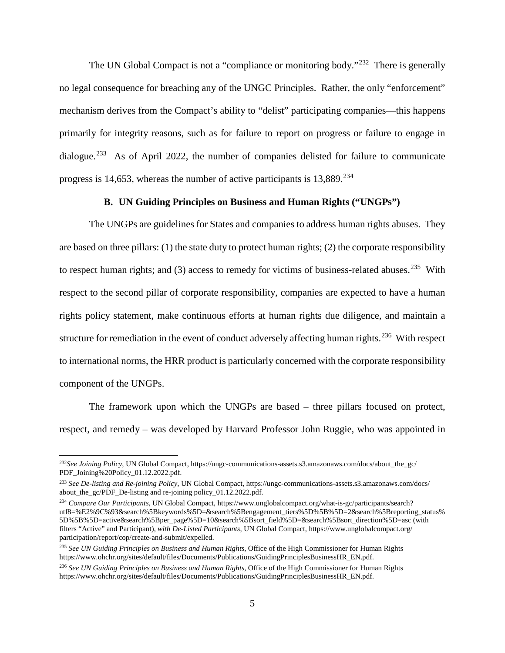The UN Global Compact is not a "compliance or monitoring body."<sup>232</sup> There is generally no legal consequence for breaching any of the UNGC Principles. Rather, the only "enforcement" mechanism derives from the Compact's ability to "delist" participating companies—this happens primarily for integrity reasons, such as for failure to report on progress or failure to engage in dialogue.<sup>[233](#page-125-1)</sup> As of April 2022, the number of companies delisted for failure to communicate progress is 14,653, whereas the number of active participants is  $13,889$ <sup>234</sup>

#### **B. UN Guiding Principles on Business and Human Rights ("UNGPs")**

The UNGPs are guidelines for States and companies to address human rights abuses. They are based on three pillars: (1) the state duty to protect human rights; (2) the corporate responsibility to respect human rights; and (3) access to remedy for victims of business-related abuses.<sup>[235](#page-125-3)</sup> With respect to the second pillar of corporate responsibility, companies are expected to have a human rights policy statement, make continuous efforts at human rights due diligence, and maintain a structure for remediation in the event of conduct adversely affecting human rights.<sup>236</sup> With respect to international norms, the HRR product is particularly concerned with the corporate responsibility component of the UNGPs.

The framework upon which the UNGPs are based – three pillars focused on protect, respect, and remedy – was developed by Harvard Professor John Ruggie, who was appointed in

<span id="page-125-0"></span><sup>&</sup>lt;sup>232</sup>See Joining Policy, UN Global Compact, https://ungc-communications-assets.s3.amazonaws.com/docs/about\_the\_gc/ PDF\_Joining%20Policy\_01.12.2022.pdf.

<span id="page-125-1"></span><sup>233</sup> *See De-listing and Re-joining Policy,* UN Global Compact, https://ungc-communications-assets.s3.amazonaws.com/docs/ about\_the\_gc/PDF\_De-listing and re-joining policy\_01.12.2022.pdf.

<span id="page-125-2"></span><sup>234</sup> *Compare Our Participants*, UN Global Compact, https://www.unglobalcompact.org/what-is-gc/participants/search? utf8=%E2%9C%93&search%5Bkeywords%5D=&search%5Bengagement\_tiers%5D%5B%5D=2&search%5Breporting\_status% 5D%5B%5D=active&search%5Bper\_page%5D=10&search%5Bsort\_field%5D=&search%5Bsort\_direction%5D=asc (with filters "Active" and Participant), *with [De-Listed Participants](https://www.unglobalcompact.org/participation/report/cop/create-and-submit/expelled)*, UN Global Compact, https://www.unglobalcompact.org/ participation/report/cop/create-and-submit/expelled.

<span id="page-125-3"></span><sup>235</sup> *See UN Guiding Principles on Business and Human Rights*, Office of the High Commissioner for Human Rights [https://www.ohchr.org/sites/default/files/Documents/Publications/GuidingPrinciplesBusinessHR\\_EN.pdf.](https://www.ohchr.org/sites/default/files/Documents/Publications/GuidingPrinciplesBusinessHR_EN.pdf)

<span id="page-125-4"></span><sup>236</sup> *See UN Guiding Principles on Business and Human Rights*, Office of the High Commissioner for Human Rights [https://www.ohchr.org/sites/default/files/Documents/Publications/GuidingPrinciplesBusinessHR\\_EN.pdf.](https://www.ohchr.org/sites/default/files/Documents/Publications/GuidingPrinciplesBusinessHR_EN.pdf)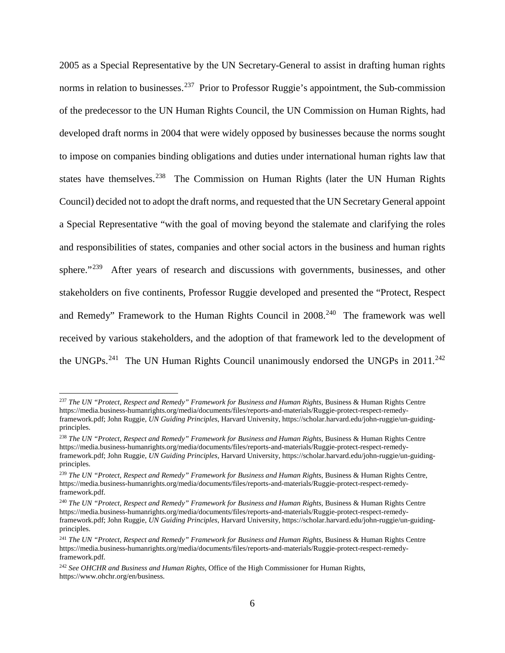2005 as a Special Representative by the UN Secretary-General to assist in drafting human rights norms in relation to businesses.<sup>237</sup> Prior to Professor Ruggie's appointment, the Sub-commission of the predecessor to the UN Human Rights Council, the UN Commission on Human Rights, had developed draft norms in 2004 that were widely opposed by businesses because the norms sought to impose on companies binding obligations and duties under international human rights law that states have themselves.<sup>238</sup> The Commission on Human Rights (later the UN Human Rights Council) decided not to adopt the draft norms, and requested that the UN Secretary General appoint a Special Representative "with the goal of moving beyond the stalemate and clarifying the roles and responsibilities of states, companies and other social actors in the business and human rights sphere."<sup>[239](#page-126-2)</sup> After years of research and discussions with governments, businesses, and other stakeholders on five continents, Professor Ruggie developed and presented the "Protect, Respect and Remedy" Framework to the Human Rights Council in 2008.<sup>240</sup> The framework was well received by various stakeholders, and the adoption of that framework led to the development of the UNGPs.<sup>241</sup> The UN Human Rights Council unanimously endorsed the UNGPs in  $2011$ <sup>[242](#page-126-5)</sup>

<span id="page-126-0"></span> <sup>237</sup> *The UN "Protect, Respect and Remedy" Framework for Business and Human Rights*, Business & Human Rights Centre https://media.business-humanrights.org/media/documents/files/reports-and-materials/Ruggie-protect-respect-remedyframework.pdf; John Ruggie, *UN Guiding Principles*, Harvard University, https://scholar.harvard.edu/john-ruggie/un-guidingprinciples.

<span id="page-126-1"></span><sup>238</sup> *The UN "Protect, Respect and Remedy" Framework for Business and Human Rights*, Business & Human Rights Centre https://media.business-humanrights.org/media/documents/files/reports-and-materials/Ruggie-protect-respect-remedyframework.pdf; John Ruggie, *UN Guiding Principles*, Harvard University, https://scholar.harvard.edu/john-ruggie/un-guidingprinciples.

<span id="page-126-2"></span><sup>239</sup> *The UN "Protect, Respect and Remedy" Framework for Business and Human Rights*, Business & Human Rights Centre, https://media.business-humanrights.org/media/documents/files/reports-and-materials/Ruggie-protect-respect-remedyframework.pdf.

<span id="page-126-3"></span><sup>240</sup> *The UN "Protect, Respect and Remedy" Framework for Business and Human Rights*, Business & Human Rights Centre https://media.business-humanrights.org/media/documents/files/reports-and-materials/Ruggie-protect-respect-remedyframework.pdf; John Ruggie, *UN Guiding Principles*, Harvard University, https://scholar.harvard.edu/john-ruggie/un-guidingprinciples.

<span id="page-126-4"></span><sup>241</sup> *The UN "Protect, Respect and Remedy" Framework for Business and Human Rights*, Business & Human Rights Centre https://media.business-humanrights.org/media/documents/files/reports-and-materials/Ruggie-protect-respect-remedyframework.pdf.

<span id="page-126-5"></span><sup>242</sup> *See OHCHR and Business and Human Rights*, Office of the High Commissioner for Human Rights, https://www.ohchr.org/en/business.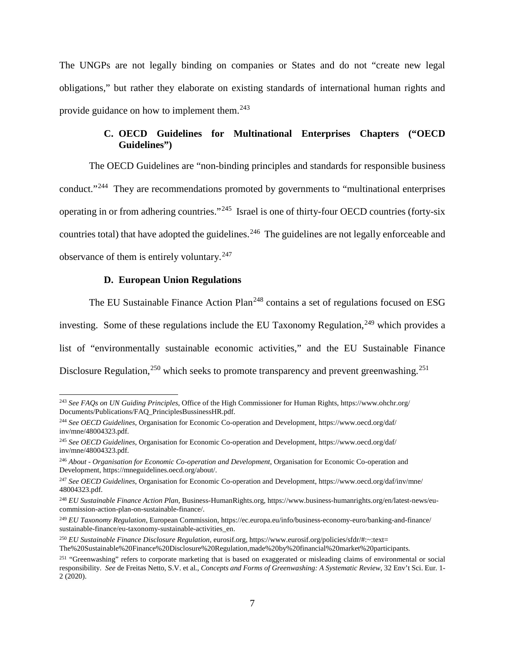The UNGPs are not legally binding on companies or States and do not "create new legal obligations," but rather they elaborate on existing standards of international human rights and provide guidance on how to implement them.[243](#page-127-0)

# **C. OECD Guidelines for Multinational Enterprises Chapters ("OECD Guidelines")**

The OECD Guidelines are "non-binding principles and standards for responsible business conduct."[244](#page-127-1) They are recommendations promoted by governments to "multinational enterprises operating in or from adhering countries."[245](#page-127-2) Israel is one of thirty-four OECD countries (forty-six countries total) that have adopted the guidelines.<sup>[246](#page-127-3)</sup> The guidelines are not legally enforceable and observance of them is entirely voluntary.[247](#page-127-4)

#### **D. European Union Regulations**

The EU Sustainable Finance Action Plan<sup>[248](#page-127-5)</sup> contains a set of regulations focused on ESG investing. Some of these regulations include the EU Taxonomy Regulation,  $249$  which provides a list of "environmentally sustainable economic activities," and the EU Sustainable Finance Disclosure Regulation,<sup>[250](#page-127-7)</sup> which seeks to promote transparency and prevent greenwashing.<sup>[251](#page-127-8)</sup>

<span id="page-127-0"></span> <sup>243</sup> *See FAQs on UN Guiding Principles*, Office of the High Commissioner for Human Rights, https://www.ohchr.org/ Documents/Publications/FAQ\_PrinciplesBussinessHR.pdf.

<span id="page-127-1"></span><sup>244</sup> *See OECD Guidelines*, Organisation for Economic Co-operation and Development, https://www.oecd.org/daf/ inv/mne/48004323.pdf.

<span id="page-127-2"></span><sup>245</sup> *See OECD Guidelines*, Organisation for Economic Co-operation and Development, https://www.oecd.org/daf/ inv/mne/48004323.pdf.

<span id="page-127-3"></span><sup>246</sup> *About - Organisation for Economic Co-operation and Development*, Organisation for Economic Co-operation and Development, https://mneguidelines.oecd.org/about/.

<span id="page-127-4"></span><sup>247</sup> *See OECD Guidelines*, Organisation for Economic Co-operation and Development, https://www.oecd.org/daf/inv/mne/ 48004323.pdf.

<span id="page-127-5"></span><sup>248</sup> *EU Sustainable Finance Action Plan*, Business-HumanRights.org, https://www.business-humanrights.org/en/latest-news/eucommission-action-plan-on-sustainable-finance/.

<span id="page-127-6"></span><sup>249</sup> *EU Taxonomy Regulation*, European Commission, https://ec.europa.eu/info/business-economy-euro/banking-and-finance/ sustainable-finance/eu-taxonomy-sustainable-activities\_en.

<span id="page-127-7"></span><sup>250</sup> *EU Sustainable Finance Disclosure Regulation*, eurosif.org, https://www.eurosif.org/policies/sfdr/#:~:text= The%20Sustainable%20Finance%20Disclosure%20Regulation,made%20by%20financial%20market%20participants.

<span id="page-127-8"></span><sup>&</sup>lt;sup>251</sup> "Greenwashing" refers to corporate marketing that is based on exaggerated or misleading claims of environmental or social responsibility. *See* de Freitas Netto, S.V. et al*.*, *Concepts and Forms of Greenwashing: A Systematic Review*, 32 Env't Sci. Eur. 1- 2 (2020).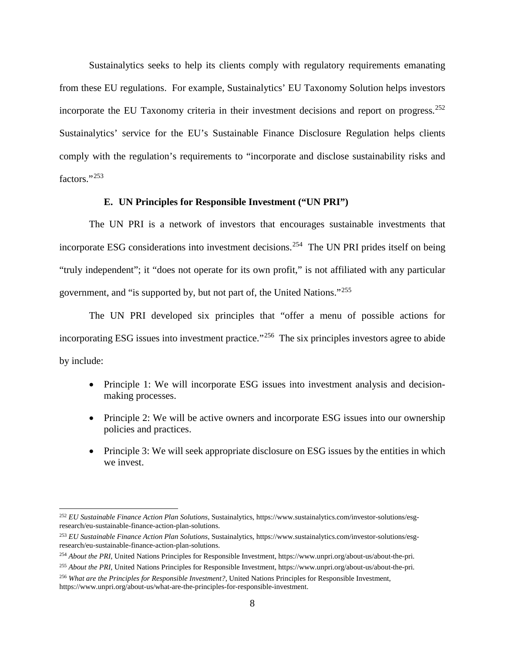Sustainalytics seeks to help its clients comply with regulatory requirements emanating from these EU regulations. For example, Sustainalytics' EU Taxonomy Solution helps investors incorporate the EU Taxonomy criteria in their investment decisions and report on progress.<sup>[252](#page-128-0)</sup> Sustainalytics' service for the EU's Sustainable Finance Disclosure Regulation helps clients comply with the regulation's requirements to "incorporate and disclose sustainability risks and factors."[253](#page-128-1)

## **E. UN Principles for Responsible Investment ("UN PRI")**

The UN PRI is a network of investors that encourages sustainable investments that incorporate ESG considerations into investment decisions.<sup>254</sup> The UN PRI prides itself on being "truly independent"; it "does not operate for its own profit," is not affiliated with any particular government, and "is supported by, but not part of, the United Nations."[255](#page-128-3)

The UN PRI developed six principles that "offer a menu of possible actions for incorporating ESG issues into investment practice."<sup>256</sup> The six principles investors agree to abide by include:

- Principle 1: We will incorporate ESG issues into investment analysis and decisionmaking processes.
- Principle 2: We will be active owners and incorporate ESG issues into our ownership policies and practices.
- Principle 3: We will seek appropriate disclosure on ESG issues by the entities in which we invest.

<span id="page-128-0"></span> <sup>252</sup> *EU Sustainable Finance Action Plan Solutions*, Sustainalytics, https://www.sustainalytics.com/investor-solutions/esgresearch/eu-sustainable-finance-action-plan-solutions.

<span id="page-128-1"></span><sup>253</sup> *EU Sustainable Finance Action Plan Solutions*, Sustainalytics, https://www.sustainalytics.com/investor-solutions/esgresearch/eu-sustainable-finance-action-plan-solutions.

<span id="page-128-2"></span><sup>254</sup> *About the PRI*, United Nations Principles for Responsible Investment, https://www.unpri.org/about-us/about-the-pri.

<span id="page-128-3"></span><sup>255</sup> *About the PRI*, United Nations Principles for Responsible Investment, https://www.unpri.org/about-us/about-the-pri.

<span id="page-128-4"></span><sup>256</sup> *What are the Principles for Responsible Investment?*, United Nations Principles for Responsible Investment, https://www.unpri.org/about-us/what-are-the-principles-for-responsible-investment.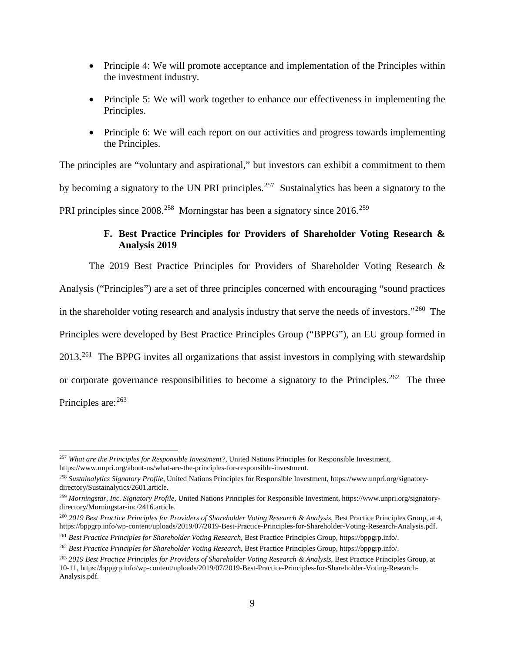- Principle 4: We will promote acceptance and implementation of the Principles within the investment industry.
- Principle 5: We will work together to enhance our effectiveness in implementing the Principles.
- Principle 6: We will each report on our activities and progress towards implementing the Principles.

The principles are "voluntary and aspirational," but investors can exhibit a commitment to them by becoming a signatory to the UN PRI principles.<sup>257</sup> Sustainalytics has been a signatory to the PRI principles since 2008.<sup>[258](#page-129-1)</sup> Morningstar has been a signatory since 2016.<sup>[259](#page-129-2)</sup>

# **F. Best Practice Principles for Providers of Shareholder Voting Research & Analysis 2019**

The 2019 Best Practice Principles for Providers of Shareholder Voting Research & Analysis ("Principles") are a set of three principles concerned with encouraging "sound practices in the shareholder voting research and analysis industry that serve the needs of investors."<sup>260</sup> The Principles were developed by Best Practice Principles Group ("BPPG"), an EU group formed in 2013.<sup>261</sup> The BPPG invites all organizations that assist investors in complying with stewardship or corporate governance responsibilities to become a signatory to the Principles.<sup>[262](#page-129-5)</sup> The three Principles are: <sup>[263](#page-129-6)</sup>

<span id="page-129-0"></span> <sup>257</sup> *What are the Principles for Responsible Investment?*, United Nations Principles for Responsible Investment, https://www.unpri.org/about-us/what-are-the-principles-for-responsible-investment.

<span id="page-129-1"></span><sup>258</sup> *Sustainalytics Signatory Profile*, United Nations Principles for Responsible Investment, https://www.unpri.org/signatorydirectory/Sustainalytics/2601.article.

<span id="page-129-2"></span><sup>259</sup> *Morningstar, Inc. Signatory Profile,* United Nations Principles for Responsible Investment, https://www.unpri.org/signatorydirectory/Morningstar-inc/2416.article.

<span id="page-129-3"></span><sup>260</sup> *2019 Best Practice Principles for Providers of Shareholder Voting Research & Analysis*, Best Practice Principles Group, at 4, https://bppgrp.info/wp-content/uploads/2019/07/2019-Best-Practice-Principles-for-Shareholder-Voting-Research-Analysis.pdf.

<span id="page-129-4"></span><sup>261</sup> *Best Practice Principles for Shareholder Voting Research*, Best Practice Principles Group, https://bppgrp.info/.

<span id="page-129-5"></span><sup>262</sup> *Best Practice Principles for Shareholder Voting Research*, Best Practice Principles Group, https://bppgrp.info/.

<span id="page-129-6"></span><sup>263</sup> *2019 Best Practice Principles for Providers of Shareholder Voting Research & Analysis*, Best Practice Principles Group, at 10-11, https://bppgrp.info/wp-content/uploads/2019/07/2019-Best-Practice-Principles-for-Shareholder-Voting-Research-Analysis.pdf.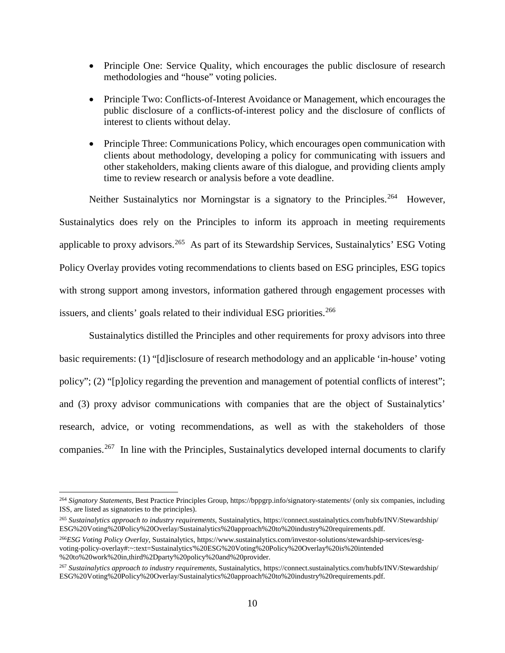- Principle One: Service Quality, which encourages the public disclosure of research methodologies and "house" voting policies.
- Principle Two: Conflicts-of-Interest Avoidance or Management, which encourages the public disclosure of a conflicts-of-interest policy and the disclosure of conflicts of interest to clients without delay.
- Principle Three: Communications Policy, which encourages open communication with clients about methodology, developing a policy for communicating with issuers and other stakeholders, making clients aware of this dialogue, and providing clients amply time to review research or analysis before a vote deadline.

Neither Sustainalytics nor Morningstar is a signatory to the Principles.<sup>[264](#page-130-0)</sup> However, Sustainalytics does rely on the Principles to inform its approach in meeting requirements applicable to proxy advisors.<sup>[265](#page-130-1)</sup> As part of its Stewardship Services, Sustainalytics' ESG Voting Policy Overlay provides voting recommendations to clients based on ESG principles, ESG topics with strong support among investors, information gathered through engagement processes with issuers, and clients' goals related to their individual ESG priorities.<sup>[266](#page-130-2)</sup>

Sustainalytics distilled the Principles and other requirements for proxy advisors into three basic requirements: (1) "[d]isclosure of research methodology and an applicable 'in-house' voting policy"; (2) "[p]olicy regarding the prevention and management of potential conflicts of interest"; and (3) proxy advisor communications with companies that are the object of Sustainalytics' research, advice, or voting recommendations, as well as with the stakeholders of those companies.[267](#page-130-3) In line with the Principles, Sustainalytics developed internal documents to clarify

<span id="page-130-0"></span> <sup>264</sup> *Signatory Statements*, Best Practice Principles Group, https://bppgrp.info/signatory-statements/ (only six companies, including ISS, are listed as signatories to the principles).

<span id="page-130-1"></span><sup>265</sup> *Sustainalytics approach to industry requirements*, Sustainalytics, https://connect.sustainalytics.com/hubfs/INV/Stewardship/ ESG%20Voting%20Policy%20Overlay/Sustainalytics%20approach%20to%20industry%20requirements.pdf.

<span id="page-130-2"></span><sup>266</sup>*ESG Voting Policy Overlay*, Sustainalytics, https://www.sustainalytics.com/investor-solutions/stewardship-services/esgvoting-policy-overlay#:~:text=Sustainalytics'%20ESG%20Voting%20Policy%20Overlay%20is%20intended %20to%20work%20in,third%2Dparty%20policy%20and%20provider.

<span id="page-130-3"></span><sup>267</sup> *Sustainalytics approach to industry requirements*, Sustainalytics, https://connect.sustainalytics.com/hubfs/INV/Stewardship/ ESG%20Voting%20Policy%20Overlay/Sustainalytics%20approach%20to%20industry%20requirements.pdf.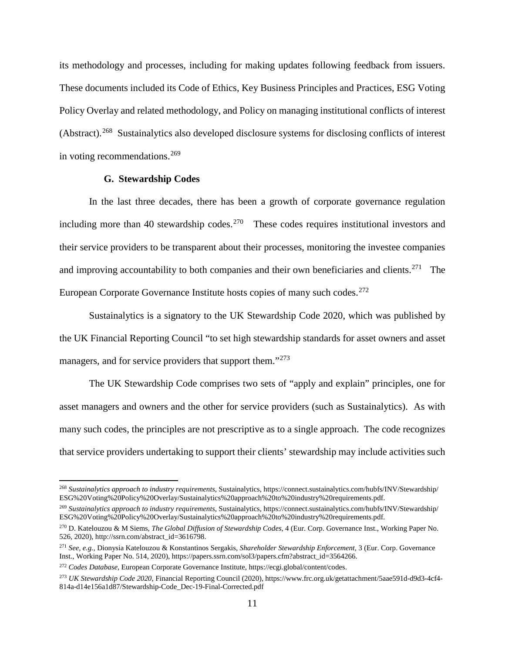its methodology and processes, including for making updates following feedback from issuers. These documents included its Code of Ethics, Key Business Principles and Practices, ESG Voting Policy Overlay and related methodology, and Policy on managing institutional conflicts of interest (Abstract).[268](#page-131-0) Sustainalytics also developed disclosure systems for disclosing conflicts of interest in voting recommendations.<sup>[269](#page-131-1)</sup>

#### **G. Stewardship Codes**

In the last three decades, there has been a growth of corporate governance regulation including more than 40 stewardship codes.<sup>[270](#page-131-2)</sup> These codes requires institutional investors and their service providers to be transparent about their processes, monitoring the investee companies and improving accountability to both companies and their own beneficiaries and clients.<sup>271</sup> The European Corporate Governance Institute hosts copies of many such codes.<sup>[272](#page-131-4)</sup>

Sustainalytics is a signatory to the UK Stewardship Code 2020, which was published by the UK Financial Reporting Council "to set high stewardship standards for asset owners and asset managers, and for service providers that support them."<sup>273</sup>

The UK Stewardship Code comprises two sets of "apply and explain" principles, one for asset managers and owners and the other for service providers (such as Sustainalytics). As with many such codes, the principles are not prescriptive as to a single approach. The code recognizes that service providers undertaking to support their clients' stewardship may include activities such

<span id="page-131-1"></span><sup>269</sup> *Sustainalytics approach to industry requirements*, Sustainalytics, https://connect.sustainalytics.com/hubfs/INV/Stewardship/ ESG%20Voting%20Policy%20Overlay/Sustainalytics%20approach%20to%20industry%20requirements.pdf.

<span id="page-131-0"></span> <sup>268</sup> *Sustainalytics approach to industry requirements*, Sustainalytics, https://connect.sustainalytics.com/hubfs/INV/Stewardship/ ESG%20Voting%20Policy%20Overlay/Sustainalytics%20approach%20to%20industry%20requirements.pdf.

<span id="page-131-2"></span><sup>270</sup> D. Katelouzou & M Siems, *The Global Diffusion of Stewardship Codes*, 4 (Eur. Corp. Governance Inst., Working Paper No. 526, 2020), http://ssrn.com/abstract\_id=3616798.

<span id="page-131-3"></span><sup>271</sup> *See, e.g.*, Dionysia Katelouzou & Konstantinos Sergakis, *Shareholder Stewardship Enforcement*, 3 (Eur. Corp. Governance Inst., Working Paper No. 514, 2020), https://papers.ssrn.com/sol3/papers.cfm?abstract\_id=3564266.

<span id="page-131-4"></span><sup>272</sup> *Codes Database*, European Corporate Governance Institute, https://ecgi.global/content/codes.

<span id="page-131-5"></span><sup>273</sup> *UK Stewardship Code 2020*, Financial Reporting Council (2020), https://www.frc.org.uk/getattachment/5aae591d-d9d3-4cf4- 814a-d14e156a1d87/Stewardship-Code\_Dec-19-Final-Corrected.pdf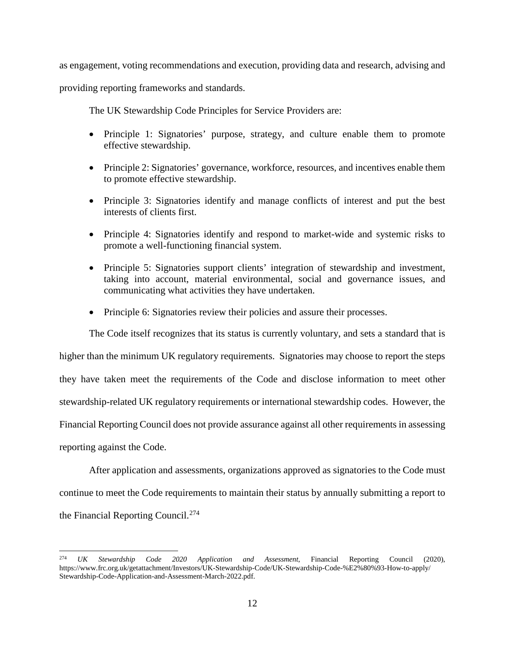as engagement, voting recommendations and execution, providing data and research, advising and

providing reporting frameworks and standards.

The UK Stewardship Code Principles for Service Providers are:

- Principle 1: Signatories' purpose, strategy, and culture enable them to promote effective stewardship.
- Principle 2: Signatories' governance, workforce, resources, and incentives enable them to promote effective stewardship.
- Principle 3: Signatories identify and manage conflicts of interest and put the best interests of clients first.
- Principle 4: Signatories identify and respond to market-wide and systemic risks to promote a well-functioning financial system.
- Principle 5: Signatories support clients' integration of stewardship and investment, taking into account, material environmental, social and governance issues, and communicating what activities they have undertaken.
- Principle 6: Signatories review their policies and assure their processes.

The Code itself recognizes that its status is currently voluntary, and sets a standard that is

higher than the minimum UK regulatory requirements. Signatories may choose to report the steps

they have taken meet the requirements of the Code and disclose information to meet other

stewardship-related UK regulatory requirements or international stewardship codes. However, the

Financial Reporting Council does not provide assurance against all other requirements in assessing

reporting against the Code.

After application and assessments, organizations approved as signatories to the Code must continue to meet the Code requirements to maintain their status by annually submitting a report to the Financial Reporting Council.[274](#page-132-0)

<span id="page-132-0"></span> <sup>274</sup> *UK Stewardship Code 2020 Application and Assessment*, Financial Reporting Council (2020), https://www.frc.org.uk/getattachment/Investors/UK-Stewardship-Code/UK-Stewardship-Code-%E2%80%93-How-to-apply/ Stewardship-Code-Application-and-Assessment-March-2022.pdf.